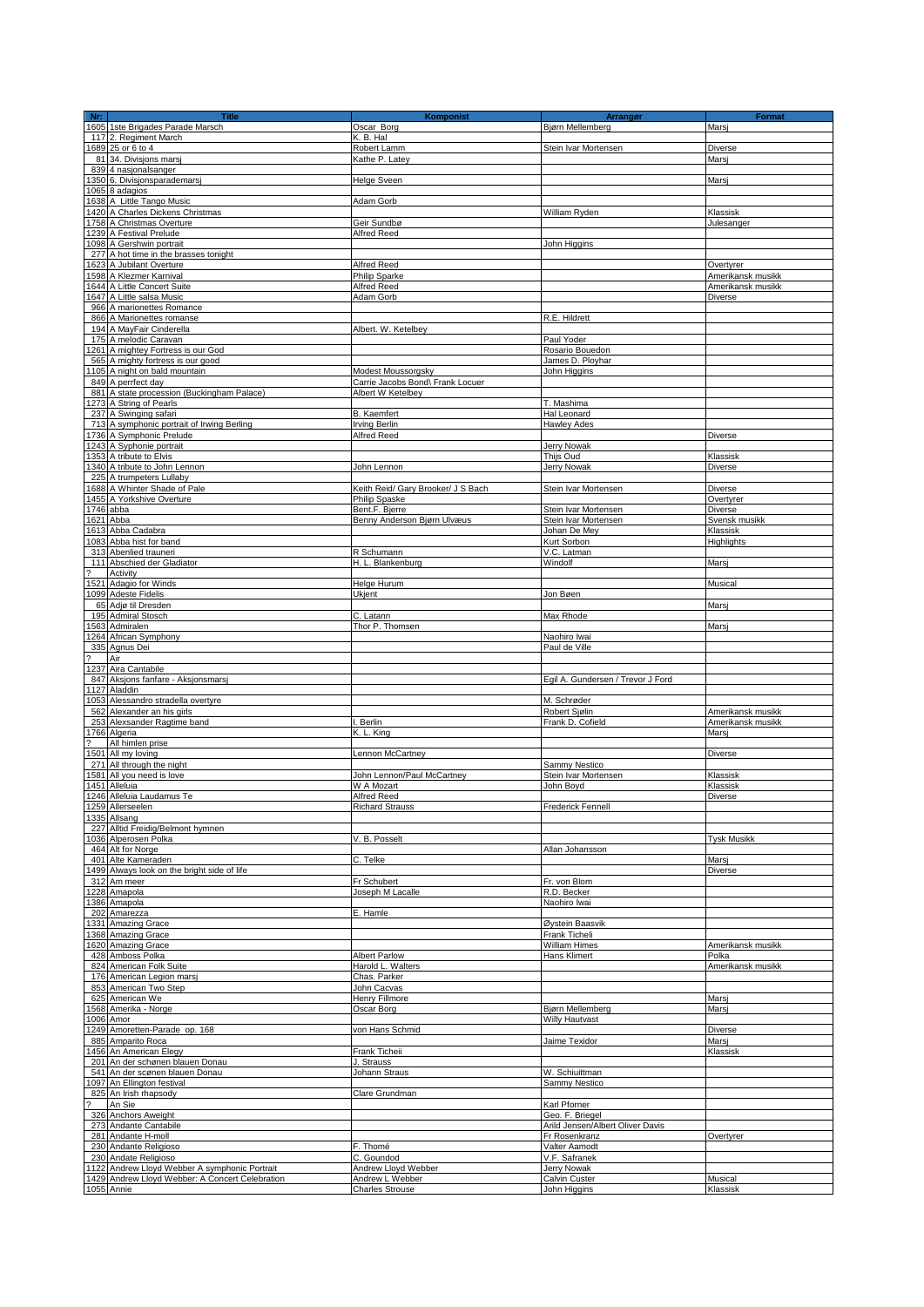| $Nr$ :                   | <b>Title</b>                                              | Komponist                          | Arrangør                          | <b>Format</b>      |
|--------------------------|-----------------------------------------------------------|------------------------------------|-----------------------------------|--------------------|
|                          | 1605 1ste Brigades Parade Marsch                          | Oscar Borg                         | Bjørn Mellemberg                  | Marsj              |
|                          | 117 2. Regiment March                                     | K. B. Hal                          |                                   |                    |
|                          | 1689 25 or 6 to 4                                         | Robert Lamm                        | Stein Ivar Mortensen              | Diverse            |
|                          | 81 34. Divisions marsi                                    | Kathe P. Latey                     |                                   | Marsi              |
|                          | 839 4 nasjonalsanger                                      |                                    |                                   |                    |
|                          | 1350 6. Divisjonsparademarsj                              | Helge Sveen                        |                                   | Marsi              |
|                          | 1065 8 adagios                                            |                                    |                                   |                    |
|                          | 1638 A Little Tango Music                                 | Adam Gorb                          |                                   |                    |
|                          | 1420 A Charles Dickens Christmas                          |                                    | William Ryden                     | Klassisk           |
|                          | 1758 A Christmas Overture                                 | Geir Sundbø                        |                                   | Julesanger         |
|                          | 1239 A Festival Prelude                                   | Alfred Reed                        |                                   |                    |
|                          | 1098 A Gershwin portrait                                  |                                    | John Higgins                      |                    |
|                          | 277 A hot time in the brasses tonight                     |                                    |                                   |                    |
|                          | 1623 A Jubilant Overture                                  | Alfred Reed                        |                                   | Overtyrer          |
|                          | 1598 A Klezmer Karnival                                   | Philip Sparke                      |                                   | Amerikansk musikk  |
|                          | 1644 A Little Concert Suite                               | Alfred Reed                        |                                   | Amerikansk musikk  |
|                          | 1647 A Little salsa Music                                 | Adam Gorb                          |                                   | Diverse            |
|                          | 966 A marionettes Romance<br>866 A Marionettes romanse    |                                    | R.E. Hildrett                     |                    |
|                          | 194 A MayFair Cinderella                                  | Albert. W. Ketelbey                |                                   |                    |
|                          | 175 A melodic Caravan                                     |                                    | Paul Yoder                        |                    |
|                          | 1261 A mightey Fortress is our God                        |                                    | Rosario Bouedon                   |                    |
|                          | 565 A mighty fortress is our good                         |                                    | James D. Ployhar                  |                    |
|                          | 1105 A night on bald mountain                             | Modest Moussorgsky                 | John Higgins                      |                    |
|                          | 849 A perrfect day                                        | Carrie Jacobs Bond\ Frank Locuer   |                                   |                    |
|                          | 881 A state procession (Buckingham Palace)                | Albert W Ketelbey                  |                                   |                    |
|                          | 1273 A String of Pearls                                   |                                    | T. Mashima                        |                    |
|                          | 237 A Swinging safari                                     | <b>B.</b> Kaemfert                 | Hal Leonard                       |                    |
|                          | 713 A symphonic portrait of Irwing Berling                | Irving Berlin                      | <b>Hawley Ades</b>                |                    |
|                          | 1736 A Symphonic Prelude                                  | Alfred Reed                        |                                   | Diverse            |
|                          | 1243 A Syphonie portrait                                  |                                    | <b>Jerry Nowak</b>                |                    |
|                          | 1353 A tribute to Elvis                                   |                                    | Thijs Oud                         | Klassisk           |
|                          | 1340 A tribute to John Lennon                             | John Lennon                        | Jerry Nowak                       | Diverse            |
|                          | 225 A trumpeters Lullaby                                  |                                    |                                   |                    |
|                          | 1688 A Whinter Shade of Pale                              | Keith Reid/ Gary Brooker/ J S Bach | Stein Ivar Mortensen              | Diverse            |
|                          | 1455 A Yorkshive Overture                                 | Philip Spaske                      |                                   | Overtyrer          |
|                          | 1746 abba                                                 | Bent.F. Bierre                     | Stein Ivar Mortensen              | Diverse            |
|                          | 1621 Abba                                                 | Benny Anderson Bjørn Ulvæus        | Stein Ivar Mortensen              | Svensk musikk      |
|                          | 1613 Abba Cadabra                                         |                                    | Johan De Mey                      | Klassisk           |
|                          | 1083 Abba hist for band                                   |                                    | Kurt Sorbon                       | Highlights         |
|                          | 313 Abenlied trauneri                                     | R Schumann                         | V.C. Latman                       |                    |
|                          | 111 Abschied der Gladiator                                | H. L. Blankenburg                  | Windolf                           | Marsj              |
|                          | Activity                                                  |                                    |                                   |                    |
|                          | 1521 Adagio for Winds                                     | Helge Hurum                        |                                   | Musical            |
|                          | 1099 Adeste Fidelis                                       | Ukjent                             | Jon Bøen                          |                    |
|                          | 65 Adjø til Dresden                                       |                                    |                                   | Marsj              |
|                          | 195 Admiral Stosch<br>1563 Admiralen                      | C. Latann<br>Thor P. Thomsen       | Max Rhode                         | Marsi              |
|                          | 1264 African Symphony                                     |                                    | Naohiro Iwai                      |                    |
|                          | 335 Agnus Dei                                             |                                    | Paul de Ville                     |                    |
| $\overline{\phantom{a}}$ | Air                                                       |                                    |                                   |                    |
|                          | 1237 Aira Cantabile                                       |                                    |                                   |                    |
|                          | 847 Aksjons fanfare - Aksjonsmarsj                        |                                    | Egil A. Gundersen / Trevor J Ford |                    |
|                          | 1127 Aladdin                                              |                                    |                                   |                    |
|                          | 1053 Alessandro stradella overtyre                        |                                    | M. Schrøder                       |                    |
|                          | 562 Alexander an his girls                                |                                    | Robert Sjølin                     | Amerikansk musikk  |
|                          | 253 Alexsander Ragtime band                               | I. Berlin                          | Frank D. Cofield                  | Amerikansk musikk  |
|                          | 1766 Algeria                                              | K. L. King                         |                                   | Marsj              |
| $\overline{\mathbf{?}}$  | All himlen prise                                          |                                    |                                   |                    |
|                          | 1501 All my loving                                        | Lennon McCartney                   |                                   | <b>Diverse</b>     |
|                          | 271 All through the night                                 |                                    | Sammy Nestico                     |                    |
|                          | 1581 All you need is love                                 | John Lennon/Paul McCartney         | Stein Ivar Mortensen              | Klassisk           |
|                          | 1451 Alleluia                                             | W A Mozart                         | John Boyd                         | Klassisk           |
|                          | 1246 Alleluia Laudamus Te                                 | Alfred Reed                        |                                   | Diverse            |
|                          | 1259 Allerseelen                                          | <b>Richard Strauss</b>             | <b>Frederick Fennell</b>          |                    |
|                          | 1335 Allsang                                              |                                    |                                   |                    |
|                          | 227 Alltid Freidig/Belmont hymnen<br>1036 Alperosen Polka | V. B. Posselt                      |                                   | <b>Tysk Musikk</b> |
|                          | 464 Alt for Norge                                         |                                    | Allan Johansson                   |                    |
|                          | 401 Alte Kameraden                                        | C. Telke                           |                                   | Marsj              |
|                          | 1499 Always look on the bright side of life               |                                    |                                   | Diverse            |
|                          | 312 Am meer                                               | Fr Schubert                        | Fr. von Blom                      |                    |
|                          | 1228 Amapola                                              | Joseph M Lacalle                   | R.D. Becker                       |                    |
|                          | 1386 Amapola                                              |                                    | Naohiro Iwai                      |                    |
|                          | 202 Amarezza                                              | E. Hamle                           |                                   |                    |
|                          | 1331 Amazing Grace                                        |                                    | Øystein Baasvik                   |                    |
|                          | 1368 Amazing Grace                                        |                                    | Frank Ticheli                     |                    |
|                          | 1620 Amazing Grace                                        |                                    | William Himes                     | Amerikansk musikk  |
|                          | 428 Amboss Polka                                          | <b>Albert Parlow</b>               | Hans Klimert                      | Polka              |
|                          | 824 American Folk Suite                                   | Harold L. Walters                  |                                   | Amerikansk musikk  |
|                          | 176 American Legion marsi                                 | Chas. Parker                       |                                   |                    |
|                          | 853 American Two Step                                     | John Cacvas                        |                                   |                    |
|                          | 625 American We                                           | Henry Fillmore                     |                                   | Marsj              |
|                          | 1568 Amerika - Norge                                      | Oscar Borg                         | Bjørn Mellemberg                  | Marsi              |
|                          | 1006 Amor                                                 |                                    | <b>Willy Hautvast</b>             |                    |
|                          | 1249 Amoretten-Parade op. 168                             | von Hans Schmid                    |                                   | Diverse            |
|                          | 885 Amparito Roca                                         |                                    | Jaime Texidor                     | Marsi<br>Klassisk  |
|                          | 1456 An American Elegy<br>201 An der schønen blauen Donau | Frank Ticheii                      |                                   |                    |
|                          | 541 An der scønen blauen Donau                            | J. Strauss<br>Johann Straus        | W. Schiuittman                    |                    |
|                          | 1097 An Ellington festival                                |                                    | Sammy Nestico                     |                    |
|                          | 825 An Irish rhapsody                                     | Clare Grundman                     |                                   |                    |
| $\overline{\phantom{a}}$ | An Sie                                                    |                                    | Karl Pforner                      |                    |
|                          | 326 Anchors Aweight                                       |                                    | Geo. F. Briegel                   |                    |
|                          | 273 Andante Cantabile                                     |                                    | Arild Jensen/Albert Oliver Davis  |                    |
|                          | 281 Andante H-moll                                        |                                    | Fr Rosenkranz                     | Overtyrer          |
|                          | 230 Andante Religioso                                     | F. Thomé                           | Valter Aamodt                     |                    |
|                          | 230 Andate Religioso                                      | C. Goundod                         | V.F. Safranek                     |                    |
|                          | 1122 Andrew Lloyd Webber A symphonic Portrait             | Andrew Lloyd Webber                | Jerry Nowak                       |                    |
|                          | 1429 Andrew Lloyd Webber: A Concert Celebration           | Andrew L Webber                    | Calvin Custer                     | Musical            |
|                          | 1055 Annie                                                | <b>Charles Strouse</b>             | John Higgins                      | Klassisk           |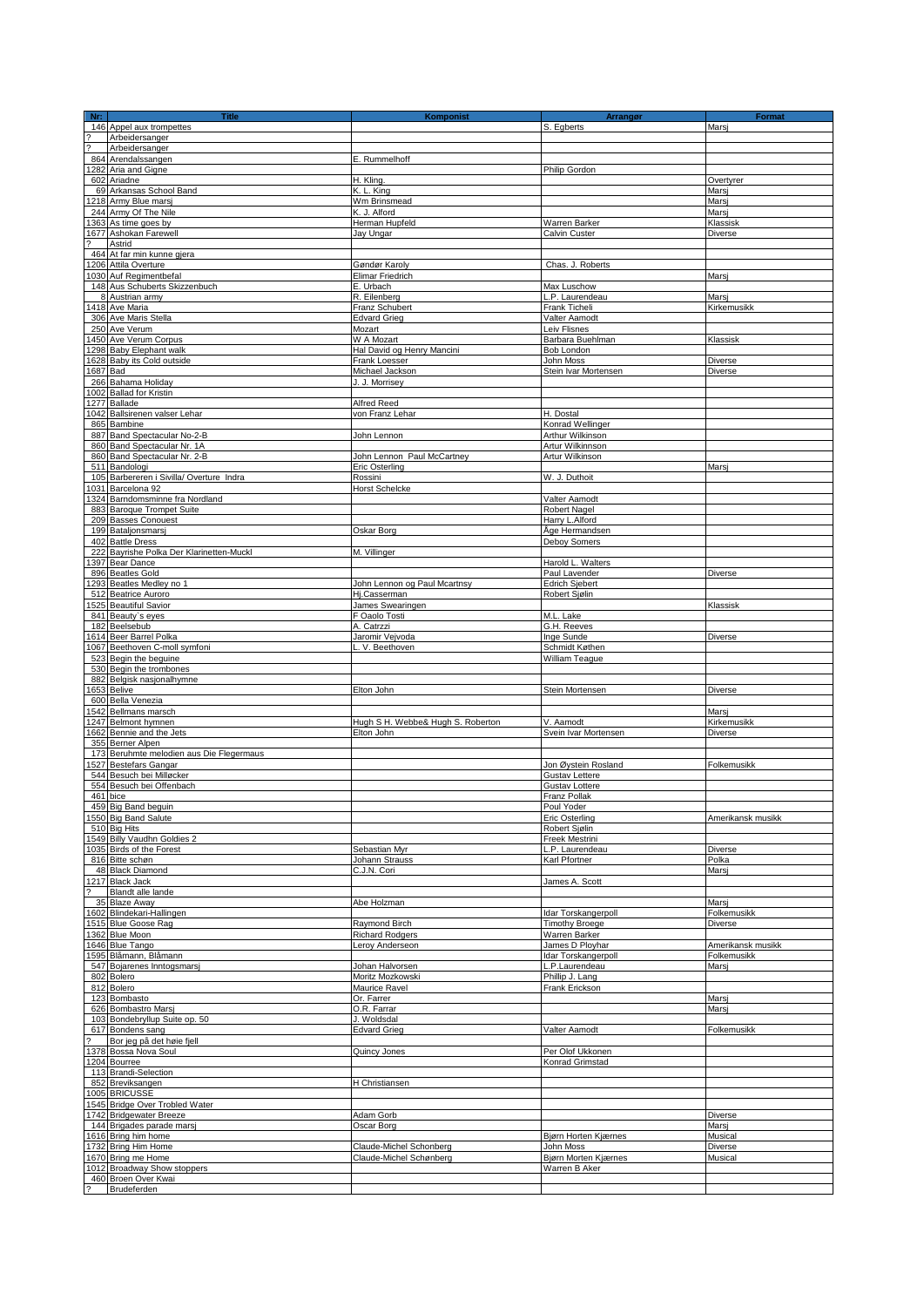| Nr:            | <b>Title</b>                                         | <b>Komponist</b>                  | Arrangør                       | Format               |
|----------------|------------------------------------------------------|-----------------------------------|--------------------------------|----------------------|
|                | 146 Appel aux trompettes                             |                                   | S. Egberts                     | Marsi                |
| د- د-          | Arbeidersanger                                       |                                   |                                |                      |
|                | Arbeidersanger                                       |                                   |                                |                      |
|                | 864 Arendalssangen                                   | E. Rummelhoff                     |                                |                      |
|                | 1282 Aria and Gigne                                  |                                   | Philip Gordon                  |                      |
|                | 602 Ariadne                                          | H. Kling.                         |                                | Overtyrer            |
|                | 69 Arkansas School Band                              | K. L. King                        |                                | Marsj                |
|                | 1218 Army Blue marsi                                 | Wm Brinsmead                      |                                | Marsi                |
|                | 244 Army Of The Nile                                 | K. J. Alford                      |                                | Marsj                |
|                | 1363 As time goes by                                 | Herman Hupfeld                    | Warren Barker                  | Klassisk             |
|                | 1677 Ashokan Farewell                                | Jay Ungar                         | Calvin Custer                  | Diverse              |
|                | Astrid                                               |                                   |                                |                      |
|                | 464 At far min kunne gjera                           |                                   |                                |                      |
|                | 1206 Attila Overture                                 | Gøndør Karoly                     | Chas. J. Roberts               |                      |
|                | 1030 Auf Regimentbefal                               | Elimar Friedrich                  |                                | Marsi                |
|                | 148 Aus Schuberts Skizzenbuch                        | E. Urbach                         | Max Luschow                    |                      |
|                | 8 Austrian army                                      | R. Eilenberg                      | L.P. Laurendeau                |                      |
|                | 1418 Ave Maria                                       |                                   |                                | Marsj<br>Kirkemusikk |
|                | 306 Ave Maris Stella                                 | Franz Schubert                    | Frank Ticheli                  |                      |
|                |                                                      | <b>Edvard Grieg</b>               | Valter Aamodt                  |                      |
|                | 250 Ave Verum                                        | Mozart                            | Leiv Flisnes                   |                      |
|                | 1450 Ave Verum Corpus                                | W A Mozart                        | Barbara Buehlman               | Klassisk             |
|                | 1298 Baby Elephant walk                              | Hal David og Henry Mancini        | Bob London                     |                      |
|                | 1628 Baby its Cold outside                           | Frank Loesser                     | John Moss                      | Diverse              |
|                | 1687 Bad                                             | Michael Jackson                   | Stein Ivar Mortensen           | Diverse              |
|                | 266 Bahama Holiday                                   | J. J. Morrisey                    |                                |                      |
|                | 1002 Ballad for Kristin                              |                                   |                                |                      |
|                | 1277 Ballade                                         | Alfred Reed                       |                                |                      |
|                | 1042 Ballsirenen valser Lehar                        | von Franz Lehar                   | H. Dostal                      |                      |
|                | 865 Bambine                                          |                                   | Konrad Wellinger               |                      |
|                | 887 Band Spectacular No-2-B                          | John Lennon                       | Arthur Wilkinson               |                      |
|                | 860 Band Spectacular Nr. 1A                          |                                   | Artur Wilkinnson               |                      |
|                | 860 Band Spectacular Nr. 2-B                         | John Lennon Paul McCartney        | Artur Wilkinson                |                      |
|                | 511 Bandologi                                        | Eric Osterling                    |                                | Marsi                |
|                | 105 Barbereren i Sivilla/ Overture Indra             | Rossini                           | W. J. Duthoit                  |                      |
|                | 1031 Barcelona 92                                    | <b>Horst Schelcke</b>             |                                |                      |
|                | 1324 Barndomsminne fra Nordland                      |                                   | Valter Aamodt                  |                      |
|                | 883 Baroque Trompet Suite                            |                                   |                                |                      |
|                |                                                      |                                   | Robert Nagel                   |                      |
|                | 209 Basses Conouest<br>199 Bataljonsmarsj            |                                   | Harry L.Alford                 |                      |
|                |                                                      | Oskar Borg                        | Åge Hermandsen                 |                      |
|                | 402 Battle Dress                                     |                                   | Deboy Somers                   |                      |
|                | 222 Bayrishe Polka Der Klarinetten-Muckl             | M. Villinger                      |                                |                      |
|                | 1397 Bear Dance                                      |                                   | Harold L. Walters              |                      |
|                | 896 Beatles Gold                                     |                                   | Paul Lavender                  | Diverse              |
|                | 1293 Beatles Medley no 1                             | John Lennon og Paul Mcartnsy      | <b>Edrich Sjebert</b>          |                      |
|                | 512 Beatrice Auroro                                  | Hj.Casserman                      | Robert Sjølin                  |                      |
|                | 1525 Beautiful Savior                                | James Swearingen                  |                                | Klassisk             |
|                | 841 Beauty's eyes                                    | F Oaolo Tosti                     | M.L. Lake                      |                      |
|                | 182 Beelsebub                                        | A. Catrzzi                        | G.H. Reeves                    |                      |
|                | 1614 Beer Barrel Polka                               | Jaromir Vejvoda                   | Inge Sunde                     | Diverse              |
|                | 1067 Beethoven C-moll symfoni                        | L. V. Beethoven                   | Schmidt Køthen                 |                      |
|                | 523 Begin the beguine                                |                                   | <b>William Teaque</b>          |                      |
|                | 530 Begin the trombones                              |                                   |                                |                      |
|                | 882 Belgisk nasjonalhymne                            |                                   |                                |                      |
|                | 1653 Belive                                          | Elton John                        | Stein Mortensen                | Diverse              |
|                | 600 Bella Venezia                                    |                                   |                                |                      |
|                | 1542 Bellmans marsch                                 |                                   |                                | Marsi                |
|                | 1247 Belmont hymnen                                  | Hugh S H. Webbe& Hugh S. Roberton | V. Aamodt                      | Kirkemusikk          |
|                | 1662 Bennie and the Jets                             | Elton John                        | Svein Ivar Mortensen           | Diverse              |
|                | 355 Berner Alpen                                     |                                   |                                |                      |
|                | 173 Beruhmte melodien aus Die Flegermaus             |                                   |                                |                      |
|                | 1527 Bestefars Gangar                                |                                   | Jon Øvstein Rosland            | Folkemusikk          |
|                |                                                      |                                   |                                |                      |
|                | 544 Besuch bei Milløcker<br>554 Besuch bei Offenbach |                                   | <b>Gustav Lettere</b>          |                      |
|                | 461 bice                                             |                                   | Gustav Lottere<br>Franz Pollak |                      |
|                | 459 Big Band beguin                                  |                                   | Poul Yoder                     |                      |
|                | 1550 Big Band Salute                                 |                                   | <b>Eric Osterling</b>          |                      |
|                |                                                      |                                   |                                | Amerikansk musikk    |
|                | 510 Big Hits                                         |                                   | Robert Sjølin                  |                      |
|                | 1549 Billy Vaudhn Goldies 2                          |                                   | Freek Mestrini                 |                      |
|                | 1035 Birds of the Forest                             | Sebastian Myr                     | L.P. Laurendeau                | Diverse              |
|                | 816 Bitte schøn                                      | Johann Strauss                    | Karl Pfortner                  | Polka                |
|                | 48 Black Diamond                                     | C.J.N. Cori                       |                                | Marsi                |
|                | 1217 Black Jack                                      |                                   | James A. Scott                 |                      |
|                | Blandt alle lande                                    |                                   |                                |                      |
|                | 35 Blaze Away                                        | Abe Holzman                       |                                | Marsi                |
|                | 1602 Blindekari-Hallingen                            |                                   | Idar Torskangerpoll            | Folkemusikk          |
|                | 1515 Blue Goose Rag                                  | Raymond Birch                     | <b>Timothy Broege</b>          | Diverse              |
|                | 1362 Blue Moon                                       | <b>Richard Rodgers</b>            | Warren Barker                  |                      |
|                | 1646 Blue Tango                                      | Leroy Anderseon                   | James D Ployhar                | Amerikansk musikk    |
|                | 1595 Blåmann, Blåmann                                |                                   | Idar Torskangerpoll            | Folkemusikk          |
|                | 547 Bojarenes Inntogsmarsj                           | Johan Halvorsen                   | L.P.Laurendeau                 | Marsi                |
|                | 802 Bolero                                           | Moritz Mozkowski                  | Phillip J. Lang                |                      |
|                | 812 Bolero                                           | Maurice Ravel                     | Frank Erickson                 |                      |
|                | 123 Bombasto                                         | Or. Farrer                        |                                | Marsj                |
|                | 626 Bombastro Marsj                                  | O.R. Farrar                       |                                | Marsj                |
|                | 103 Bondebryllup Suite op. 50                        | J. Woldsdal                       |                                |                      |
|                | 617 Bondens sang                                     | <b>Edvard Grieg</b>               | Valter Aamodt                  | Folkemusikk          |
|                | Bor jeg på det høie fjell                            |                                   |                                |                      |
|                | 1378 Bossa Nova Soul                                 | Quincy Jones                      | Per Olof Ukkonen               |                      |
|                | 1204 Bourree                                         |                                   | Konrad Grimstad                |                      |
|                | 113 Brandi-Selection                                 |                                   |                                |                      |
|                | 852 Breviksangen                                     | H Christiansen                    |                                |                      |
|                | 1005 BRICUSSE                                        |                                   |                                |                      |
|                | 1545 Bridge Over Trobled Water                       |                                   |                                |                      |
|                | 1742 Bridgewater Breeze                              | Adam Gorb                         |                                | Diverse              |
|                | 144 Brigades parade marsj                            | Oscar Borg                        |                                | Marsj                |
|                | 1616 Bring him home                                  |                                   | Bjørn Horten Kjærnes           | Musical              |
|                | 1732 Bring Him Home                                  | Claude-Michel Schonberg           | John Moss                      | Diverse              |
|                |                                                      |                                   |                                |                      |
|                | 1670 Bring me Home                                   | Claude-Michel Schønberg           | Bjørn Morten Kjærnes           | Musical              |
|                | 1012 Broadway Show stoppers                          |                                   | Warren B Aker                  |                      |
|                | 460 Broen Over Kwai<br>Brudeferden                   |                                   |                                |                      |
| $\overline{?}$ |                                                      |                                   |                                |                      |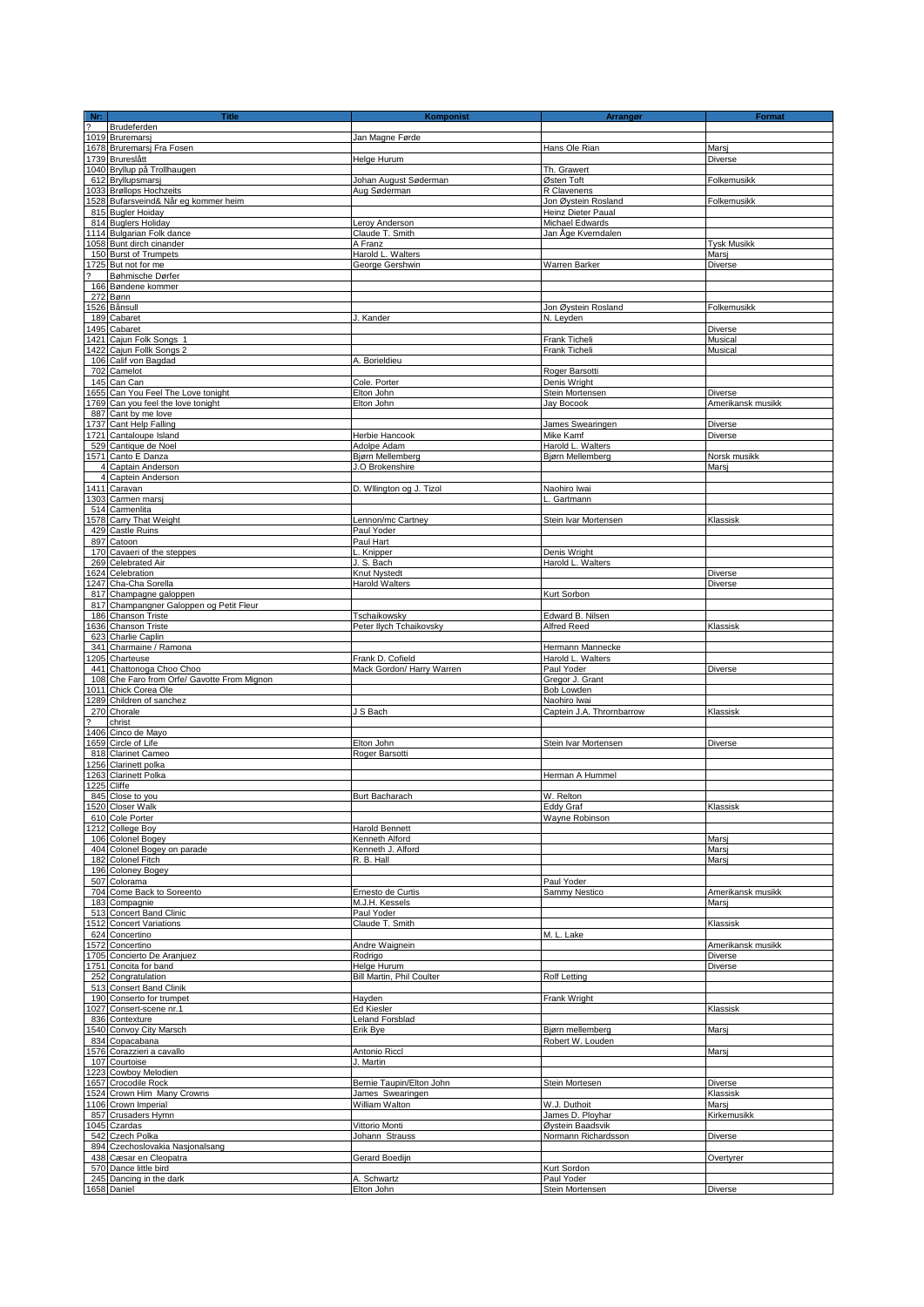| <b>Title</b>                                                    | Komponist                        | Arrangør                           | Format                    |
|-----------------------------------------------------------------|----------------------------------|------------------------------------|---------------------------|
| Nr:<br>2 Brudeferde<br>1019 Bruremarsj<br>Brudeferden           |                                  |                                    |                           |
|                                                                 | Jan Magne Førde                  |                                    |                           |
| 1678 Bruremarsj Fra Fosen                                       |                                  | Hans Ole Rian                      | Marsj                     |
| 1739 Brureslått                                                 | Helge Hurum                      |                                    | <b>Diverse</b>            |
| 1040 Bryllup på Trollhaugen                                     |                                  | Th. Grawert                        |                           |
| 612 Bryllupsmarsj                                               | Johan August Søderman            | Østen Toft                         | Folkemusikk               |
| 1033 Brøllops Hochzeits<br>1528 Bufarsveind& Når eg kommer heim | Aug Søderman                     | R Clavenens<br>Jon Øystein Rosland | Folkemusikk               |
| 815 Bugler Hoiday                                               |                                  | Heinz Dieter Paual                 |                           |
| 814 Buglers Holiday                                             | Leroy Anderson                   | Michael Edwards                    |                           |
| 1114 Bulgarian Folk dance                                       | Claude T. Smith                  | Jan Åge Kverndalen                 |                           |
| 1058 Bunt dirch cinander                                        | A Franz                          |                                    | <b>Tysk Musikk</b>        |
| 150 Burst of Trumpets                                           | Harold L. Walters                |                                    | Marsi                     |
| 1725 But not for me                                             | George Gershwin                  | Warren Barker                      | Diverse                   |
| Bøhmische Dørfer                                                |                                  |                                    |                           |
| 166 Bøndene kommer                                              |                                  |                                    |                           |
| 272 Bønn                                                        |                                  |                                    |                           |
| 1526 Bånsull                                                    |                                  | Jon Øystein Rosland                | Folkemusikk               |
| 189 Cabaret                                                     | J. Kander                        | N. Leyden                          |                           |
| 1495 Cabaret                                                    |                                  |                                    | Diverse                   |
| 1421 Cajun Folk Songs 1                                         |                                  | Frank Ticheli                      | Musical                   |
| 422 Cajun Follk Songs 2                                         |                                  | Frank Ticheli                      | Musical                   |
| 106 Calif von Bagdad                                            | A. Borieldieu                    |                                    |                           |
| 702 Camelot<br>145 Can Can                                      | Cole. Porter                     | Roger Barsotti<br>Denis Wright     |                           |
| 1655 Can You Feel The Love tonight                              | Elton John                       | Stein Mortensen                    | <b>Diverse</b>            |
| 1769 Can you feel the love tonight                              | Elton John                       | Jay Bocook                         | Amerikansk musikk         |
| 887 Cant by me love                                             |                                  |                                    |                           |
| 1737 Cant Help Falling                                          |                                  | James Swearingen                   | <b>Diverse</b>            |
| 1721 Cantaloupe Island                                          | Herbie Hancook                   | Mike Kamf                          | Diverse                   |
| 529 Cantique de Noel                                            | Adolpe Adam                      | Harold L. Walters                  |                           |
| 1571 Canto E Danza                                              | Bjørn Mellemberg                 | Bjørn Mellemberg                   | Norsk musikk              |
| 4 Captain Anderson                                              | J.O Brokenshire                  |                                    | Marsi                     |
| 4 Captein Anderson                                              |                                  |                                    |                           |
| 1411 Caravan                                                    | D. Wilington og J. Tizol         | Naohiro Iwai                       |                           |
| 1303 Carmen marsj                                               |                                  | L. Gartmann                        |                           |
| 514 Carmenlita                                                  |                                  |                                    |                           |
| 1578 Carry That Weight                                          | Lennon/mc Cartney                | Stein Ivar Mortensen               | Klassisk                  |
| 429 Castle Ruins                                                | Paul Yoder                       |                                    |                           |
| 897 Catoon                                                      | Paul Hart                        |                                    |                           |
| 170 Cavaeri of the steppes                                      | L. Knipper                       | Denis Wright                       |                           |
| 269 Celebrated Air<br>1624 Celebration                          | J. S. Bach<br>Knut Nystedt       | Harold L. Walters                  |                           |
| 1247 Cha-Cha Sorella                                            | <b>Harold Walters</b>            |                                    | Diverse<br><b>Diverse</b> |
| 817 Champagne galoppen                                          |                                  | Kurt Sorbon                        |                           |
| 817 Champangner Galoppen og Petit Fleur                         |                                  |                                    |                           |
| 186 Chanson Triste                                              | Tschaikowsky                     | Edward B. Nilsen                   |                           |
| 636 Chanson Triste                                              | Peter llych Tchaikovsky          | Alfred Reed                        | Klassisk                  |
| 623 Charlie Caplin                                              |                                  |                                    |                           |
| 341 Charmaine / Ramona                                          |                                  | Hermann Mannecke                   |                           |
| 1205 Charteuse                                                  | Frank D. Cofield                 | Harold L. Walters                  |                           |
| 441 Chattonoga Choo Choo                                        | Mack Gordon/ Harry Warren        | Paul Yoder                         | Diverse                   |
| 108 Che Faro from Orfe/ Gavotte From Mignon                     |                                  | Gregor J. Grant                    |                           |
| 1011 Chick Corea Ole                                            |                                  | Bob Lowden                         |                           |
| 1289 Children of sanchez                                        |                                  | Naohiro Iwai                       |                           |
| 270 Chorale<br>christ                                           | J S Bach                         | Captein J.A. Thrornbarrow          | Klassisk                  |
| 1406 Cinco de Mayo                                              |                                  |                                    |                           |
| 1659 Circle of Life                                             | Elton John                       | Stein Ivar Mortensen               | Diverse                   |
| 818 Clarinet Cameo                                              | Roger Barsotti                   |                                    |                           |
| 1256 Clarinett polka                                            |                                  |                                    |                           |
| 1263 Clarinett Polka                                            |                                  | Herman A Hummel                    |                           |
| 1225 Cliffe                                                     |                                  |                                    |                           |
| 845 Close to you                                                | Burt Bacharach                   | W. Relton                          |                           |
| 1520 Closer Walk                                                |                                  | Eddy Graf                          | Klassisk                  |
| 610 Cole Porter                                                 |                                  | Wayne Robinson                     |                           |
| 1212 College Boy                                                | Harold Bennett                   |                                    |                           |
| 106 Colonel Bogey                                               | Kenneth Alford                   |                                    | Marsi                     |
| 404 Colonel Bogey on parade<br>182 Colonel Fitch                | Kenneth J. Alford<br>R. B. Hall  |                                    | Marsj<br>Marsi            |
| 196 Coloney Bogey                                               |                                  |                                    |                           |
| 507 Colorama                                                    |                                  | Paul Yoder                         |                           |
| 704 Come Back to Soreento                                       | Ernesto de Curtis                | Sammy Nestico                      | Amerikansk musikk         |
| 183 Compagnie                                                   | M.J.H. Kessels                   |                                    | Marsi                     |
| 513 Concert Band Clinic                                         | Paul Yoder                       |                                    |                           |
| 1512 Concert Variations                                         | Claude T. Smith                  |                                    | Klassisk                  |
| 624 Concertino                                                  |                                  | M. L. Lake                         |                           |
| 1572 Concertino                                                 | Andre Waignein                   |                                    | Amerikansk musikk         |
| 1705 Concierto De Aranjuez                                      | Rodrigo                          |                                    | Diverse                   |
| 1751 Concita for band                                           | Helge Hurum                      |                                    | Diverse                   |
| 252 Congratulation                                              | <b>Bill Martin, Phil Coulter</b> | Rolf Letting                       |                           |
| 513 Consert Band Clinik<br>190 Conserto for trumpet             |                                  | Frank Wright                       |                           |
| 1027 Consert-scene nr.1                                         | Hayden<br>Ed Kiesler             |                                    | Klassisk                  |
| 836 Contexture                                                  | <b>Leland Forsblad</b>           |                                    |                           |
| 1540 Convoy City Marsch                                         | Erik Bye                         | Bjørn mellemberg                   | Marsj                     |
| 834 Copacabana                                                  |                                  | Robert W. Louden                   |                           |
| 1576 Corazzieri a cavallo                                       | Antonio Riccl                    |                                    | Marsj                     |
| 107 Courtoise                                                   | J. Martin                        |                                    |                           |
| 1223 Cowboy Melodien                                            |                                  |                                    |                           |
| 1657 Crocodile Rock                                             | Bernie Taupin/Elton John         | Stein Mortesen                     | Diverse                   |
| 1524 Crown Him Many Crowns                                      | James Swearingen                 |                                    | Klassisk                  |
| 1106 Crown Imperial                                             | William Walton                   | W.J. Duthoit                       | Marsi                     |
| 857 Crusaders Hymn                                              |                                  | James D. Ployhar                   | Kirkemusikk               |
| 1045 Czardas                                                    | Vittorio Monti                   | Øystein Baadsvik                   |                           |
| 542 Czech Polka                                                 | Johann Strauss                   | Normann Richardsson                | Diverse                   |
| 894 Czechoslovakia Nasjonalsang                                 |                                  |                                    |                           |
| 438 Cæsar en Cleopatra<br>570 Dance little bird                 | Gerard Boedijn                   | Kurt Sordon                        | Overtyrer                 |
| 245 Dancing in the dark                                         | A. Schwartz                      | Paul Yoder                         |                           |
| 1658 Daniel                                                     | Elton John                       | Stein Mortensen                    | <b>Diverse</b>            |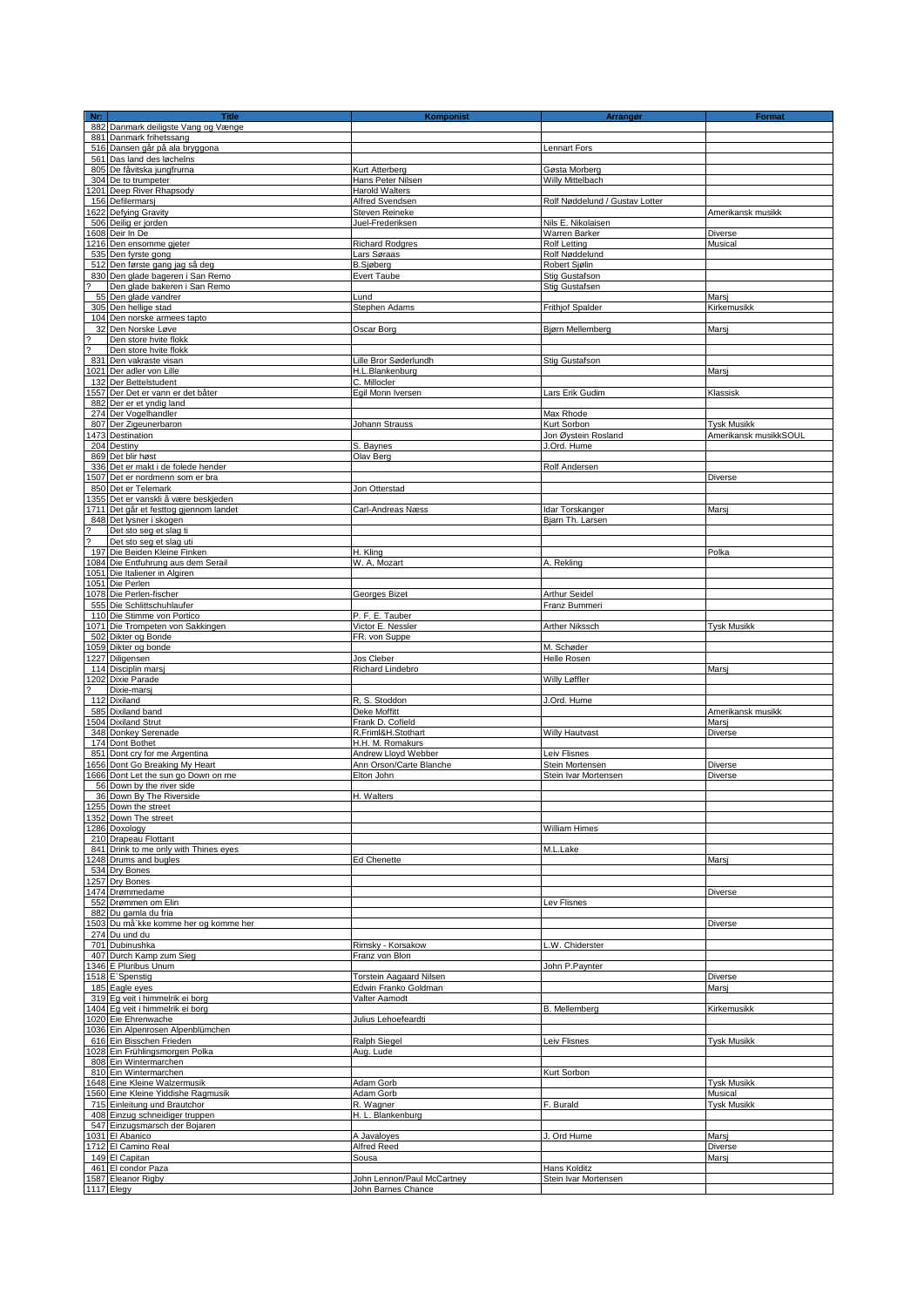| Nr:                      | <b>Title</b>                                                       | <b>Komponist</b>                      | Arrangør                       | Format                |
|--------------------------|--------------------------------------------------------------------|---------------------------------------|--------------------------------|-----------------------|
|                          | 882 Danmark deiligste Vang og Vænge                                |                                       |                                |                       |
|                          | 881 Danmark frihetssang                                            |                                       |                                |                       |
|                          | 516 Dansen går på ala bryggona                                     |                                       | Lennart Fors                   |                       |
|                          | 561 Das land des løchelns                                          |                                       |                                |                       |
|                          | 805 De fåvitska jungfrurna                                         | Kurt Atterberg                        | Gøsta Morberg                  |                       |
|                          | 304 De to trumpeter<br>1201 Deep River Rhapsody                    | Hans Peter Nilsen                     | Willy Mittelbach               |                       |
|                          | 156 Defilermarsj                                                   | Harold Walters<br>Alfred Svendsen     | Rolf Nøddelund / Gustav Lotter |                       |
|                          | 1622 Defying Gravity                                               | Steven Reineke                        |                                | Amerikansk musikk     |
|                          | 506 Deilig er jorden                                               | Juel-Frederiksen                      | Nils E. Nikolaisen             |                       |
|                          | 1608 Deir In De                                                    |                                       | Warren Barker                  | Diverse               |
|                          | 1216 Den ensomme gjeter                                            | <b>Richard Rodgres</b>                | <b>Rolf Letting</b>            | Musical               |
|                          | 535 Den fyrste gong                                                | Lars Søraas                           | Rolf Nøddelund                 |                       |
|                          | 512 Den første gang jag så deg                                     | <b>B.Sjøberg</b>                      | Robert Sjølin                  |                       |
|                          | 830 Den glade bageren i San Remo                                   | Evert Taube                           | Stig Gustafson                 |                       |
| 2                        | Den glade bakeren i San Remo                                       |                                       | Stig Gustafsen                 |                       |
|                          | 55 Den glade vandrer                                               | Lund                                  |                                | Marsj                 |
|                          | 305 Den hellige stad                                               | Stephen Adams                         | Frithjof Spalder               | Kirkemusikk           |
|                          | 104 Den norske armees tapto                                        | Oscar Borg                            |                                |                       |
|                          | 32 Den Norske Løve<br>Den store hvite flokk                        |                                       | Bjørn Mellemberg               | Mars                  |
| $\frac{3}{2}$            | Den store hvite flokk                                              |                                       |                                |                       |
|                          | 831 Den vakraste visan                                             | Lille Bror Søderlundh                 | Stig Gustafson                 |                       |
|                          | 1021 Der adler von Lille                                           | H.L.Blankenburg                       |                                | Marsj                 |
|                          | 132 Der Bettelstudent                                              | C. Millocler                          |                                |                       |
|                          | 1557 Der Det er vann er det båter                                  | Egil Monn Iversen                     | Lars Erik Gudim                | Klassisk              |
|                          | 882 Der er et yndig land                                           |                                       |                                |                       |
|                          | 274 Der Vogelhandler                                               |                                       | Max Rhode                      |                       |
|                          | 807 Der Zigeunerbaron                                              | Johann Strauss                        | Kurt Sorbon                    | <b>Tysk Musikk</b>    |
|                          | 1473 Destination                                                   |                                       | Jon Øystein Rosland            | Amerikansk musikkSOUL |
|                          | 204 Destiny<br>869 Det blir høst                                   | S. Baynes<br>Olav Berg                | J.Ord. Hume                    |                       |
|                          | 336 Det er makt i de folede hender                                 |                                       | Rolf Andersen                  |                       |
|                          | 1507 Det er nordmenn som er bra                                    |                                       |                                | Diverse               |
|                          | 850 Det er Telemark                                                | Jon Otterstad                         |                                |                       |
|                          | 1355 Det er vanskli å være beskjeden                               |                                       |                                |                       |
|                          | 1711 Det går et festtog gjennom landet                             | Carl-Andreas Næss                     | Idar Torskanger                | Marsi                 |
|                          | 848 Det lysner i skogen                                            |                                       | Bjarn Th. Larsen               |                       |
| $\overline{\phantom{a}}$ | Det sto seg et slag ti                                             |                                       |                                |                       |
| ?                        | Det sto seg et slag uti<br>197 Die Beiden Kleine Finken            | H. Kling                              |                                |                       |
|                          | 1084 Die Entfuhrung aus dem Serail                                 | W. A, Mozart                          | A. Rekling                     | Polka                 |
|                          | 1051 Die Italiener in Algiren                                      |                                       |                                |                       |
|                          | 1051 Die Perlen                                                    |                                       |                                |                       |
|                          | 1078 Die Perlen-fischer                                            | Georges Bizet                         | Arthur Seidel                  |                       |
|                          | 555 Die Schlittschuhlaufer                                         |                                       | Franz Bummeri                  |                       |
|                          | 110 Die Stimme von Portico<br>1071 Die Trompeten von Sakkingen     | P. F. E. Tauber<br>Victor E. Nessler  | Arther Nikssch                 | <b>Tysk Musikk</b>    |
|                          | 502 Dikter og Bonde                                                | FR. von Suppe                         |                                |                       |
|                          | 1059 Dikter og bonde                                               |                                       | M. Schøder                     |                       |
|                          | 1227 Diligensen                                                    | Jos Cleber                            | Helle Rosen                    |                       |
|                          | 114 Disciplin marsj                                                | <b>Richard Lindebro</b>               |                                | Marsj                 |
|                          | 1202 Dixie Parade                                                  |                                       | Willy Løffler                  |                       |
| $\overline{\phantom{a}}$ | Dixie-marsj<br>112 Dixiland                                        | R, S. Stoddon                         | J.Ord. Hume                    |                       |
|                          | 585 Dixiland band                                                  | Deke Moffitt                          |                                | Amerikansk musikk     |
|                          | 1504 Dixiland Strut                                                | Frank D. Cofield                      |                                | Marsi                 |
|                          | 348 Donkey Serenade                                                | R.Friml&H.Stothart                    | Willy Hautvast                 | Diverse               |
|                          | 174 Dont Bothet                                                    | H.H. M. Romakurs                      |                                |                       |
|                          | 851 Dont cry for me Argentina                                      | Andrew Lloyd Webber                   | Leiv Flisnes                   |                       |
|                          | 1656 Dont Go Breaking My Heart                                     | Ann Orson/Carte Blanche<br>Elton John | Stein Mortensen                | Diverse               |
|                          | 1666 Dont Let the sun go Down on me<br>56 Down by the river side   |                                       | Stein Ivar Mortensen           | Diverse               |
|                          | 36 Down By The Riverside                                           | H. Walters                            |                                |                       |
|                          | 1255 Down the street                                               |                                       |                                |                       |
|                          | 1352 Down The street                                               |                                       |                                |                       |
|                          | 1286 Doxology                                                      |                                       | <b>William Himes</b>           |                       |
|                          | 210 Drapeau Flottant                                               |                                       |                                |                       |
|                          | 841 Drink to me only with Thines eyes<br>1248 Drums and bugles     | Ed Chenette                           | M.L.Lake                       | Marsj                 |
|                          | 534 Dry Bones                                                      |                                       |                                |                       |
|                          | 1257 Dry Bones                                                     |                                       |                                |                       |
|                          | 1474 Drømmedame                                                    |                                       |                                | Diverse               |
|                          | 552 Drømmen om Elin                                                |                                       | Lev Flisnes                    |                       |
|                          | 882 Du gamla du fria<br>1503 Du må`kke komme her og komme her      |                                       |                                | Diverse               |
|                          | 274 Du und du                                                      |                                       |                                |                       |
|                          | 701 Dubinushka                                                     | Rimsky - Korsakow                     | L.W. Chiderster                |                       |
|                          | 407 Durch Kamp zum Sieg                                            | Franz von Blon                        |                                |                       |
|                          | 1346 E Pluribus Unum                                               |                                       | John P.Paynter                 |                       |
|                          | 1518 E'Spenstig                                                    | <b>Torstein Aagaard Nilsen</b>        |                                | Diverse               |
|                          | 185 Eagle eyes<br>319 Eq veit i himmelrik ei borg                  | Edwin Franko Goldman<br>Valter Aamodt |                                | Marsj                 |
|                          | 1404 Eg veit i himmelrik ei borg                                   |                                       | B. Mellemberg                  | Kirkemusikk           |
|                          | 1020 Eie Ehrenwache                                                | Julius Lehoefeardti                   |                                |                       |
|                          | 1036 Ein Alpenrosen Alpenblümchen                                  |                                       |                                |                       |
|                          | 616 Ein Bisschen Frieden                                           | Ralph Siegel                          | Leiv Flisnes                   | <b>Tysk Musikk</b>    |
|                          | 1028 Ein Frühlingsmorgen Polka                                     | Aug. Lude                             |                                |                       |
|                          | 808 Ein Wintermarchen                                              |                                       |                                |                       |
|                          | 810 Ein Wintermarchen                                              | Adam Gorb                             | Kurt Sorbon                    | <b>Tysk Musikk</b>    |
|                          | 1648 Eine Kleine Walzermusik<br>1560 Eine Kleine Yiddishe Ragmusik | Adam Gorb                             |                                | Musical               |
|                          | 715 Einleitung und Brautchor                                       | R. Wagner                             | F. Burald                      | <b>Tysk Musikk</b>    |
|                          | 408 Einzug schneidiger truppen                                     | H. L. Blankenburg                     |                                |                       |
|                          | 547 Einzugsmarsch der Bojaren                                      |                                       |                                |                       |
|                          | 1031 El Abanico                                                    | A Javaloyes                           | J. Ord Hume                    | Marsj                 |
|                          | 1712 El Camino Real                                                | Alfred Reed                           |                                | Diverse               |
|                          | 149 El Capitan<br>461 El condor Paza                               | Sousa                                 | Hans Kolditz                   | Marsi                 |
|                          | 1587 Eleanor Rigby                                                 | John Lennon/Paul McCartney            | Stein Ivar Mortensen           |                       |
|                          | 1117 Elegy                                                         | John Barnes Chance                    |                                |                       |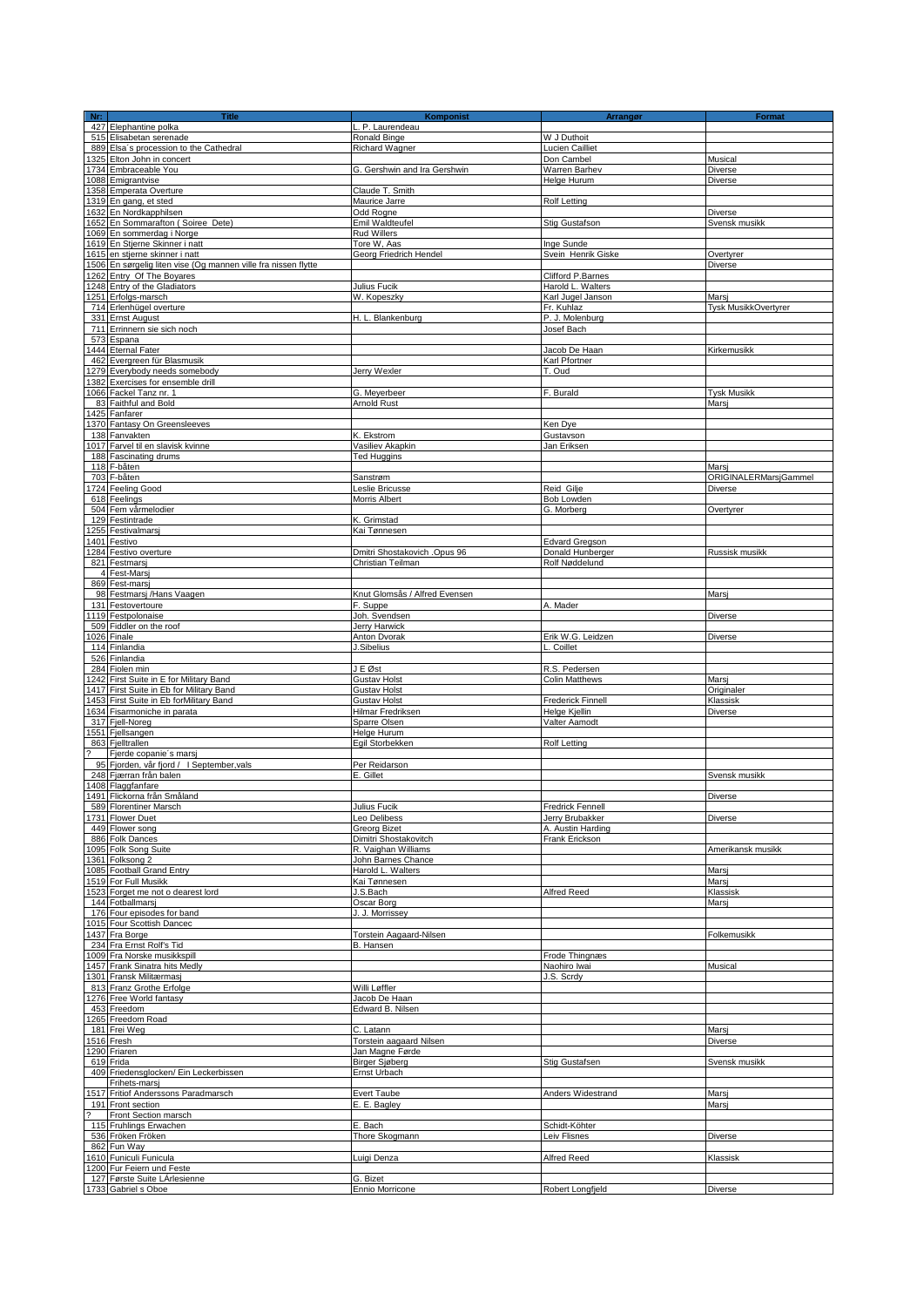|   | <b>Title</b>                                                        | Komponist                            | Arrangør                               | <b>Format</b>             |
|---|---------------------------------------------------------------------|--------------------------------------|----------------------------------------|---------------------------|
|   | 427 Elephantine polka                                               | L. P. Laurendeau                     |                                        |                           |
|   | 515 Elisabetan serenade                                             | Ronald Binge                         | W J Duthoit                            |                           |
|   | 889 Elsa's procession to the Cathedral                              | Richard Wagner                       | Lucien Cailliet                        |                           |
|   | 1325 Elton John in concert                                          | G. Gershwin and Ira Gershwin         | Don Cambel<br>Warren Barhev            | Musical<br><b>Diverse</b> |
|   | 1734 Embraceable You<br>1088 Emigrantvise                           |                                      | Helge Hurum                            | Diverse                   |
|   | 1358 Emperata Overture                                              | Claude T. Smith                      |                                        |                           |
|   | 1319 En gang, et sted                                               | Maurice Jarre                        | Rolf Letting                           |                           |
|   | 1632 En Nordkapphilsen                                              | Odd Rogne                            |                                        | Diverse                   |
|   | 1652 En Sommarafton (Soiree Dete)                                   | Emil Waldteufel                      | Stig Gustafson                         | Svensk musikk             |
|   | 1069 En sommerdag i Norge                                           | Rud Willers                          |                                        |                           |
|   | 1619 En Stjerne Skinner i natt                                      | Tore W, Aas                          | Inge Sunde                             |                           |
|   | 1615 en stjerne skinner i natt                                      | Georg Friedrich Hendel               | Svein Henrik Giske                     | Overtyrer                 |
|   | 1506 En sørgelig liten vise (Og mannen ville fra nissen flytte      |                                      |                                        | <b>Diverse</b>            |
|   | 1262 Entry Of The Boyares<br>1248 Entry of the Gladiators           |                                      | Clifford P.Barnes                      |                           |
|   | 1251 Erfolgs-marsch                                                 | Julius Fucik<br>W. Kopeszky          | Harold L. Walters<br>Karl Jugel Janson | Marsi                     |
|   | 714 Erlenhügel overture                                             |                                      | Fr. Kuhlaz                             | Tysk MusikkOvertyrer      |
|   | 331 Ernst August                                                    | H. L. Blankenburg                    | P. J. Molenburg                        |                           |
|   | 711 Errinnern sie sich noch                                         |                                      | Josef Bach                             |                           |
|   | 573 Espana                                                          |                                      |                                        |                           |
|   | 1444 Eternal Fater                                                  |                                      | Jacob De Haan                          | Kirkemusikk               |
|   | 462 Evergreen für Blasmusik                                         |                                      | Karl Pfortner                          |                           |
|   | 1279 Everybody needs somebody                                       | Jerry Wexler                         | T. Oud                                 |                           |
|   | 1382 Exercises for ensemble drill                                   |                                      |                                        |                           |
|   | 1066 Fackel Tanz nr. 1                                              | G. Meyerbeer                         | F. Burald                              | <b>Tysk Musikk</b>        |
|   | 83 Faithful and Bold<br>1425 Fanfarer                               | Arnold Rust                          |                                        | Marsi                     |
|   | 1370 Fantasy On Greensleeves                                        |                                      | Ken Dye                                |                           |
|   | 138 Fanvakten                                                       | K. Ekstrom                           | Gustavson                              |                           |
|   | 1017 Farvel til en slavisk kvinne                                   | Vasiliev Akapkin                     | Jan Eriksen                            |                           |
|   | 188 Fascinating drums                                               | <b>Ted Huggins</b>                   |                                        |                           |
|   | 118 F-båten                                                         |                                      |                                        | Marsi                     |
|   | 703 F-båten                                                         | Sanstrøm                             |                                        | ORIGINALERMarsjGammel     |
|   | 1724 Feeling Good<br>618 Feelings                                   | Leslie Bricusse<br>Morris Albert     | Reid Gilje<br>Bob Lowden               | Diverse                   |
|   | 504 Fem vårmelodier                                                 |                                      | G. Morberg                             | Overtyrer                 |
|   | 129 Festintrade                                                     | K. Grimstad                          |                                        |                           |
|   | 1255 Festivalmarsj                                                  | Kai Tønnesen                         |                                        |                           |
|   | 1401 Festivo                                                        |                                      | <b>Edvard Gregson</b>                  |                           |
|   | 1284 Festivo overture                                               | Dmitri Shostakovich .Opus 96         | Donald Hunberger                       | Russisk musikk            |
|   | 821 Festmarsj                                                       | Christian Teilman                    | Rolf Nøddelund                         |                           |
|   | 4 Fest-Marsj<br>869 Fest-marsj                                      |                                      |                                        |                           |
|   | 98 Festmarsj /Hans Vaagen                                           | Knut Glomsås / Alfred Evensen        |                                        | Marsj                     |
|   | 131 Festovertoure                                                   | F. Suppe                             | A. Mader                               |                           |
|   | 1119 Festpolonaise                                                  | Joh. Svendsen                        |                                        | Diverse                   |
|   | 509 Fiddler on the roof<br>1026 Finale                              | Jerry Harwick<br>Anton Dvorak        | Erik W.G. Leidzen                      | <b>Diverse</b>            |
|   | 114 Finlandia                                                       | J.Sibelius                           | L. Coillet                             |                           |
|   | 526 Finlandia                                                       |                                      |                                        |                           |
|   | 284 Fiolen min                                                      | J E Øst                              | R.S. Pedersen                          |                           |
|   |                                                                     |                                      |                                        |                           |
|   | 1242 First Suite in E for Military Band                             | <b>Gustav Holst</b>                  | <b>Colin Matthews</b>                  | Marsi                     |
|   | 1417 First Suite in Eb for Military Band                            | <b>Gustav Holst</b>                  |                                        | Originaler                |
|   | 1453 First Suite in Eb forMilitary Band                             | <b>Gustav Holst</b>                  | Frederick Finnell                      | Klassisk                  |
|   | 1634 Fisarmoniche in parata                                         | Hilmar Fredriksen                    | Helge Kjellin                          | Diverse                   |
|   | 317 Fiell-Noreg                                                     | Sparre Olsen                         | Valter Aamodt                          |                           |
|   | 1551 Fjellsangen                                                    | Helge Hurum                          |                                        |                           |
| 2 | 863 Fjelltrallen                                                    | Egil Storbekken                      | Rolf Letting                           |                           |
|   | Fjerde copanie's marsj<br>95 Fjorden, vår fjord / I September, vals | Per Reidarson                        |                                        |                           |
|   | 248 Fjærran från balen                                              | E. Gillet                            |                                        | Svensk musikk             |
|   | 1408 Flaggfanfare                                                   |                                      |                                        |                           |
|   | 1491 Flickorna från Småland                                         |                                      |                                        | <b>Diverse</b>            |
|   | 589 Florentiner Marsch                                              | Julius Fucik                         | <b>Fredrick Fennell</b>                |                           |
|   | 1731 Flower Duet<br>449 Flower song                                 | Leo Delibess<br>Greorg Bizet         | Jerry Brubakker<br>A. Austin Harding   | Diverse                   |
|   | 886 Folk Dances                                                     | Dimitri Shostakovitch                | Frank Erickson                         |                           |
|   | 1095 Folk Song Suite                                                | R. Vaighan Williams                  |                                        | Amerikansk musikk         |
|   | 1361 Folksong 2                                                     | John Barnes Chance                   |                                        |                           |
|   | 1085 Football Grand Entry                                           | Harold L. Walters                    |                                        | Marsj                     |
|   | 1519 For Full Musikk                                                | Kai Tønnesen                         |                                        | Marsj<br>Klassisk         |
|   | 1523 Forget me not o dearest lord<br>144 Fotballmarsi               | J.S.Bach<br>Oscar Borg               | <b>Alfred Reed</b>                     | Marsj                     |
|   | 176 Four episodes for band                                          | J. J. Morrissey                      |                                        |                           |
|   | 1015 Four Scottish Dancec                                           |                                      |                                        |                           |
|   | 1437 Fra Borge                                                      | <b>Torstein Aagaard-Nilsen</b>       |                                        | Folkemusikk               |
|   | 234 Fra Ernst Rolf's Tid                                            | B. Hansen                            |                                        |                           |
|   | 1009 Fra Norske musikkspill                                         |                                      | Frode Thingnæs<br>Naohiro Iwai         |                           |
|   | 1457 Frank Sinatra hits Medly<br>1301 Fransk Militærmasj            |                                      | J.S. Scrdy                             | Musical                   |
|   | 813 Franz Grothe Erfolge                                            | Willi Løffler                        |                                        |                           |
|   | 1276 Free World fantasy                                             | Jacob De Haan                        |                                        |                           |
|   | 453 Freedom                                                         | Edward B. Nilsen                     |                                        |                           |
|   | 1265 Freedom Road                                                   |                                      |                                        |                           |
|   | 181 Frei Weg<br>1516 Fresh                                          | C. Latann<br>Torstein aagaard Nilsen |                                        | Marsj<br><b>Diverse</b>   |
|   | 1290 Friaren                                                        | Jan Magne Førde                      |                                        |                           |
|   | 619 Frida                                                           | <b>Birger Sjøberg</b>                | Stig Gustafsen                         | Svensk musikk             |
|   | 409 Friedensglocken/ Ein Leckerbissen                               | Ernst Urbach                         |                                        |                           |
|   | Frihets-marsj                                                       |                                      |                                        |                           |
|   | 1517 Fritiof Anderssons Paradmarsch                                 | Evert Taube                          | Anders Widestrand                      | Marsi                     |
| 2 | 191 Front section<br>Front Section marsch                           | E. E. Bagley                         |                                        | Marsi                     |
|   | 115 Fruhlings Erwachen                                              | E. Bach                              | Schidt-Köhter                          |                           |
|   | 536 Fröken Fröken                                                   | Thore Skogmann                       | Leiv Flisnes                           | Diverse                   |
|   | 862 Fun Way                                                         |                                      |                                        |                           |
|   | 1610 Funiculi Funicula                                              | Luigi Denza                          | Alfred Reed                            | Klassisk                  |
|   | 1200 Fur Feiern und Feste<br>127 Første Suite LArlesienne           | G. Bizet                             |                                        |                           |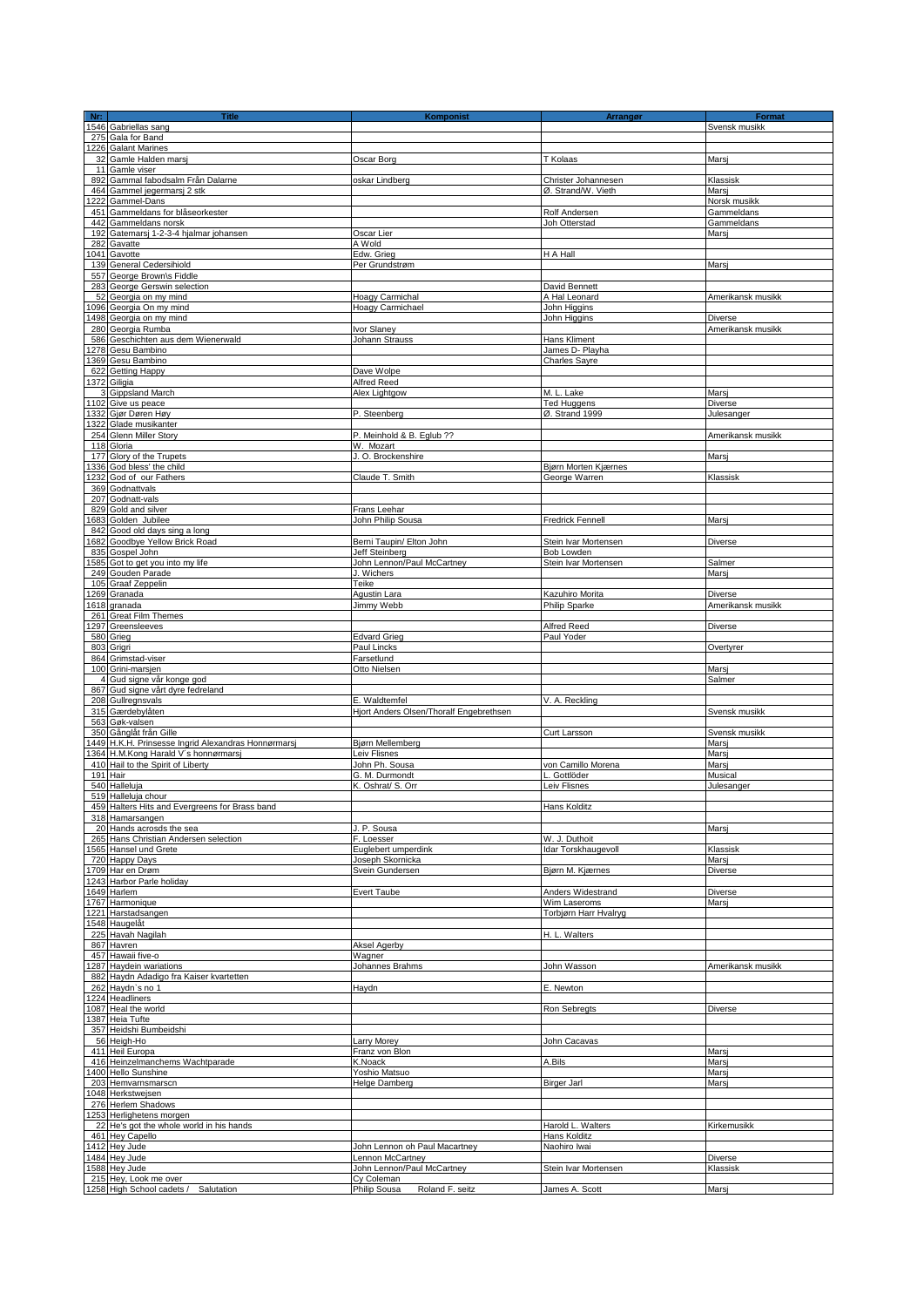| Nr: | <b>Title</b>                                       | <b>Komponist</b>                        | <b>Arrangør</b>          | Format            |
|-----|----------------------------------------------------|-----------------------------------------|--------------------------|-------------------|
|     | 1546 Gabriellas sang                               |                                         |                          | Svensk musikk     |
|     | 275 Gala for Band                                  |                                         |                          |                   |
|     | 1226 Galant Marines                                |                                         |                          |                   |
|     | 32 Gamle Halden marsi                              | Oscar Borg                              | T Kolaas                 | Marsi             |
|     | 11 Gamle viser                                     |                                         |                          |                   |
|     | 892 Gammal fabodsalm Från Dalarne                  | oskar Lindberg                          | Christer Johannesen      | Klassisk          |
|     | 464 Gammel jegermarsj 2 stk                        |                                         | Ø. Strand/W. Vieth       | Marsi             |
|     | 222 Gammel-Dans                                    |                                         |                          | Norsk musikk      |
|     | 451 Gammeldans for blåseorkester                   |                                         | Rolf Andersen            | Gammeldans        |
|     | 442 Gammeldans norsk                               |                                         | Joh Otterstad            | Gammeldans        |
|     | 192 Gatemarsj 1-2-3-4 hjalmar johansen             | Oscar Lier                              |                          | Marsi             |
|     | 282 Gavatte                                        | A Wold                                  |                          |                   |
|     | 1041 Gavotte                                       | Edw. Grieg                              | H A Hall                 |                   |
|     | 139 General Cedersihiold                           | Per Grundstrøm                          |                          | Marsj             |
|     | 557 George Brown\s Fiddle                          |                                         |                          |                   |
|     | 283 George Gerswin selection                       |                                         | David Bennett            |                   |
|     | 52 Georgia on my mind                              | Hoagy Carmichal                         | A Hal Leonard            | Amerikansk musikk |
|     | 1096 Georgia On my mind                            | Hoagy Carmichael                        | John Higgins             |                   |
|     | 1498 Georgia on my mind                            |                                         | John Higgins             | <b>Diverse</b>    |
|     | 280 Georgia Rumba                                  | Ivor Slaney                             |                          | Amerikansk musikk |
|     | 586 Geschichten aus dem Wienerwald                 | Johann Strauss                          | Hans Kliment             |                   |
|     | 278 Gesu Bambino                                   |                                         | James D- Playha          |                   |
|     |                                                    |                                         | <b>Charles Sayre</b>     |                   |
|     | 369 Gesu Bambino                                   |                                         |                          |                   |
|     | 622 Getting Happy                                  | Dave Wolpe                              |                          |                   |
|     | 1372 Giligia                                       | Alfred Reed                             |                          |                   |
|     | 3 Gippsland March                                  | Alex Lightgow                           | M. L. Lake               | Marsi             |
|     | 1102 Give us peace                                 |                                         | <b>Ted Huggens</b>       | Diverse           |
|     | 1332 Gjør Døren Høy                                | P. Steenberg                            | Ø. Strand 1999           | Julesanger        |
|     | 1322 Glade musikanter                              |                                         |                          |                   |
|     | 254 Glenn Miller Story                             | P. Meinhold & B. Eglub ??               |                          | Amerikansk musikk |
|     | 118 Gloria                                         | W. Mozart                               |                          |                   |
|     | 177 Glory of the Trupets                           | J. O. Brockenshire                      |                          | Marsj             |
|     | 1336 God bless' the child                          |                                         | Bjørn Morten Kjærnes     |                   |
|     | 1232 God of our Fathers                            | Claude T. Smith                         | George Warren            | Klassisk          |
|     | 369 Godnattvals                                    |                                         |                          |                   |
|     | 207 Godnatt-vals                                   |                                         |                          |                   |
|     | 829 Gold and silver                                | Frans Leehar                            |                          |                   |
|     | 1683 Golden Jubilee                                | John Philip Sousa                       | <b>Fredrick Fennell</b>  | Marsj             |
|     | 842 Good old days sing a long                      |                                         |                          |                   |
|     | 1682 Goodbye Yellow Brick Road                     | Berni Taupin/ Elton John                | Stein Ivar Mortensen     | Diverse           |
|     | 835 Gospel John                                    | <b>Jeff Steinberg</b>                   | Bob Lowden               |                   |
|     |                                                    |                                         |                          | Salmer            |
|     | 1585 Got to get you into my life                   | John Lennon/Paul McCartney              | Stein Ivar Mortensen     |                   |
|     | 249 Gouden Parade                                  | J. Wichers                              |                          | Marsi             |
|     | 105 Graaf Zeppelin                                 | Teike                                   |                          |                   |
|     | 1269 Granada                                       | Agustin Lara                            | Kazuhiro Morita          | Diverse           |
|     | 1618 granada                                       | Jimmy Webb                              | Philip Sparke            | Amerikansk musikk |
|     | 261 Great Film Themes                              |                                         |                          |                   |
|     | 1297 Greensleeves                                  |                                         | Alfred Reed              | Diverse           |
|     | 580 Grieg                                          | <b>Edvard Grieg</b>                     | Paul Yoder               |                   |
|     | 803 Grigri                                         | Paul Lincks                             |                          | Overtyrer         |
|     | 864 Grimstad-viser                                 | Farsetlund                              |                          |                   |
|     | 100 Grini-marsjen                                  | Otto Nielsen                            |                          | Marsj             |
|     | 4 Gud signe vår konge god                          |                                         |                          | Salmer            |
|     | 867 Gud signe vårt dyre fedreland                  |                                         |                          |                   |
|     | 208 Gullregnsvals                                  | E. Waldtemfel                           | V. A. Reckling           |                   |
|     | 315 Gærdebylåten                                   | Hjort Anders Olsen/Thoralf Engebrethsen |                          | Svensk musikk     |
|     | 563 Gøk-valsen                                     |                                         |                          |                   |
|     | 350 Gånglåt från Gille                             |                                         | Curt Larsson             | Svensk musikk     |
|     | 449 H.K.H. Prinsesse Ingrid Alexandras Honnørmarsj | Bjørn Mellemberg                        |                          | Marsj             |
|     | 1364 H.M.Kong Harald V's honnørmarsj               | Leiv Flisnes                            |                          | Marsi             |
|     | 410 Hail to the Spirit of Liberty                  | John Ph. Sousa                          | von Camillo Morena       | Marsi             |
|     | 191 Hair                                           | G. M. Durmondt                          | L. Gottlöder             | Musical           |
|     | 540 Halleluja                                      | K. Oshrat/ S. Orr                       | Leiv Flisnes             | Julesanger        |
|     | 519 Halleluja chour                                |                                         |                          |                   |
|     | 459 Halters Hits and Evergreens for Brass band     |                                         | Hans Kolditz             |                   |
|     | 318 Hamarsangen                                    |                                         |                          |                   |
|     | 20 Hands acrosds the sea                           | J. P. Sousa                             |                          | Marsj             |
|     | 265 Hans Christian Andersen selection              | F. Loesser                              | W. J. Duthoit            |                   |
|     | 1565 Hansel und Grete                              | Euglebert umperdink                     | Idar Torskhaugevoll      | Klassisk          |
|     | 720 Happy Days                                     | Joseph Skornicka                        |                          | Marsi             |
|     | 1709 Har en Drøm                                   | Svein Gundersen                         | Bjørn M. Kjærnes         | Diverse           |
|     | 1243 Harbor Parle holiday                          |                                         |                          |                   |
|     | 1649 Harlem                                        |                                         | <b>Anders Widestrand</b> |                   |
|     |                                                    | <b>Evert Taube</b>                      | Wim Laseroms             | Diverse           |
|     | 1767 Harmonique                                    |                                         |                          | Marsj             |
|     | 1221 Harstadsangen                                 |                                         | Torbjørn Harr Hvalryg    |                   |
|     | 1548 Haugelåt                                      |                                         |                          |                   |
|     | 225 Havah Nagilah                                  |                                         | H. L. Walters            |                   |
|     | 867 Havren                                         | <b>Aksel Agerby</b>                     |                          |                   |
|     | 457 Hawaii five-o                                  | Wagner                                  |                          |                   |
|     | 287 Haydein wariations                             | Johannes Brahms                         | John Wasson              | Amerikansk musikk |
|     | 882 Haydn Adadigo fra Kaiser kvartetten            |                                         |                          |                   |
|     | 262 Haydn's no 1                                   | Haydn                                   | E. Newton                |                   |
|     | 1224 Headliners                                    |                                         |                          |                   |
|     | 1087 Heal the world                                |                                         | Ron Sebregts             | Diverse           |
|     | 1387 Heia Tufte                                    |                                         |                          |                   |
|     | 357 Heidshi Bumbeidshi                             |                                         |                          |                   |
|     | 56 Heigh-Ho                                        | <b>Larry Morey</b>                      | John Cacavas             |                   |
|     | 411 Heil Europa                                    | Franz von Blon                          |                          | Marsj             |
|     | 416 Heinzelmanchems Wachtparade                    | K.Noack                                 | A.Bils                   | Marsi             |
|     | 1400 Hello Sunshine                                | Yoshio Matsuo                           |                          | Mars              |
|     | 203 Hemvarnsmarscn                                 | Helge Damberg                           | Birger Jarl              | Marsj             |
|     | 1048 Herkstwejsen                                  |                                         |                          |                   |
|     | 276 Herlem Shadows                                 |                                         |                          |                   |
|     | 1253 Herlighetens morgen                           |                                         |                          |                   |
|     | 22 He's got the whole world in his hands           |                                         | Harold L. Walters        | Kirkemusikk       |
|     | 461 Hey Capello                                    |                                         | Hans Kolditz             |                   |
|     |                                                    |                                         |                          |                   |
|     | 1412 Hey Jude                                      | John Lennon oh Paul Macartney           | Naohiro Iwai             |                   |
|     | 1484 Hey Jude                                      | Lennon McCartney                        |                          | <b>Diverse</b>    |
|     | 1588 Hey Jude                                      | John Lennon/Paul McCartney              | Stein Ivar Mortensen     | Klassisk          |
|     | 215 Hey, Look me over                              | Cy Coleman                              |                          |                   |
|     | 1258 High School cadets /<br>Salutation            | Philip Sousa<br>Roland F. seitz         | James A. Scott           | Marsj             |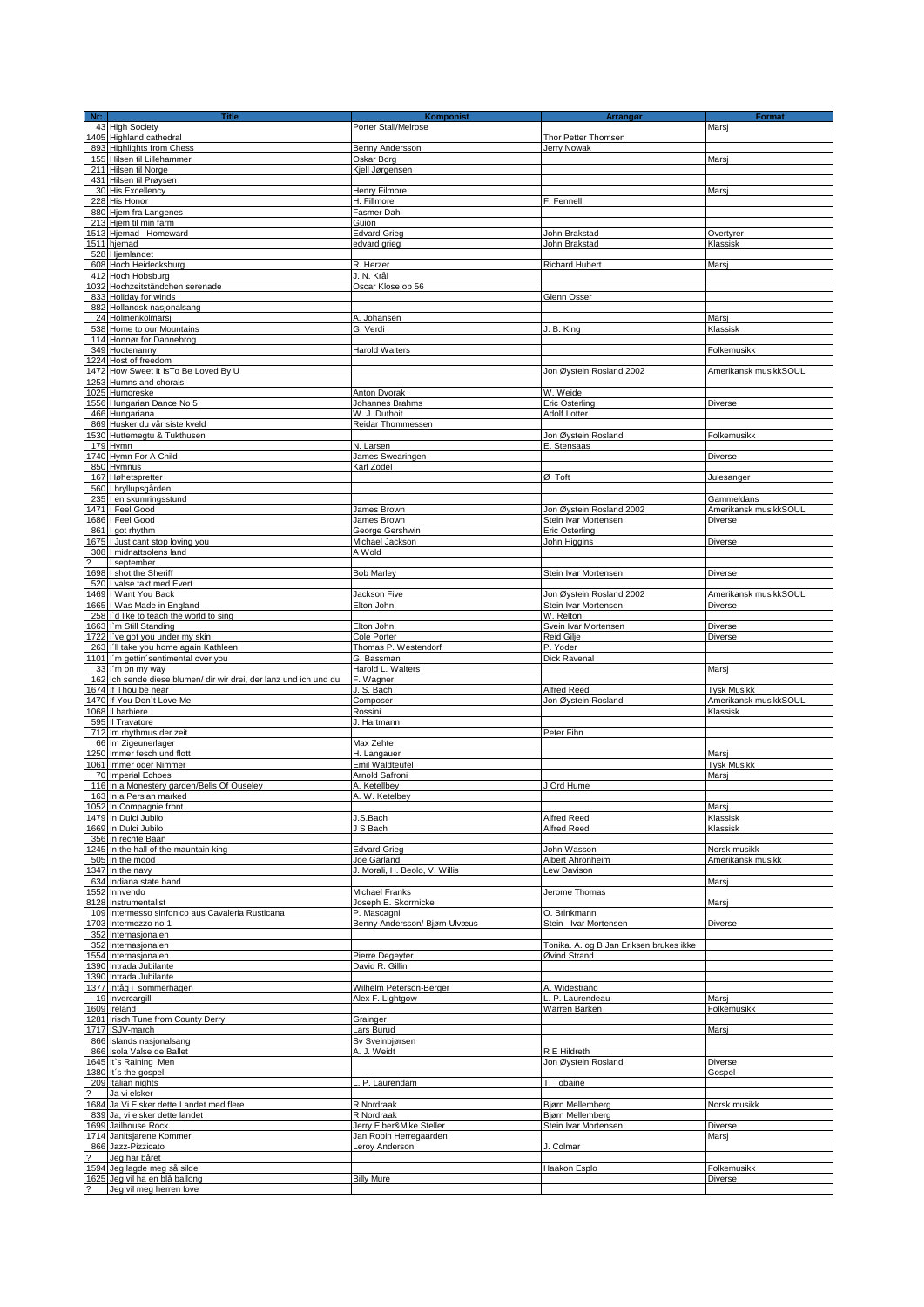| $Nr$ :                   | <b>Title</b>                                                      | Komponist                                   | Arrangør                                         | <b>Format</b>                           |
|--------------------------|-------------------------------------------------------------------|---------------------------------------------|--------------------------------------------------|-----------------------------------------|
|                          | 43 High Society                                                   | Porter Stall/Melrose                        |                                                  | Marsi                                   |
|                          | 1405 Highland cathedral                                           |                                             | Thor Petter Thomsen                              |                                         |
|                          | 893 Highlights from Chess                                         | Benny Andersson                             | Jerry Nowak                                      |                                         |
|                          | 155 Hilsen til Lillehammer                                        | Oskar Borg                                  |                                                  | Marsi                                   |
|                          | 211 Hilsen til Norge                                              | Kjell Jørgensen                             |                                                  |                                         |
|                          | 431 Hilsen til Prøysen                                            | Henry Filmore                               |                                                  |                                         |
|                          | 30 His Excellency<br>228 His Honor                                | H. Fillmore                                 | F. Fennell                                       | Marsj                                   |
|                          | 880 Hjem fra Langenes                                             | Fasmer Dahl                                 |                                                  |                                         |
|                          | 213 Hjem til min farm                                             | Guion                                       |                                                  |                                         |
|                          | 1513 Hjemad Homeward                                              | <b>Edvard Grieg</b>                         | John Brakstad                                    | Overtyrer                               |
|                          | 1511 hjemad                                                       | edvard grieg                                | John Brakstad                                    | Klassisk                                |
|                          | 528 Hjemlandet                                                    |                                             |                                                  |                                         |
|                          | 608 Hoch Heidecksburg                                             | R. Herzer                                   | <b>Richard Hubert</b>                            | Marsj                                   |
| 412                      | Hoch Hobsburg                                                     | J. N. Krâl                                  |                                                  |                                         |
|                          | 1032 Hochzeitständchen serenade                                   | Oscar Klose op 56                           |                                                  |                                         |
| 833                      | Holiday for winds                                                 |                                             | Glenn Osser                                      |                                         |
|                          | 882 Hollandsk nasjonalsang                                        | A. Johansen                                 |                                                  | Marsi                                   |
|                          | 24 Holmenkolmarsj<br>538 Home to our Mountains                    | G. Verdi                                    | J. B. King                                       | Klassisk                                |
|                          | 114 Honnør for Dannebrog                                          |                                             |                                                  |                                         |
|                          | 349 Hootenanny                                                    | <b>Harold Walters</b>                       |                                                  | Folkemusikk                             |
|                          | 1224 Host of freedom                                              |                                             |                                                  |                                         |
| 1472                     | How Sweet It IsTo Be Loved By U                                   |                                             | Jon Øystein Rosland 2002                         | Amerikansk musikkSOUL                   |
| 1253                     | Humns and chorals                                                 |                                             |                                                  |                                         |
|                          | 1025 Humoreske                                                    | Anton Dvorak                                | W. Weide                                         |                                         |
|                          | 1556 Hungarian Dance No 5                                         | Johannes Brahms                             | <b>Eric Osterling</b>                            | Diverse                                 |
|                          | 466 Hungariana                                                    | W. J. Duthoit                               | Adolf Lotter                                     |                                         |
|                          | 869 Husker du vår siste kveld<br>1530 Huttemegtu & Tukthusen      | Reidar Thommessen                           | Jon Øystein Rosland                              | Folkemusikk                             |
| 179                      | Hymn                                                              | N. Larsen                                   | E. Stensaas                                      |                                         |
|                          | 1740 Hymn For A Child                                             | James Swearingen                            |                                                  | Diverse                                 |
|                          | 850 Hymnus                                                        | Karl Zodel                                  |                                                  |                                         |
|                          | 167 Høhetspretter                                                 |                                             | Ø Toft                                           | Julesanger                              |
|                          | 560 I bryllupsgården                                              |                                             |                                                  |                                         |
| 235                      | I en skumringsstund                                               |                                             |                                                  | Gammeldans                              |
| 1686                     | 1471   Feel Good<br>I Feel Good                                   | James Brown<br>James Brown                  | Jon Øystein Rosland 2002<br>Stein Ivar Mortensen | Amerikansk musikkSOUL<br>Diverse        |
|                          | 861 I got rhythm                                                  | George Gershwin                             | Eric Osterling                                   |                                         |
|                          | 1675 I Just cant stop loving you                                  | Michael Jackson                             | John Higgins                                     | Diverse                                 |
|                          | 308 I midnattsolens land                                          | A Wold                                      |                                                  |                                         |
|                          | I september                                                       |                                             |                                                  |                                         |
|                          | 1698 I shot the Sheriff                                           | <b>Bob Marley</b>                           | Stein Ivar Mortensen                             | Diverse                                 |
|                          | 520 I valse takt med Evert                                        |                                             |                                                  |                                         |
|                          | 1469 I Want You Back<br>1665 I Was Made in England                | Jackson Five<br>Elton John                  | Jon Øystein Rosland 2002<br>Stein Ivar Mortensen | Amerikansk musikkSOUL<br><b>Diverse</b> |
|                          | 258 I'd like to teach the world to sing                           |                                             | W. Relton                                        |                                         |
|                          | 1663 I'm Still Standing                                           | Elton John                                  | Svein Ivar Mortensen                             | <b>Diverse</b>                          |
|                          | 1722 I've got you under my skin                                   | Cole Porter                                 | Reid Gilje                                       | <b>Diverse</b>                          |
|                          | 263 I'll take you home again Kathleen                             | Thomas P. Westendorf                        | P. Yoder                                         |                                         |
|                          | 1101 I'm gettin sentimental over you                              | G. Bassman                                  | Dick Ravenal                                     |                                         |
|                          | 33 I'm on my way                                                  | Harold L. Walters                           |                                                  | Marsj                                   |
|                          | 162 Ich sende diese blumen/ dir wir drei, der lanz und ich und du | F. Wagner                                   |                                                  |                                         |
|                          | 1674 If Thou be near<br>1470 If You Don't Love Me                 | J. S. Bach<br>Composer                      | Alfred Reed<br>Jon Øystein Rosland               | Tysk Musikk<br>Amerikansk musikkSOUL    |
|                          | 1068 Il barbiere                                                  | Rossini                                     |                                                  | Klassisk                                |
|                          | 595 Il Travatore                                                  | J. Hartmann                                 |                                                  |                                         |
|                          | 712 Im rhythmus der zeit                                          |                                             | Peter Fihn                                       |                                         |
|                          | 66 Im Zigeunerlager                                               | Max Zehte                                   |                                                  |                                         |
|                          | 1250 Immer fesch und flott                                        | H. Langauer                                 |                                                  | Marsi                                   |
|                          | 1061 Immer oder Nimmer                                            | Emil Waldteufel                             |                                                  | <b>Tysk Musikk</b><br>Marsi             |
|                          | 70 Imperial Echoes<br>116 In a Monestery garden/Bells Of Ouseley  | Arnold Safroni<br>A. Ketellbey              | J Ord Hume                                       |                                         |
|                          | 163 In a Persian marked                                           | A. W. Ketelbey                              |                                                  |                                         |
|                          | 1052 In Compagnie front                                           |                                             |                                                  | Marsi                                   |
|                          | 1479 In Dulci Jubilo                                              | J.S.Bach                                    | Alfred Reed                                      | Klassisk                                |
|                          | 1669 In Dulci Jubilo                                              | J S Bach                                    | Alfred Reed                                      | Klassisk                                |
|                          | 356 In rechte Baan                                                |                                             |                                                  |                                         |
|                          | 1245 In the hall of the mauntain king<br>505 In the mood          | <b>Edvard Grieg</b><br>Joe Garland          | John Wasson<br>Albert Ahronheim                  | Norsk musikk<br>Amerikansk musikk       |
|                          | 1347 In the navy                                                  | J. Morali, H. Beolo, V. Willis              | Lew Davison                                      |                                         |
|                          | 634 Indiana state band                                            |                                             |                                                  | Marsj                                   |
| 1552                     | Innvendo                                                          | <b>Michael Franks</b>                       | Jerome Thomas                                    |                                         |
| 8128                     | Instrumentalist                                                   | Joseph E. Skorrnicke                        |                                                  | Marsj                                   |
|                          | 109 Intermesso sinfonico aus Cavaleria Rusticana                  | P. Mascagni                                 | O. Brinkmann                                     |                                         |
|                          | 1703 Intermezzo no 1<br>352 Internasjonalen                       | Benny Andersson/ Bjørn Ulvæus               | Stein Ivar Mortensen                             | Diverse                                 |
|                          | 352 Internasjonalen                                               |                                             | Tonika. A. og B Jan Eriksen brukes ikke          |                                         |
|                          | 1554 Internasjonalen                                              | Pierre Degeyter                             | Øvind Strand                                     |                                         |
|                          | 1390 Intrada Jubilante                                            | David R. Gillin                             |                                                  |                                         |
| 1390                     | Intrada Jubilante                                                 |                                             |                                                  |                                         |
|                          | 1377 Intåg i sommerhagen                                          | Wilhelm Peterson-Berger<br>Alex F. Lightgow | A. Widestrand                                    |                                         |
|                          | 19 Invercargill<br>1609 Ireland                                   |                                             | L. P. Laurendeau<br>Warren Barken                | Marsi<br>Folkemusikk                    |
|                          | 1281 Irisch Tune from County Derry                                | Grainger                                    |                                                  |                                         |
|                          | 1717 ISJV-march                                                   | Lars Burud                                  |                                                  | Marsj                                   |
|                          | 866 Islands nasjonalsang                                          | Sv Sveinbjørsen                             |                                                  |                                         |
|                          | 866 Isola Valse de Ballet                                         | A. J. Weidt                                 | R E Hildreth                                     |                                         |
|                          | 1645 It's Raining Men                                             |                                             | Jon Øystein Rosland                              | Diverse                                 |
|                          | 1380 It's the gospel                                              | P. Laurendam                                |                                                  | Gospel                                  |
|                          | 209 Italian nights<br>Ja vi elsker                                |                                             | T. Tobaine                                       |                                         |
|                          | 1684 Ja Vi Elsker dette Landet med flere                          | R Nordraak                                  | Bjørn Mellemberg                                 | Norsk musikk                            |
|                          | 839 Ja, vi elsker dette landet                                    | R Nordraak                                  | Bjørn Mellemberg                                 |                                         |
| 1699                     | Jailhouse Rock                                                    | Jerry Eiber&Mike Steller                    | Stein Ivar Mortensen                             | Diverse                                 |
|                          | 1714 Janitsjarene Kommer                                          | Jan Robin Herregaarden                      |                                                  | Marsj                                   |
|                          | 866 Jazz-Pizzicato                                                | Leroy Anderson                              | J. Colmar                                        |                                         |
| 1594                     | Jeg har båret<br>Jeg lagde meg så silde                           |                                             | Haakon Esplo                                     | Folkemusikk                             |
|                          | 1625 Jeg vil ha en blå ballong                                    | <b>Billy Mure</b>                           |                                                  | Diverse                                 |
| $\overline{\mathcal{E}}$ | Jeg vil meg herren love                                           |                                             |                                                  |                                         |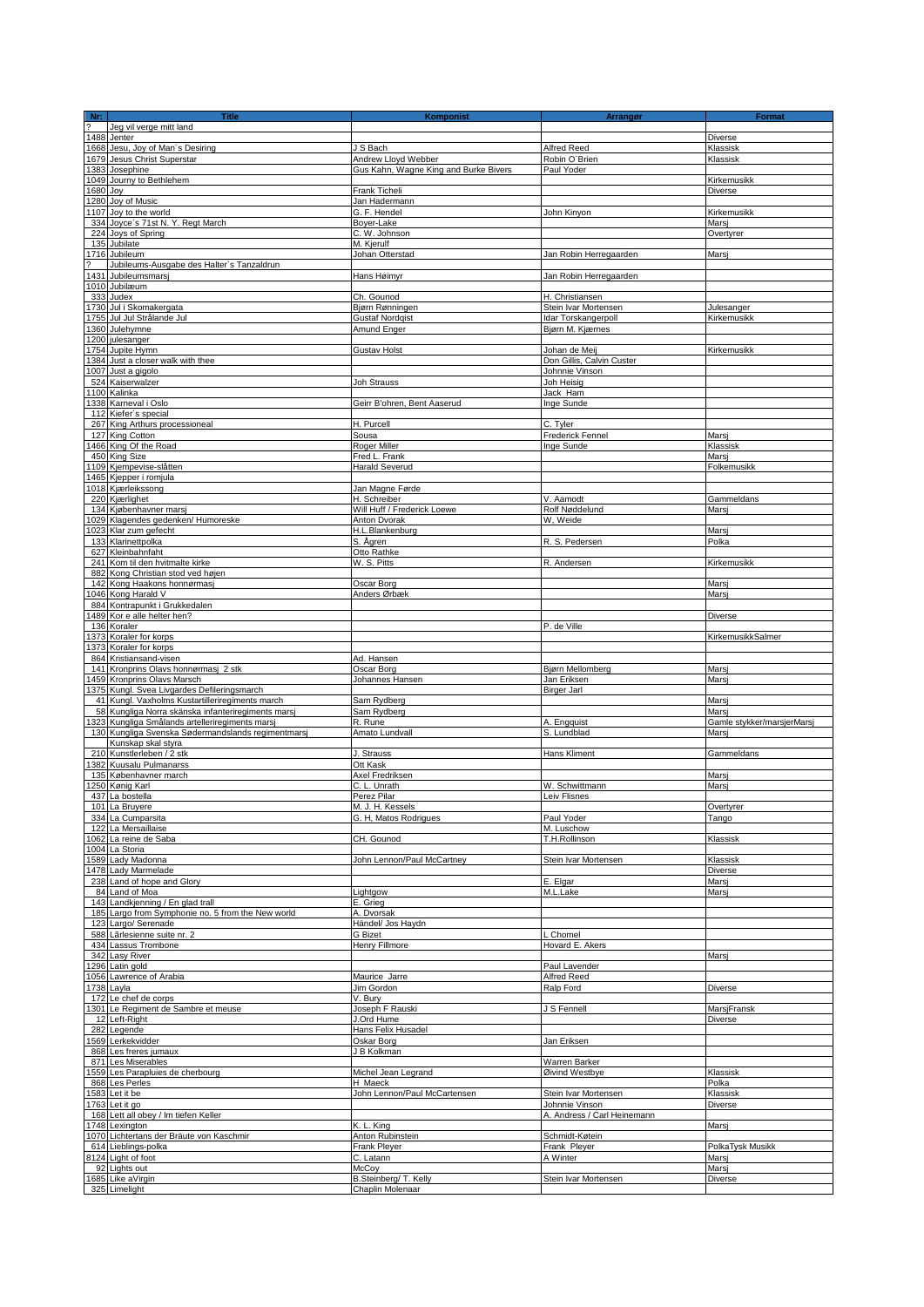| $rac{\mathbf{Nr:}}{?}$ | <b>Title</b>                                       | Komponist                             | Arrangør                    | <b>Format</b>              |
|------------------------|----------------------------------------------------|---------------------------------------|-----------------------------|----------------------------|
|                        | Jeg vil verge mitt land                            |                                       |                             |                            |
|                        | 1488 Jenter                                        |                                       |                             | Diverse                    |
|                        | 1668 Jesu, Joy of Man's Desiring                   | J S Bach                              | Alfred Reed                 | Klassisk                   |
|                        | 1679 Jesus Christ Superstar                        | Andrew Lloyd Webber                   | Robin O'Brien               | Klassisk                   |
|                        | 1383 Josephine                                     | Gus Kahn, Wagne King and Burke Bivers | Paul Yoder                  |                            |
|                        | 1049 Journy to Bethlehem                           |                                       |                             | Kirkemusikk                |
| 1680 Joy               |                                                    | Frank Ticheli                         |                             | <b>Diverse</b>             |
|                        | 1280 Joy of Music                                  | Jan Hadermann                         |                             |                            |
|                        | 1107 Joy to the world                              | G. F. Hendel                          | John Kinyon                 | Kirkemusikk                |
|                        | 334 Joyce's 71st N.Y. Regt March                   | Boyer-Lake                            |                             | Marsi                      |
|                        | 224 Joys of Spring                                 | C. W. Johnson                         |                             | Overtyrer                  |
|                        | 135 Jubilate                                       | M. Kjerulf                            |                             |                            |
|                        | 1716 Jubileum                                      | Johan Otterstad                       | Jan Robin Herregaarden      | Marsj                      |
|                        | Jubileums-Ausgabe des Halter's Tanzaldrun          |                                       |                             |                            |
|                        | 1431 Jubileumsmarsj                                | Hans Høimyr                           | Jan Robin Herregaarden      |                            |
|                        | 1010 Jubilæum                                      |                                       |                             |                            |
| 333                    | Judex                                              | Ch. Gounod                            | H. Christiansen             |                            |
|                        | 1730 Jul i Skomakergata                            | Bjørn Rønningen                       | Stein Ivar Mortensen        | Julesanger                 |
|                        | 1755 Jul Jul Strålande Jul                         | <b>Gustaf Nordgist</b>                | Idar Torskangerpoll         | Kirkemusikk                |
|                        | 1360 Julehymne                                     | Amund Enger                           | Bjørn M. Kjærnes            |                            |
|                        | 1200 julesanger                                    |                                       |                             |                            |
|                        | 1754 Jupite Hymn                                   | <b>Gustav Holst</b>                   | Johan de Meij               | Kirkemusikk                |
|                        | 1384 Just a closer walk with thee                  |                                       | Don Gillis, Calvin Custer   |                            |
|                        | 1007 Just a gigolo                                 |                                       | Johnnie Vinson              |                            |
|                        | 524 Kaiserwalzer                                   | Joh Strauss                           | Joh Heisig                  |                            |
|                        | 1100 Kalinka                                       |                                       | Jack Ham                    |                            |
|                        | 1338 Karneval i Oslo                               | Geirr B'ohren, Bent Aaserud           | Inge Sunde                  |                            |
|                        | 112 Kiefer's special                               |                                       |                             |                            |
|                        | 267 King Arthurs processioneal                     | H. Purcell                            | C. Tyler                    |                            |
|                        | 127 King Cotton                                    | Sousa                                 | Frederick Fennel            | Marsi                      |
|                        | 1466 King Of the Road                              | Roger Miller                          | Inge Sunde                  | Klassisk                   |
|                        | 450 King Size                                      | Fred L. Frank                         |                             | Marsi                      |
|                        | 1109 Kjempevise-slåtten                            | <b>Harald Severud</b>                 |                             | Folkemusikk                |
|                        | 1465 Kjepper i romjula                             |                                       |                             |                            |
|                        |                                                    |                                       |                             |                            |
|                        | 1018 Kjærleikssong                                 | Jan Magne Førde                       |                             |                            |
|                        | 220 Kjærlighet                                     | H. Schreiber                          | V. Aamodt                   | Gammeldans                 |
|                        | 134 Kjøbenhavner marsj                             | Will Huff / Frederick Loewe           | Rolf Nøddelund              | Marsi                      |
|                        | 1029 Klagendes gedenken/ Humoreske                 | Anton Dvorak                          | W, Weide                    |                            |
|                        | 1023 Klar zum gefecht                              | H.L.Blankenburg                       |                             | Marsi                      |
|                        | 133 Klarinettpolka                                 | S. Ägren                              | R. S. Pedersen              | Polka                      |
|                        | 627 Kleinbahnfaht                                  | Otto Rathke                           |                             |                            |
|                        | 241 Kom til den hvitmalte kirke                    | W. S. Pitts                           | R. Andersen                 | Kirkemusikk                |
|                        | 882 Kong Christian stod ved højen                  |                                       |                             |                            |
|                        | 142 Kong Haakons honnørmasj                        | Oscar Borg                            |                             | Marsi                      |
|                        | 1046 Kong Harald V                                 | Anders Ørbæk                          |                             | Marsj                      |
|                        | 884 Kontrapunkt i Grukkedalen                      |                                       |                             |                            |
|                        | 1489 Kor e alle helter hen?                        |                                       |                             | Diverse                    |
|                        | 136 Koraler                                        |                                       | P. de Ville                 |                            |
|                        | 1373 Koraler for korps                             |                                       |                             | KirkemusikkSalmer          |
|                        | 1373 Koraler for korps                             |                                       |                             |                            |
|                        | 864 Kristiansand-visen                             | Ad. Hansen                            |                             |                            |
|                        | 141 Kronprins Olavs honnørmasj 2 stk.              | Oscar Borg                            | Bjørn Mellomberg            | Marsj                      |
|                        | 1459 Kronprins Olavs Marsch                        | Johannes Hansen                       | Jan Eriksen                 | Marsi                      |
|                        | 1375 Kungl. Svea Livgardes Defileringsmarch        |                                       | <b>Birger Jarl</b>          |                            |
|                        | 41 Kungl. Vaxholms Kustartilleriregiments march    | Sam Rydberg                           |                             | Marsj                      |
|                        | 58 Kungliga Norra skänska infanteriregiments marsj | Sam Rydberg                           |                             | Mars                       |
|                        | 1323 Kungliga Smålands artelleriregiments marsj    | R. Rune                               | A. Engquist                 | Gamle stykker/marsjerMarsj |
|                        | 130 Kungliga Svenska Sødermandslands regimentmarsj | Amato Lundvall                        | S. Lundblad                 | Marsi                      |
|                        | Kunskap skal styra                                 |                                       |                             |                            |
|                        | 210 Kunstlerleben / 2 stk                          | J. Strauss                            | Hans Kliment                | Gammeldans                 |
|                        | 1382 Kuusalu Pulmanarss                            | Ott Kask                              |                             |                            |
|                        | 135 Københavner march                              | Axel Fredriksen                       |                             | Marsj                      |
|                        | 1250 Kønig Karl                                    | C. L. Unrath                          | W. Schwittmann              | Marsj                      |
|                        | 437 La bostella                                    | Perez Pilar                           | Leiv Flisnes                |                            |
|                        | 101 La Bruvere                                     | M. J. H. Kessels                      |                             | Overtvrer                  |
|                        | 334 La Cumparsita                                  | G. H. Matos Rodrigues                 | Paul Yoder                  |                            |
|                        | 122 La Mersaillaise                                |                                       | M. Luschow                  | Tango                      |
|                        | 1062 La reine de Saba                              | CH. Gounod                            | T.H.Rollinson               | Klassisk                   |
|                        | 1004 La Storia                                     |                                       |                             |                            |
|                        | 1589 Lady Madonna                                  | John Lennon/Paul McCartney            | Stein Ivar Mortensen        | Klassisk                   |
|                        | 1478 Lady Marmelade                                |                                       |                             | <b>Diverse</b>             |
|                        | 238 Land of hope and Glory                         |                                       | E. Elgar                    | Marsj                      |
|                        | 84 Land of Moa                                     | Lightgow                              | M.L.Lake                    | Marsi                      |
|                        | 143 Landkjenning / En glad trall                   | E. Grieg                              |                             |                            |
|                        | 185 Largo from Symphonie no. 5 from the New world  | A. Dvorsak                            |                             |                            |
|                        | 123 Largo/ Serenade                                | Händel/ Jos Haydn                     |                             |                            |
|                        |                                                    |                                       |                             |                            |
|                        | 588 Lärlesienne suite nr. 2                        | <b>G</b> Bizet                        | L Chomel<br>Hovard E. Akers |                            |
|                        | 434 Lassus Trombone                                | Henry Fillmore                        |                             |                            |
|                        | 342 Lasy River                                     |                                       |                             | Marsj                      |
|                        | 1296 Latin gold                                    |                                       | Paul Lavender               |                            |
|                        | 1056 Lawrence of Arabia                            | Maurice Jarre                         | <b>Alfred Reed</b>          |                            |
|                        | 1738 Layla                                         | Jim Gordon                            | Ralp Ford                   | Diverse                    |
|                        | 172 Le chef de corps                               | V. Bury                               |                             |                            |
|                        | 1301 Le Regiment de Sambre et meuse                | Joseph F Rauski                       | J S Fennell                 | MarsjFransk                |
|                        | 12 Left-Right                                      | J.Ord Hume                            |                             | Diverse                    |
|                        | 282 Legende                                        | Hans Felix Husadel                    |                             |                            |
|                        | 1569 Lerkekvidder                                  | Oskar Borg                            | Jan Eriksen                 |                            |
|                        | 868 Les freres jumaux                              | J B Kolkman                           |                             |                            |
|                        | 871 Les Miserables                                 |                                       | Warren Barker               |                            |
|                        | 1559 Les Parapluies de cherbourg                   | Michel Jean Legrand                   | Øivind Westbye              | Klassisk                   |
|                        | 868 Les Perles                                     | H Maeck                               |                             | Polka                      |
|                        | 1583 Let it be                                     | John Lennon/Paul McCartensen          | Stein Ivar Mortensen        | Klassisk                   |
|                        | 1763 Let it go                                     |                                       | Johnnie Vinson              | Diverse                    |
|                        | 168 Lett all obey / Im tiefen Keller               |                                       | A. Andress / Carl Heinemann |                            |
|                        | 1748 Lexington                                     | K. L. King                            |                             | Marsj                      |
|                        | 1070 Lichtertans der Bräute von Kaschmir           | Anton Rubinstein                      | Schmidt-Køtein              |                            |
|                        | 614 Lieblings-polka                                | Frank Pleyer                          | Frank Pleyer                | PolkaTysk Musikk           |
|                        | 8124 Light of foot                                 | C. Latann                             | A Winter                    | Marsi                      |
|                        | 92 Lights out                                      | McCoy                                 |                             | Marsi                      |
|                        | 1685 Like aVirgin                                  | B.Steinberg/T. Kelly                  | Stein Ivar Mortensen        | Diverse                    |
|                        | 325 Limelight                                      | Chaplin Molenaar                      |                             |                            |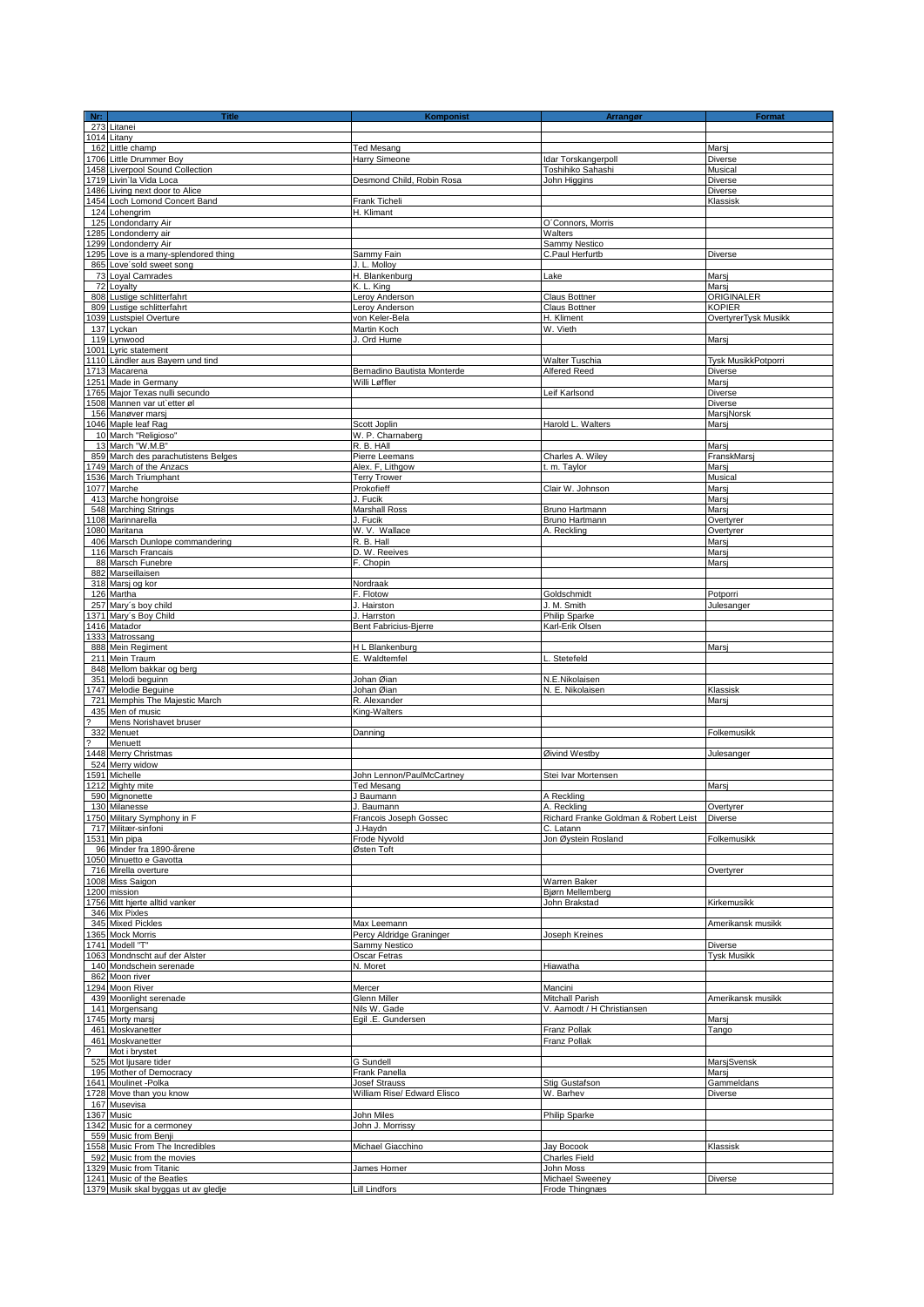| Nr:                      | <b>Title</b>                                                    | Komponist                    | Arrangør                              | Format                         |
|--------------------------|-----------------------------------------------------------------|------------------------------|---------------------------------------|--------------------------------|
|                          | 273 Litanei                                                     |                              |                                       |                                |
|                          | 1014 Litany                                                     |                              |                                       |                                |
| 162                      | Little champ                                                    | <b>Ted Mesang</b>            |                                       | Marsj                          |
|                          | 1706 Little Drummer Boy                                         | Harry Simeone                | Idar Torskangerpoll                   | <b>Diverse</b>                 |
|                          | 1458 Liverpool Sound Collection                                 |                              | Toshihiko Sahashi                     | Musical                        |
|                          | 1719 Livin'la Vida Loca                                         | Desmond Child, Robin Rosa    | John Higgins                          | Diverse                        |
|                          | 1486 Living next door to Alice<br>1454 Loch Lomond Concert Band | Frank Ticheli                |                                       | Diverse<br>Klassisk            |
|                          | 124 Lohengrim                                                   | H. Klimant                   |                                       |                                |
|                          | 125 Londondarry Air                                             |                              | O'Connors, Morris                     |                                |
|                          | 1285 Londonderry air                                            |                              | Walters                               |                                |
|                          | 1299 Londonderry Air                                            |                              | Sammy Nestico                         |                                |
|                          | 1295 Love is a many-splendored thing                            | Sammy Fain                   | C.Paul Herfurtb                       | Diverse                        |
|                          | 865 Love'sold sweet song                                        | J. L. Molloy                 |                                       |                                |
|                          | 73 Loyal Camrades                                               | H. Blankenburg               | Lake                                  | Marsi                          |
| 72                       | Loyalty                                                         | K. L. King                   |                                       | Marsi                          |
|                          | 808 Lustige schlitterfahrt                                      | Leroy Anderson               | <b>Claus Bottner</b>                  | ORIGINALER                     |
|                          | 809 Lustige schlitterfahrt                                      | Leroy Anderson               | Claus Bottner                         | <b>KOPIER</b>                  |
|                          | 1039 Lustspiel Overture                                         | von Keler-Bela               | H. Kliment                            | OvertyrerTysk Musikk           |
|                          | 137 Lyckan                                                      | Martin Koch                  | W. Vieth                              |                                |
|                          | 119 Lynwood                                                     | J. Ord Hume                  |                                       | Marsj                          |
|                          | 1001 Lyric statement                                            |                              |                                       |                                |
|                          | 1110 Ländler aus Bayern und tind<br>1713 Macarena               | Bernadino Bautista Monterde  | Walter Tuschia<br>Alfered Reed        | Tysk MusikkPotporri<br>Diverse |
|                          | 1251 Made in Germany                                            | Willi Løffler                |                                       | Marsi                          |
|                          | 1765 Major Texas nulli secundo                                  |                              | Leif Karlsond                         | <b>Diverse</b>                 |
|                          | 1508 Mannen var ut'etter øl                                     |                              |                                       | Diverse                        |
|                          | 156 Manøver marsj                                               |                              |                                       | MarsjNorsk                     |
|                          | 1046 Maple leaf Rag                                             | Scott Joplin                 | Harold L. Walters                     | Marsi                          |
|                          | 10 March "Religioso"                                            | W. P. Charnaberg             |                                       |                                |
|                          | 13 March "W.M.B"                                                | R. B. HAII                   |                                       | Marsi                          |
|                          | 859 March des parachutistens Belges                             | Pierre Leemans               | Charles A. Wiley                      | FranskMarsj                    |
|                          | 1749 March of the Anzacs                                        | Alex. F. Lithaow             | t. m. Taylor                          | Marsi                          |
|                          | 1536 March Triumphant                                           | <b>Terry Trower</b>          |                                       | Musical                        |
|                          | 1077 Marche                                                     | Prokofieff                   | Clair W. Johnson                      | Marsi                          |
|                          | 413 Marche hongroise                                            | J. Fucik                     |                                       | Marsi                          |
|                          | 548 Marching Strings                                            | Marshall Ross                | Bruno Hartmann                        | Marsi                          |
|                          | 1108 Marinnarella                                               | J. Fucik                     | Bruno Hartmann                        | Overtvrer                      |
|                          | 1080 Maritana<br>406 Marsch Dunlope commandering                | W. V. Wallace                | A. Reckling                           | Overtyrer                      |
|                          | 116 Marsch Francais                                             | R. B. Hall<br>D. W. Reeives  |                                       | Marsi<br>Marsj                 |
|                          | 88 Marsch Funebre                                               | F. Chopin                    |                                       | Marsj                          |
|                          | 882 Marseillaisen                                               |                              |                                       |                                |
|                          | 318 Marsj og kor                                                | Nordraak                     |                                       |                                |
|                          | 126 Martha                                                      | F. Flotow                    | Goldschmidt                           | Potporri                       |
|                          | 257 Mary's boy child                                            | J. Hairston                  | J. M. Smith                           | Julesanger                     |
|                          | 1371 Mary's Boy Child                                           | J. Harrston                  | Philip Sparke                         |                                |
|                          | 1416 Matador                                                    | Bent Fabricius-Bjerre        | Karl-Erik Olsen                       |                                |
|                          | 1333 Matrossang                                                 |                              |                                       |                                |
|                          | 888 Mein Regiment                                               | H L Blankenburg              |                                       | Marsj                          |
|                          | 211 Mein Traum                                                  | E. Waldtemfel                | L. Stetefeld                          |                                |
|                          | 848 Mellom bakkar og berg                                       |                              |                                       |                                |
|                          | 351 Melodi beguinn                                              | Johan Øian                   | N.E.Nikolaisen                        |                                |
|                          | 1747 Melodie Beguine                                            | Johan Øian                   | N. E. Nikolaisen                      | Klassisk                       |
|                          | 721 Memphis The Majestic March<br>435 Men of music              | R. Alexander<br>King-Walters |                                       | Marsi                          |
| $\overline{\mathcal{L}}$ | Mens Norishavet bruser                                          |                              |                                       |                                |
|                          | 332 Menuet                                                      | Danning                      |                                       | Folkemusikk                    |
| $\overline{\mathcal{E}}$ | Menuett                                                         |                              |                                       |                                |
|                          | 1448 Merry Christmas                                            |                              | Øivind Westby                         | Julesanger                     |
|                          | 524 Merry widow                                                 |                              |                                       |                                |
|                          | 1591 Michelle                                                   | John Lennon/PaulMcCartney    | Stei Ivar Mortensen                   |                                |
|                          | 1212 Mighty mite                                                | <b>Ted Mesang</b>            |                                       | Marsi                          |
|                          | 590 Mignonette                                                  | J Baumann                    | A Reckling                            |                                |
|                          | 130 Milanesse                                                   | J. Baumann                   | A. Reckling                           | Overtvrer                      |
|                          | 1750 Military Symphony in F                                     | Francois Joseph Gossec       | Richard Franke Goldman & Robert Leist | Diverse                        |
|                          | 717 Militær-sinfoni                                             | J.Haydn                      | C. Latann                             |                                |
|                          | 1531 Min pipa<br>96 Minder fra 1890-årene                       | Frode Nyvold<br>Østen Toft   | Jon Øystein Rosland                   | Folkemusikk                    |
|                          | 1050 Minuetto e Gavotta                                         |                              |                                       |                                |
|                          | 716 Mirella overture                                            |                              |                                       | Overtyrer                      |
|                          | 1008 Miss Saigon                                                |                              | Warren Baker                          |                                |
|                          | 1200 mission                                                    |                              | Bjørn Mellemberg                      |                                |
|                          | 1756 Mitt hjerte alltid vanker                                  |                              | John Brakstad                         | Kirkemusikk                    |
|                          | 346 Mix Pixles                                                  |                              |                                       |                                |
|                          | 345 Mixed Pickles                                               | Max Leemann                  |                                       | Amerikansk musikk              |
|                          | 1365 Mock Morris                                                | Percy Aldridge Graninger     | Joseph Kreines                        |                                |
|                          | 1741 Modell "T"                                                 | Sammy Nestico                |                                       | <b>Diverse</b>                 |
|                          | 1063 Mondnscht auf der Alster                                   | Oscar Fetras                 |                                       | <b>Tysk Musikk</b>             |
|                          | 140 Mondschein serenade                                         | N. Moret                     | Hiawatha                              |                                |
|                          | 862 Moon river<br>1294 Moon River                               | Mercer                       | Mancini                               |                                |
|                          | 439 Moonlight serenade                                          | Glenn Miller                 | Mitchall Parish                       | Amerikansk musikk              |
|                          | 141 Morgensang                                                  | Nils W. Gade                 | V. Aamodt / H Christiansen            |                                |
|                          | 1745 Morty marsi                                                | Egil .E. Gundersen           |                                       | Marsj                          |
|                          | 461 Moskvanetter                                                |                              | Franz Pollak                          | Tango                          |
|                          | 461 Moskvanetter                                                |                              | Franz Pollak                          |                                |
|                          | Mot i brystet                                                   |                              |                                       |                                |
|                          | 525 Mot ljusare tider                                           | G Sundell                    |                                       | <b>MarsjSvensk</b>             |
|                          | 195 Mother of Democracy                                         | Frank Panella                |                                       | Marsi                          |
|                          | 1641 Moulinet -Polka                                            | <b>Josef Strauss</b>         | Stig Gustafson                        | Gammeldans                     |
|                          | 1728 Move than you know                                         | William Rise/ Edward Elisco  | W. Barhev                             | <b>Diverse</b>                 |
|                          | 167 Musevisa                                                    |                              |                                       |                                |
|                          | 1367 Music                                                      | John Miles                   | Philip Sparke                         |                                |
|                          | 1342 Music for a cermoney<br>559 Music from Benji               | John J. Morrissy             |                                       |                                |
|                          | 1558 Music From The Incredibles                                 | Michael Giacchino            | Jay Bocook                            | Klassisk                       |
|                          | 592 Music from the movies                                       |                              | <b>Charles Field</b>                  |                                |
|                          | 1329 Music from Titanic                                         | James Horner                 | John Moss                             |                                |
|                          | 1241 Music of the Beatles                                       |                              | Michael Sweeney                       | Diverse                        |
|                          | 1379 Musik skal byggas ut av gledje                             | <b>Lill Lindfors</b>         | Frode Thingnæs                        |                                |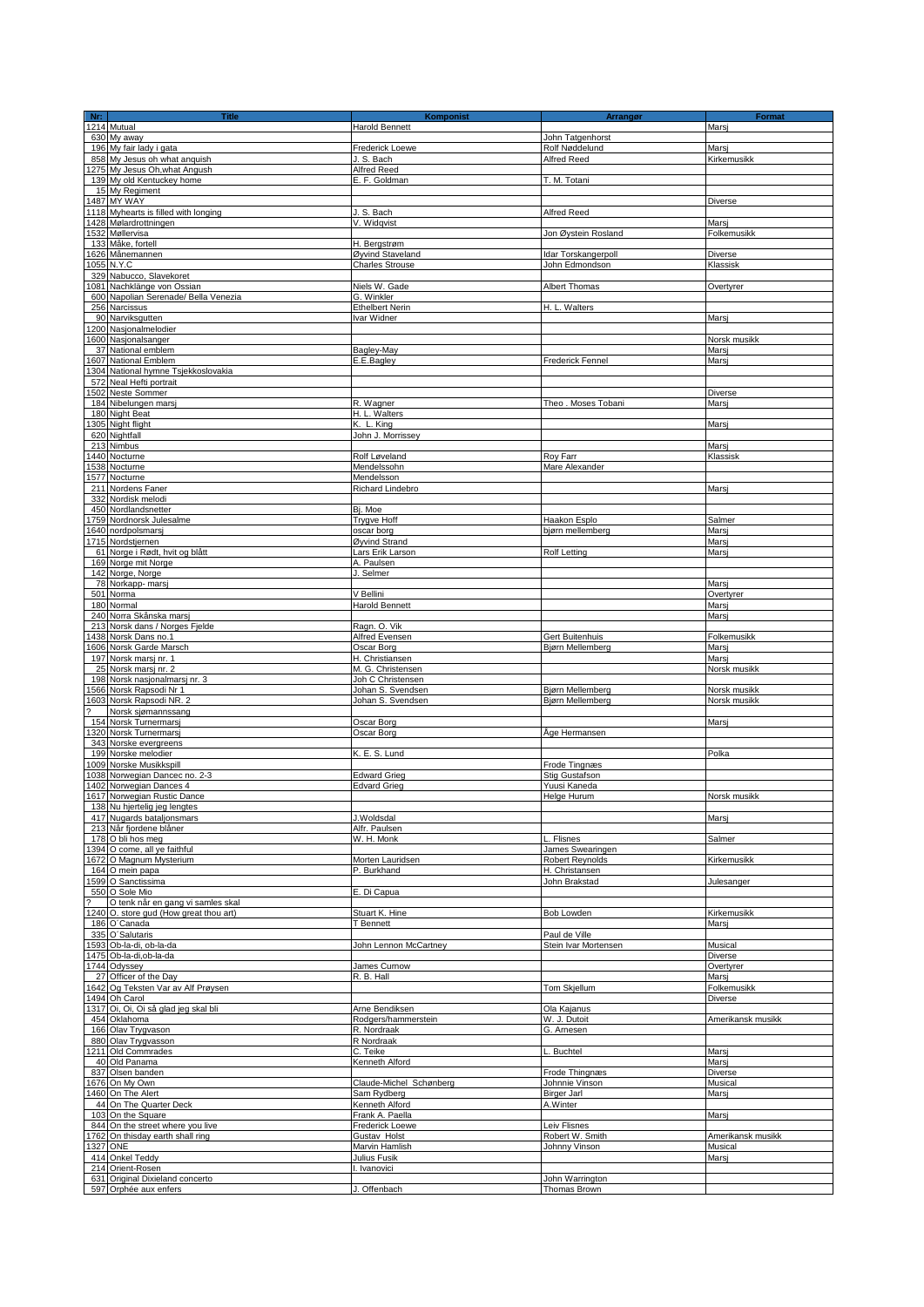| Nr: | <b>Title</b><br>Nr:<br>1214 Mutual     | <b>Komponist</b>        | Arrangør               | Format            |
|-----|----------------------------------------|-------------------------|------------------------|-------------------|
|     |                                        | <b>Harold Bennett</b>   |                        | Marsi             |
|     | 630 My away                            |                         | John Tatgenhorst       |                   |
|     | 196 My fair lady i gata                | <b>Frederick Loewe</b>  | Rolf Nøddelund         | Marsi             |
|     | 858 My Jesus oh what anguish           | J. S. Bach              | Alfred Reed            | Kirkemusikk       |
|     | 1275 My Jesus Oh, what Angush          | Alfred Reed             |                        |                   |
|     | 139 My old Kentuckey home              | E. F. Goldman           | T. M. Totani           |                   |
|     | 15 My Regiment                         |                         |                        |                   |
|     | 1487 MY WAY                            |                         |                        | Diverse           |
|     | 1118 Myhearts is filled with longing   | J. S. Bach              | Alfred Reed            |                   |
|     | 1428 Mølardrottningen                  | V. Widqvist             |                        | Marsj             |
|     | 1532 Møllervisa                        |                         | Jon Øystein Rosland    | Folkemusikk       |
|     | 133 Måke, fortell                      | H. Bergstrøm            |                        |                   |
|     | 1626 Månemannen                        | Øyvind Staveland        | Idar Torskangerpoll    | <b>Diverse</b>    |
|     | 1055 N.Y.C                             | <b>Charles Strouse</b>  | John Edmondson         | Klassisk          |
|     | 329 Nabucco, Slavekoret                |                         |                        |                   |
|     | 081 Nachklänge von Ossian              | Niels W. Gade           | <b>Albert Thomas</b>   | Overtyrer         |
|     | 600 Napolian Serenade/ Bella Venezia   | G. Winkler              |                        |                   |
|     | 256 Narcissus                          | <b>Ethelbert Nerin</b>  | H. L. Walters          |                   |
|     | 90 Narviksgutten                       | Ivar Widner             |                        | Marsi             |
|     | 1200 Nasjonalmelodier                  |                         |                        |                   |
|     | 1600 Nasjonalsanger                    |                         |                        | Norsk musikk      |
|     | 37 National emblem                     | Bagley-May              |                        | Marsi             |
|     | 607 National Emblem                    | E.E.Bagley              | Frederick Fennel       | Marsj             |
|     | 1304 National hymne Tsjekkoslovakia    |                         |                        |                   |
|     | 572 Neal Hefti portrait                |                         |                        |                   |
|     | 1502 Neste Sommer                      |                         |                        | <b>Diverse</b>    |
|     | 184 Nibelungen marsj                   | R. Wagner               | Theo . Moses Tobani    | Mars              |
|     | 180 Night Beat                         | H. L. Walters           |                        |                   |
|     | 305 Night flight                       | K. L. King              |                        | Marsi             |
|     | 620 Nightfall                          |                         |                        |                   |
|     |                                        | John J. Morrissey       |                        |                   |
|     | 213 Nimbus                             |                         |                        | Marsi             |
|     | 440 Nocturne                           | Rolf Løveland           | Roy Farr               | Klassisk          |
|     | 1538 Nocturne                          | Mendelssohn             | Mare Alexander         |                   |
|     | 1577 Nocturne                          | Mendelsson              |                        |                   |
|     | 211 Nordens Faner                      | Richard Lindebro        |                        | Marsj             |
|     | 332 Nordisk melodi                     |                         |                        |                   |
|     | 450 Nordlandsnetter                    | Bj. Moe                 |                        |                   |
|     | 1759 Nordnorsk Julesalme               | <b>Trygve Hoff</b>      | Haakon Esplo           | Salmer            |
|     | 640 nordpolsmarsi                      | oscar borg              | bjørn mellemberg       | Marsj             |
|     | 1715 Nordstjernen                      | Øyvind Strand           |                        | Mars              |
|     | 61 Norge i Rødt, hvit og blått         | Lars Erik Larson        | <b>Rolf Letting</b>    | Marsi             |
|     | 169 Norge mit Norge                    | A. Paulsen              |                        |                   |
|     | 142 Norge, Norge                       | J. Selmer               |                        |                   |
|     | 78 Norkapp- marsj                      |                         |                        | Marsi             |
|     | 501 Norma                              | V Bellini               |                        | Overtyrer         |
|     | 180 Normal                             | <b>Harold Bennett</b>   |                        | Marsj             |
|     | 240 Norra Skånska marsj                |                         |                        | Mars              |
|     | 213 Norsk dans / Norges Fjelde         | Ragn. O. Vik            |                        |                   |
|     | 1438 Norsk Dans no.1                   | Alfred Evensen          | Gert Buitenhuis        | Folkemusikk       |
|     | 606 Norsk Garde Marsch                 | Oscar Borg              | Bjørn Mellemberg       | Marsi             |
|     | 197 Norsk marsj nr. 1                  | H. Christiansen         |                        | Marsi             |
|     | 25 Norsk marsj nr. 2                   | M. G. Christensen       |                        | Norsk musikk      |
|     |                                        | Joh C Christensen       |                        |                   |
|     | 198 Norsk nasjonalmarsj nr. 3          |                         |                        |                   |
|     | 1566 Norsk Rapsodi Nr 1                | Johan S. Svendsen       | Bjørn Mellemberg       | Norsk musikk      |
|     | 603 Norsk Rapsodi NR. 2                | Johan S. Svendsen       | Bjørn Mellemberg       | Norsk musikk      |
|     | Norsk sjømannssang                     |                         |                        |                   |
|     | 154 Norsk Turnermarsj                  | Oscar Borg              |                        | Marsi             |
|     | 1320 Norsk Turnermarsj                 | Oscar Borg              | Åge Hermansen          |                   |
|     | 343 Norske evergreens                  |                         |                        |                   |
|     | 199 Norske melodier                    | K. E. S. Lund           |                        | Polka             |
|     | 1009 Norske Musikkspill                |                         | Frode Tingnæs          |                   |
|     | 1038 Norwegian Dancec no. 2-3          | <b>Edward Grieg</b>     | <b>Stig Gustafson</b>  |                   |
|     | 1402 Norwegian Dances 4                | Edvard Grieg            | Yuusi Kaneda           |                   |
|     | 1617 Norwegian Rustic Dance            |                         | <b>Helge Hurum</b>     | Norsk musikk      |
|     | 138 Nu hiertelig jeg lengtes           |                         |                        |                   |
|     | 417 Nugards bataljonsmars              | J.Woldsdal              |                        | Marsj             |
|     | 213 Når fjordene blåner                | Alfr. Paulsen           |                        |                   |
|     | 178 O bli hos meg                      | W. H. Monk              | L. Flisnes             | Salmer            |
|     | 1394 O come, all ye faithful           |                         | James Swearingen       |                   |
|     | 1672 O Magnum Mysterium                | Morten Lauridsen        | <b>Robert Revnolds</b> | Kirkemusikk       |
|     | 164 O mein papa                        | P. Burkhand             | H. Christansen         |                   |
|     | 1599 O Sanctissima                     |                         | John Brakstad          | Julesanger        |
|     | 550 O Sole Mio                         | E. Di Capua             |                        |                   |
|     | O tenk når en gang vi samles skal      |                         |                        |                   |
|     | 1240 O. store gud (How great thou art) | Stuart K. Hine          | Bob Lowden             | Kirkemusikk       |
|     | 186 O'Canada                           | T Bennett               |                        | Marsi             |
|     | 335 O'Salutaris                        |                         | Paul de Ville          |                   |
|     | 1593 Ob-la-di, ob-la-da                | John Lennon McCartney   | Stein Ivar Mortensen   | Musical           |
|     | 1475 Ob-la-di, ob-la-da                |                         |                        | Diverse           |
|     | 1744 Odyssey                           | James Curnow            |                        | Overtyrer         |
|     | 27 Officer of the Day                  | R. B. Hall              |                        | Marsi             |
|     | 1642 Og Teksten Var av Alf Prøysen     |                         | Tom Skjellum           | Folkemusikk       |
|     | 1494 Oh Carol                          |                         |                        | Diverse           |
|     | 1317 Oi, Oi, Oi så glad jeg skal bli   | Arne Bendiksen          | Ola Kajanus            |                   |
|     | 454 Oklahoma                           | Rodgers/hammerstein     | W. J. Dutoit           | Amerikansk musikk |
|     | 166 Olav Trygvason                     | R. Nordraak             | G. Arnesen             |                   |
|     | 880 Olav Trygvasson                    | R Nordraak              |                        |                   |
|     | 1211 Old Commrades                     | C. Teike                | <b>Buchtel</b>         | Marsj             |
|     | 40 Old Panama                          | Kenneth Alford          |                        | Marsi             |
|     | 837 Olsen banden                       |                         | Frode Thingnæs         | <b>Diverse</b>    |
|     | 1676 On My Own                         | Claude-Michel Schønberg | Johnnie Vinson         | Musical           |
|     | 460 On The Alert                       | Sam Rydberg             | <b>Birger Jarl</b>     | Marsj             |
|     | 44 On The Quarter Deck                 | Kenneth Alford          | A.Winter               |                   |
|     | 103 On the Square                      | Frank A. Paella         |                        | Marsj             |
|     |                                        |                         | Leiv Flisnes           |                   |
|     | 844 On the street where you live       | Frederick Loewe         | Robert W. Smith        | Amerikansk musikk |
|     | 1762 On thisday earth shall ring       | Gustav Holst            |                        |                   |
|     | 1327 ONE                               | Marvin Hamlish          | Johnny Vinson          | Musical           |
|     | 414 Onkel Teddy                        | Julius Fusik            |                        | Marsj             |
|     | 214 Orient-Rosen                       | I. Ivanovici            |                        |                   |
|     | 631 Original Dixieland concerto        |                         | John Warrington        |                   |
|     | 597 Orphée aux enfers                  | J. Offenbach            | Thomas Brown           |                   |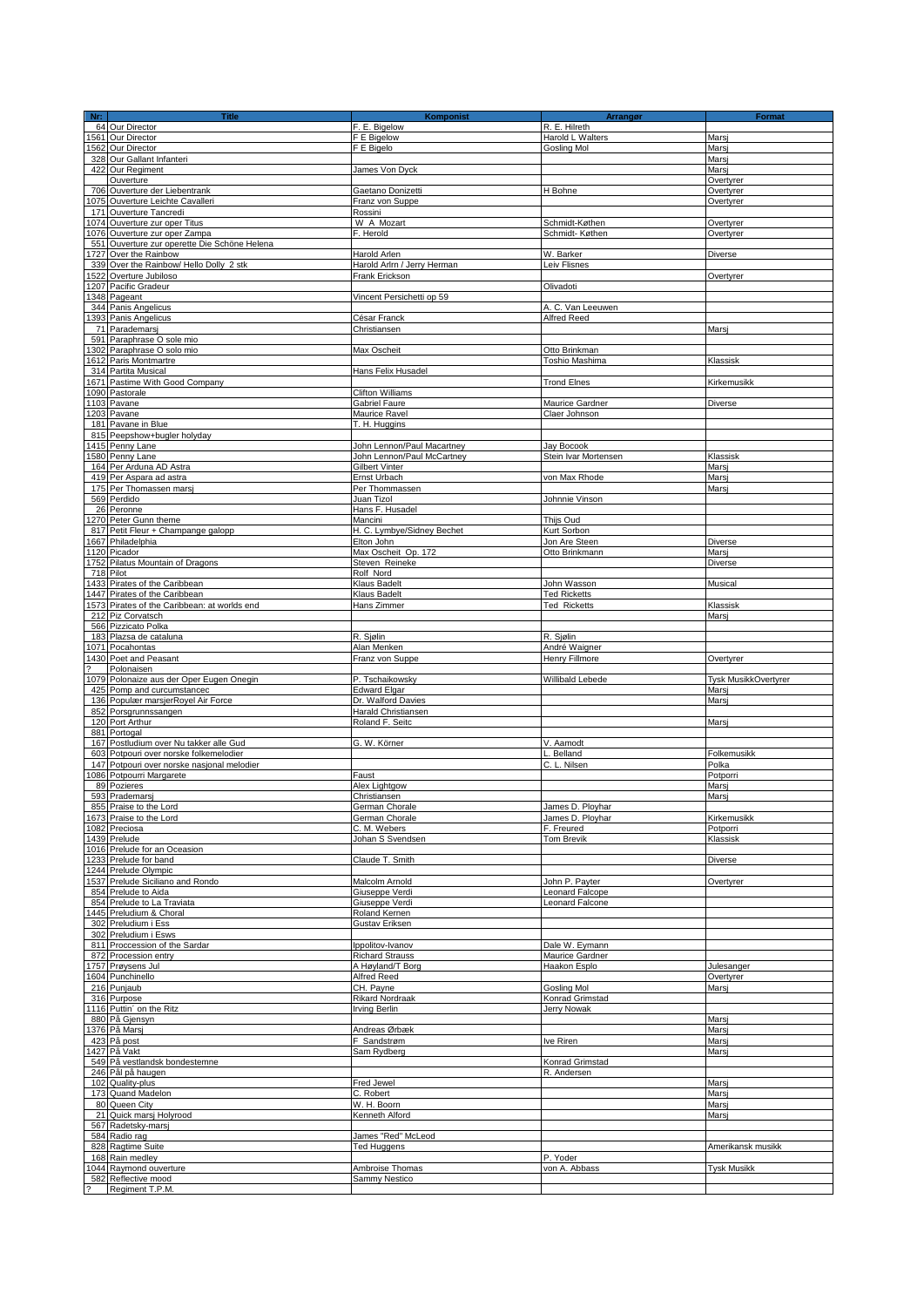| Nr:                      | <b>Title</b>                                                   | Komponist                  | <b>Arrangør</b>            | <b>Format</b>                        |
|--------------------------|----------------------------------------------------------------|----------------------------|----------------------------|--------------------------------------|
|                          | 64 Our Director                                                | F. E. Bigelow              | R. E. Hilreth              |                                      |
|                          | 1561 Our Director                                              | F E Bigelow                | Harold L Walters           | Marsj                                |
|                          | 1562 Our Director                                              | F E Bigelo                 | <b>Gosling Mol</b>         | Marsi                                |
|                          | 328 Our Gallant Infanteri                                      |                            |                            | Marsi                                |
|                          | 422 Our Regiment                                               | James Von Dyck             |                            | Marsi                                |
|                          | Ouverture                                                      |                            |                            | Overtyrer                            |
|                          | 706 Ouverture der Liebentrank                                  | Gaetano Donizetti          | H Bohne                    | Overtyrer                            |
|                          | 1075 Ouverture Leichte Cavalleri                               | Franz von Suppe            |                            | Overtyrer                            |
|                          | 171 Ouverture Tancredi                                         | Rossini                    |                            |                                      |
|                          | 1074 Ouverture zur oper Titus                                  | W A Mozart                 | Schmidt-Køthen             | Overtyrer                            |
|                          | 1076 Ouverture zur oper Zampa                                  | F. Herold                  | Schmidt-Køthen             | Overtyrer                            |
|                          | 551 Ouverture zur operette Die Schöne Helena                   |                            |                            |                                      |
|                          | 1727 Over the Rainbow                                          | Harold Arlen               | W. Barker                  | Diverse                              |
|                          | 339 Over the Rainbow/ Hello Dolly 2 stk                        | Harold Arlm / Jerry Herman | Leiv Flisnes               |                                      |
|                          | 1522 Overture Jubiloso                                         | Frank Erickson             |                            | Overtyrer                            |
|                          | 1207 Pacific Gradeur                                           |                            | Olivadoti                  |                                      |
|                          | 1348 Pageant                                                   | Vincent Persichetti op 59  |                            |                                      |
|                          | 344 Panis Angelicus                                            |                            | A. C. Van Leeuwen          |                                      |
|                          | 1393 Panis Angelicus                                           | César Franck               | Alfred Reed                |                                      |
|                          | 71 Parademarsi                                                 | Christiansen               |                            | Marsi                                |
|                          | 591 Paraphrase O sole mio                                      |                            |                            |                                      |
|                          | 1302 Paraphrase O solo mio                                     | Max Oscheit                | Otto Brinkman              |                                      |
|                          | 1612 Paris Montmartre                                          |                            | Toshio Mashima             | Klassisk                             |
|                          | 314 Partita Musical                                            | Hans Felix Husadel         |                            |                                      |
|                          | 1671 Pastime With Good Company                                 |                            | <b>Trond Elnes</b>         | Kirkemusikk                          |
|                          | 1090 Pastorale                                                 | <b>Clifton Williams</b>    |                            |                                      |
|                          | 1103 Pavane                                                    | Gabriel Faure              | Maurice Gardner            | Diverse                              |
|                          | 1203 Pavane                                                    | Maurice Ravel              | Claer Johnson              |                                      |
|                          | 181 Pavane in Blue                                             | T. H. Huggins              |                            |                                      |
|                          | 815 Peepshow+bugler holyday                                    |                            |                            |                                      |
|                          | 1415 Penny Lane                                                | John Lennon/Paul Macartney | Jay Bocook                 |                                      |
|                          | 1580 Penny Lane                                                | John Lennon/Paul McCartney | Stein Ivar Mortensen       | Klassisk                             |
|                          | 164 Per Arduna AD Astra                                        | Gilbert Vinter             |                            | Marsi                                |
|                          | 419 Per Aspara ad astra                                        | Ernst Urbach               | von Max Rhode              | Marsj                                |
|                          | 175 Per Thomassen marsj                                        | Per Thommassen             |                            | Marsi                                |
|                          | 569 Perdido                                                    | Juan Tizol                 | Johnnie Vinson             |                                      |
|                          | 26 Peronne                                                     | Hans F. Husadel            |                            |                                      |
|                          | 1270 Peter Gunn theme                                          | Mancini                    | Thijs Oud                  |                                      |
|                          | 817 Petit Fleur + Champange galopp                             | H. C. Lymbye/Sidney Bechet | Kurt Sorbon                |                                      |
|                          | 1667 Philadelphia                                              | Elton John                 | Jon Are Steen              | Diverse                              |
|                          |                                                                |                            |                            |                                      |
|                          | 1120 Picador<br>1752 Pilatus Mountain of Dragons               | Max Oscheit Op. 172        | Otto Brinkmann             | Marsj                                |
|                          |                                                                | Steven Reineke             |                            | Diverse                              |
|                          | 718 Pilot                                                      | Rolf Nord<br>Klaus Badelt  | John Wasson                | Musical                              |
|                          | 1433 Pirates of the Caribbean<br>1447 Pirates of the Caribbean |                            |                            |                                      |
|                          |                                                                | Klaus Badelt               | <b>Ted Ricketts</b>        |                                      |
|                          | 1573 Pirates of the Caribbean: at worlds end                   | Hans Zimmer                | <b>Ted Ricketts</b>        | Klassisk                             |
|                          | 212 Piz Corvatsch                                              |                            |                            | Marsi                                |
|                          | 566 Pizzicato Polka<br>183 Plazsa de cataluna                  | R. Sjølin                  |                            |                                      |
|                          | 1071 Pocahontas                                                | Alan Menken                | R. Sjølin<br>André Waigner |                                      |
|                          | 1430 Poet and Peasant                                          | Franz von Suppe            | Henry Fillmore             |                                      |
| $\overline{\phantom{a}}$ | Polonaisen                                                     |                            |                            | Overtyrer                            |
|                          | 1079 Polonaize aus der Oper Eugen Onegin                       | P. Tschaikowsky            |                            |                                      |
|                          | 425 Pomp and curcumstancec                                     | <b>Edward Elgar</b>        | <b>Willibald Lebede</b>    | <b>Tysk MusikkOvertyrer</b><br>Marsi |
|                          | 136 Populær marsjerRoyel Air Force                             | Dr. Walford Davies         |                            | Marsi                                |
|                          | 852 Porsgrunnssangen                                           | Harald Christiansen        |                            |                                      |
|                          | 120 Port Arthur                                                | Roland F. Seitc            |                            | Marsi                                |
|                          | 881 Portogal                                                   |                            |                            |                                      |
|                          | 167 Postludium over Nu takker alle Gud                         | G. W. Körner               | V. Aamodt                  |                                      |
|                          | 603 Potpouri over norske folkemelodier                         |                            | Belland                    | Folkemusikk                          |
|                          | 147 Potpouri over norske nasjonal melodier                     |                            | C. L. Nilsen               | Polka                                |
|                          | 1086 Potpourri Margarete                                       | Faust                      |                            | Potporri                             |
|                          | 89 Pozieres                                                    | Alex Lightgow              |                            | Marsj                                |
|                          | 593 Prademarsj                                                 | Christiansen               |                            | Marsi                                |
|                          | 855 Praise to the Lord                                         | German Chorale             | James D. Plovhar           |                                      |
|                          | 1673 Praise to the Lord                                        | German Chorale             | James D. Ployhar           | Kirkemusikk                          |
|                          | 1082 Preciosa                                                  | C. M. Webers               | F. Freured                 | Potporri                             |
|                          | 1439 Prelude                                                   | Johan S Svendsen           | Tom Brevik                 | Klassisk                             |
|                          | 1016 Prelude for an Oceasion                                   |                            |                            |                                      |
|                          | 1233 Prelude for band                                          | Claude T. Smith            |                            | Diverse                              |
|                          | 1244 Prelude Olympic                                           |                            |                            |                                      |
|                          | 1537 Prelude Siciliano and Rondo                               | Malcolm Arnold             | John P. Payter             | Overtyrer                            |
|                          | 854 Prelude to Aida                                            | Giuseppe Verdi             | Leonard Falcope            |                                      |
|                          | 854 Prelude to La Traviata                                     | Giuseppe Verdi             | Leonard Falcone            |                                      |
|                          | 1445 Preludium & Choral                                        | Roland Kernen              |                            |                                      |
|                          | 302 Preludium i Ess                                            | Gustav Eriksen             |                            |                                      |
|                          | 302 Preludium i Esws                                           |                            |                            |                                      |
|                          | 811 Proccession of the Sardar                                  | Ippolitov-Ivanov           | Dale W. Eymann             |                                      |
|                          | 872 Procession entry                                           | <b>Richard Strauss</b>     | Maurice Gardner            |                                      |
|                          | 1757 Prøysens Jul                                              | A Høyland/T Borg           | Haakon Esplo               | Julesanger                           |
|                          | 1604 Punchinello                                               | Alfred Reed                |                            | Overtyrer                            |
|                          | 216 Punjaub                                                    | CH. Pavne                  | <b>Gosling Mol</b>         | Marsj                                |
|                          | 316 Purpose                                                    | <b>Rikard Nordraak</b>     | Konrad Grimstad            |                                      |
|                          | 1116 Puttin' on the Ritz                                       | <b>Irving Berlin</b>       | Jerry Nowak                |                                      |
|                          | 880 På Gjensyn                                                 |                            |                            | Marsi                                |
|                          | 1376 På Marsj                                                  | Andreas Ørbæk              |                            | Marsj                                |
|                          | 423 På post                                                    | F Sandstrøm                | Ive Riren                  | Marsi                                |
|                          | 1427 På Vakt                                                   | Sam Rydberg                |                            | Marsj                                |
|                          | 549 På vestlandsk bondestemne                                  |                            | Konrad Grimstad            |                                      |
|                          | 246 Pål på haugen                                              |                            | R. Andersen                |                                      |
|                          | 102 Quality-plus                                               | Fred Jewel                 |                            | Marsj                                |
|                          | 173 Quand Madelon                                              | C. Robert                  |                            | Marsi                                |
|                          | 80 Queen City                                                  | W. H. Boorn                |                            | Marsi                                |
|                          | 21 Quick marsj Holyrood                                        | Kenneth Alford             |                            | Marsj                                |
|                          | 567 Radetsky-marsj                                             |                            |                            |                                      |
|                          | 584 Radio rag                                                  | James "Red" McLeod         |                            |                                      |
|                          | 828 Ragtime Suite                                              | Ted Huggens                |                            | Amerikansk musikk                    |
|                          | 168 Rain medley                                                |                            | P. Yoder                   |                                      |
|                          | 1044 Raymond ouverture                                         | Ambroise Thomas            | von A. Abbass              | <b>Tysk Musikk</b>                   |
|                          | 582 Reflective mood                                            | Sammy Nestico              |                            |                                      |
|                          | Regiment T.P.M.                                                |                            |                            |                                      |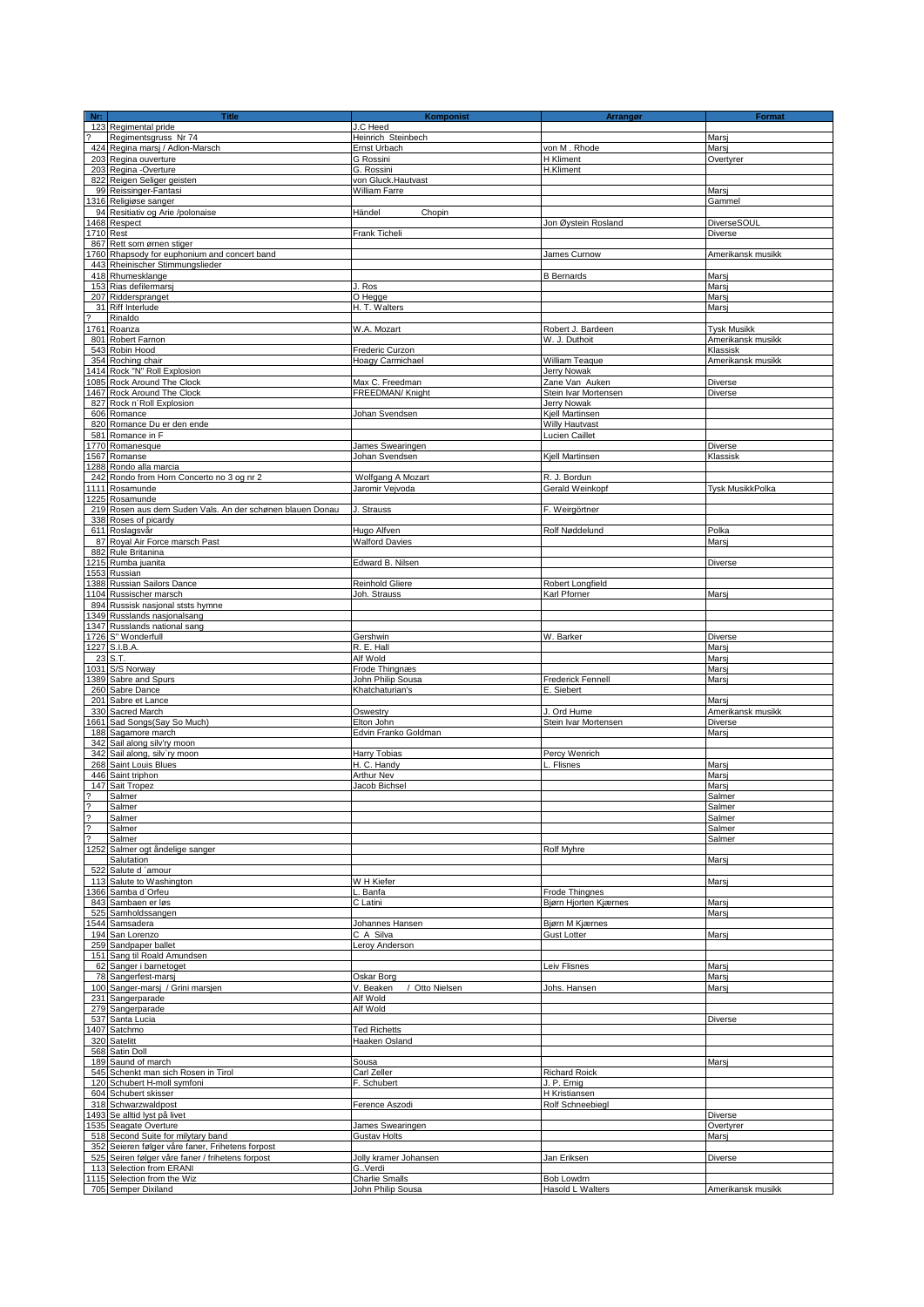| Nr:           | <b>Title</b>                                                                 | Komponist<br>J.C Heed                   | Arrangør                                       | <b>Format</b>          |
|---------------|------------------------------------------------------------------------------|-----------------------------------------|------------------------------------------------|------------------------|
|               | 123 Regimental pride<br>Regimentsgruss Nr 74                                 | Heinrich Steinbech                      |                                                | Marsi                  |
|               | 424 Regina marsj / Adlon-Marsch                                              | Ernst Urbach                            | von M. Rhode                                   | Marsj                  |
|               | 203 Regina ouverture                                                         | G Rossini                               | <b>H</b> Kliment                               | Overtyrer              |
|               | 203 Regina -Overture<br>822 Reigen Seliger geisten                           | G. Rossini<br>von Gluck.Hautvast        | H.Kliment                                      |                        |
|               | 99 Reissinger-Fantasi                                                        | William Farre                           |                                                | Marsj                  |
|               | 316 Religiøse sanger                                                         |                                         |                                                | Gammel                 |
|               | 94 Resitiativ og Arie /polonaise                                             | Händel<br>Chopin                        |                                                |                        |
| 1710 Rest     | 468 Respect                                                                  | Frank Ticheli                           | Jon Øystein Rosland                            | DiverseSOUL<br>Diverse |
|               | 867 Rett som ørnen stiger                                                    |                                         |                                                |                        |
|               | 1760 Rhapsody for euphonium and concert band                                 |                                         | James Curnow                                   | Amerikansk musikk      |
|               | 443 Rheinischer Stimmungslieder<br>418 Rhumesklange                          |                                         | <b>B</b> Bernards                              | Marsi                  |
|               | 153 Rias defilermarsi                                                        | J. Ros                                  |                                                | Mars                   |
|               | 207 Ridderspranget                                                           | O Hegge                                 |                                                | Marsj                  |
|               | 31 Riff Interlude<br>Rinaldo                                                 | H. T. Walters                           |                                                | Mars                   |
|               | 1761 Roanza                                                                  | W.A. Mozart                             | Robert J. Bardeen                              | <b>Tysk Musikk</b>     |
|               | 801 Robert Farnon                                                            |                                         | W. J. Duthoit                                  | Amerikansk musikk      |
|               | 543 Robin Hood                                                               | Frederic Curzon                         |                                                | Klassisk               |
|               | 354 Roching chair<br>1414 Rock "N" Roll Explosion                            | Hoagy Carmichael                        | William Teaque<br><b>Jerry Nowak</b>           | Amerikansk musikk      |
|               | 1085 Rock Around The Clock                                                   | Max C. Freedman                         | Zane Van Auken                                 | Diverse                |
|               | 467 Rock Around The Clock                                                    | FREEDMAN/ Knight                        | Stein Ivar Mortensen                           | <b>Diverse</b>         |
|               | 827 Rock n'Roll Explosion<br>606 Romance                                     |                                         | Jerry Nowak                                    |                        |
|               | 820 Romance Du er den ende                                                   | Johan Svendsen                          | Kjell Martinsen<br>Willy Hautvast              |                        |
|               | 581 Romance in F                                                             |                                         | Lucien Caillet                                 |                        |
|               | 1770 Romanesque                                                              | James Swearingen                        |                                                | Diverse                |
|               | 1567 Romanse<br>1288 Rondo alla marcia                                       | Johan Svendsen                          | Kjell Martinsen                                | Klassisk               |
|               | 242 Rondo from Horn Concerto no 3 og nr 2                                    | Wolfgang A Mozart                       | R. J. Bordun                                   |                        |
|               | 1111 Rosamunde                                                               | Jaromir Vejvoda                         | Gerald Weinkopf                                | Tysk MusikkPolka       |
|               | 1225 Rosamunde<br>219 Rosen aus dem Suden Vals. An der schønen blauen Donau  | J. Strauss                              | F. Weirgörtner                                 |                        |
|               | 338 Roses of picardy                                                         |                                         |                                                |                        |
|               | 611 Roslagsvår<br>87 Royal Air Force marsch Past                             | Hugo Alfven<br><b>Walford Davies</b>    | Rolf Nøddelund                                 | Polka<br>Marsi         |
|               | 882 Rule Britanina                                                           |                                         |                                                |                        |
|               | 1215 Rumba juanita                                                           | Edward B. Nilsen                        |                                                | Diverse                |
|               | 1553 Russian<br>388 Russian Sailors Dance                                    | Reinhold Gliere                         | Robert Longfield                               |                        |
|               | 1104 Russischer marsch                                                       | Joh. Strauss                            | Karl Pforner                                   | Marsj                  |
|               | 894 Russisk nasjonal ststs hymne                                             |                                         |                                                |                        |
|               | 1349 Russlands nasjonalsang<br>1347 Russlands national sang                  |                                         |                                                |                        |
|               | 1726 S" Wonderfull                                                           | Gershwin                                | W. Barker                                      | Diverse                |
|               | 1227 S.I.B.A.<br>23 S.T.                                                     | R. E. Hall<br>Alf Wold                  |                                                | Marsi<br>Marsj         |
|               | 1031 S/S Norway                                                              | Frode Thingnæs                          |                                                | Marsi                  |
|               | 1389 Sabre and Spurs                                                         | John Philip Sousa                       | <b>Frederick Fennell</b>                       | Marsi                  |
|               | 260 Sabre Dance<br>201 Sabre et Lance                                        | Khatchaturian's                         | E. Siebert                                     | Marsi                  |
|               | 330 Sacred March                                                             | Oswestry                                | J. Ord Hume                                    | Amerikansk musikk      |
|               | 1661 Sad Songs(Say So Much)                                                  | Elton John                              | Stein Ivar Mortensen                           | Diverse                |
|               | 188 Sagamore march<br>342 Sail along silv'ry moon                            | Edvin Franko Goldman                    |                                                | Marsi                  |
|               | 342 Sail along, silv'ry moon                                                 | Harry Tobias                            | Percy Wenrich                                  |                        |
|               | 268 Saint Louis Blues                                                        | H. C. Handy                             | Flisnes                                        | Marsi                  |
|               | 446 Saint triphon<br>147 Sait Tropez                                         | Arthur Nev<br>Jacob Bichsel             |                                                | Marsj<br>Marsi         |
| $\frac{2}{2}$ | Salmer                                                                       |                                         |                                                | Salmer                 |
|               | Salmer<br>Salmer                                                             |                                         |                                                | Salmer<br>Salmer       |
| ?<br>?<br>?   | Salmer                                                                       |                                         |                                                | Salmer                 |
|               | Salmer                                                                       |                                         |                                                | Salmer                 |
|               | 1252 Salmer ogt åndelige sanger<br>Salutation                                |                                         | Rolf Myhre                                     | Marsj                  |
|               | 522 Salute d 'amour                                                          |                                         |                                                |                        |
|               | 113 Salute to Washington                                                     | W H Kiefer                              |                                                | Marsj                  |
|               | 1366 Samba d`Orfeu<br>843 Sambaen er løs                                     | Banfa<br>C Latini                       | Frode Thingnes<br><b>Biørn Hiorten Kiærnes</b> | Marsj                  |
|               | 525 Samholdssangen                                                           |                                         |                                                | Marsi                  |
|               | 544 Samsadera<br>194 San Lorenzo                                             | Johannes Hansen<br>C A Silva            | Bjørn M Kjærnes<br><b>Gust Lotter</b>          | Marsi                  |
|               | 259 Sandpaper ballet                                                         | Leroy Anderson                          |                                                |                        |
|               | 151 Sang til Roald Amundsen                                                  |                                         |                                                |                        |
|               | 62 Sanger i barnetoget<br>78 Sangerfest-marsj                                | Oskar Borg                              | Leiv Flisnes                                   | Marsj<br>Marsi         |
|               | 100 Sanger-marsj / Grini marsjen                                             | V. Beaken<br>/ Otto Nielsen             | Johs. Hansen                                   | Marsi                  |
|               | 231 Sangerparade<br>279 Sangerparade                                         | Alf Wold<br>Alf Wold                    |                                                |                        |
|               | 537 Santa Lucia                                                              |                                         |                                                | Diverse                |
|               | 407 Satchmo                                                                  | <b>Ted Richetts</b>                     |                                                |                        |
|               | 320 Satelitt<br>568 Satin Doll                                               | Haaken Osland                           |                                                |                        |
|               | 189 Saund of march                                                           | Sousa                                   |                                                | Marsi                  |
|               | 545 Schenkt man sich Rosen in Tirol                                          | Carl Zeller                             | Richard Roick                                  |                        |
|               | 120 Schubert H-moll symfoni<br>604 Schubert skisser                          | F. Schubert                             | J. P. Ernig<br>H Kristiansen                   |                        |
|               | 318 Schwarzwaldpost                                                          | Ference Aszodi                          | Rolf Schneebiegl                               |                        |
|               | 493 Se alltid lyst på livet                                                  |                                         |                                                | Diverse                |
|               | 1535 Seagate Overture<br>518 Second Suite for milytary band                  | James Swearingen<br><b>Gustav Holts</b> |                                                | Overtyrer<br>Marsj     |
|               | 352 Seieren følger våre faner, Frihetens forpost                             |                                         |                                                |                        |
|               | 525 Seiren følger våre faner / frihetens forpost<br>113 Selection from ERANI | Jolly kramer Johansen<br>GVerdi         | Jan Eriksen                                    | Diverse                |
|               | 1115 Selection from the Wiz                                                  | <b>Charlie Smalls</b>                   | Bob Lowdrn                                     |                        |
|               | 705 Semper Dixiland                                                          | John Philip Sousa                       | Hasold L Walters                               | Amerikansk musikk      |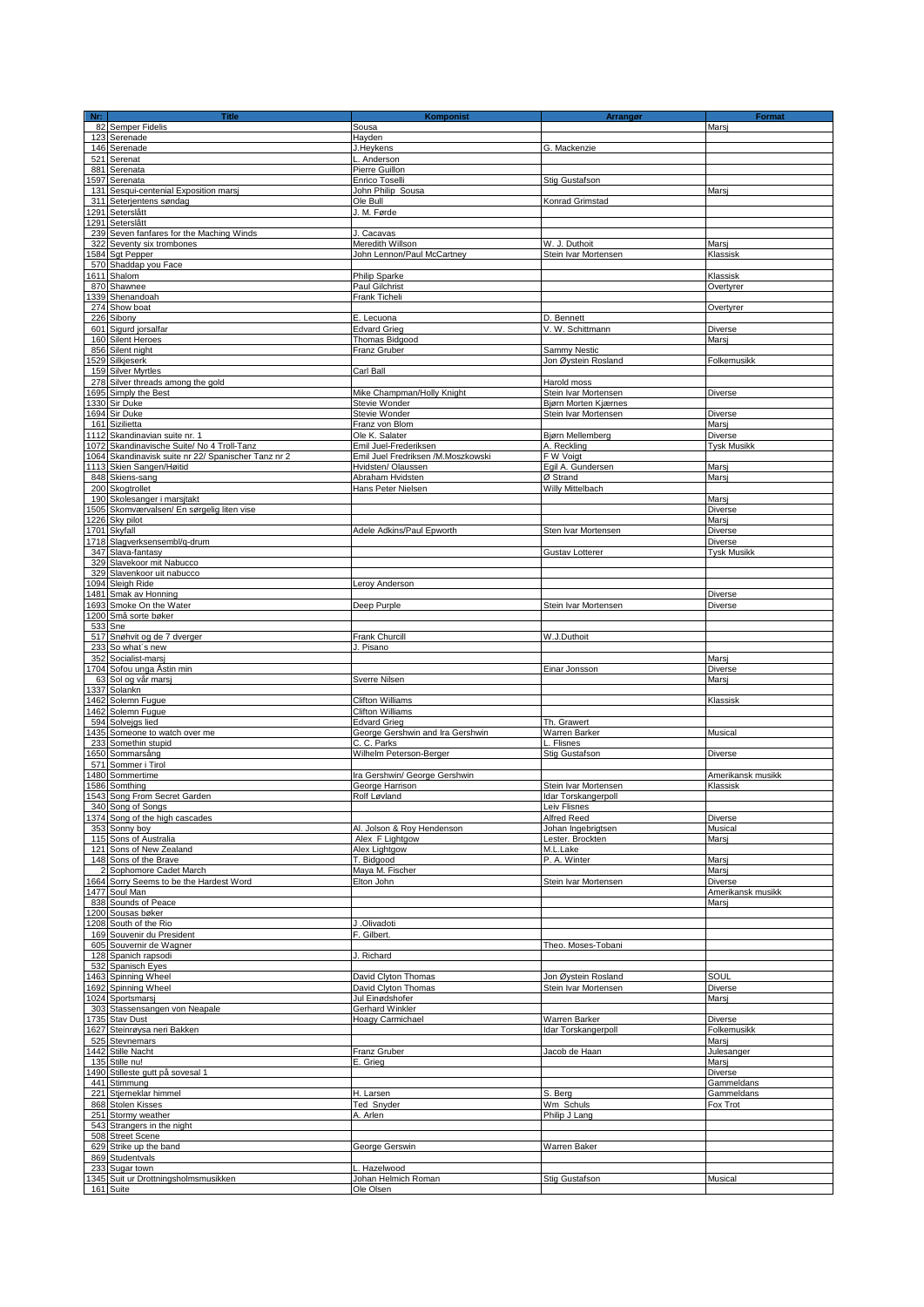| Nr:     | <b>Title</b>                                                          | Komponist                                               | <b>Arrangør</b>               | Format                     |
|---------|-----------------------------------------------------------------------|---------------------------------------------------------|-------------------------------|----------------------------|
| 123     | 82 Semper Fidelis<br>Serenade                                         | Sousa<br>Havden                                         |                               | Marsi                      |
|         | 146 Serenade                                                          | J.Heykens                                               | G. Mackenzie                  |                            |
|         | 521 Serenat                                                           | L. Anderson                                             |                               |                            |
|         | 881 Serenata                                                          | Pierre Guillon                                          |                               |                            |
|         | 1597 Serenata<br>131 Sesqui-centenial Exposition marsi                | Enrico Toselli<br>John Philip Sousa                     | Stig Gustafson                | Marsj                      |
|         | 311 Seterjentens søndag                                               | Ole Bull                                                | Konrad Grimstad               |                            |
|         | 1291 Seterslått                                                       | J. M. Førde                                             |                               |                            |
|         | 1291 Seterslått                                                       |                                                         |                               |                            |
|         | 239 Seven fanfares for the Maching Winds<br>322 Seventy six trombones | J. Cacavas<br>Meredith Willson                          | W. J. Duthoit                 | Marsj                      |
|         | 1584 Sgt Pepper                                                       | John Lennon/Paul McCartney                              | Stein Ivar Mortensen          | Klassisk                   |
|         | 570 Shaddap you Face                                                  |                                                         |                               |                            |
| 870     | 1611 Shalom<br>Shawnee                                                | Philip Sparke                                           |                               | Klassisk<br>Overtyrer      |
|         | 1339 Shenandoah                                                       | <b>Paul Gilchrist</b><br>Frank Ticheli                  |                               |                            |
|         | 274 Show boat                                                         |                                                         |                               | Overtyrer                  |
|         | 226 Sibony                                                            | E. Lecuona                                              | D. Bennett                    |                            |
|         | 601 Sigurd jorsalfar<br>160 Silent Heroes                             | <b>Edvard Grieg</b><br>Thomas Bidgood                   | V. W. Schittmann              | Diverse<br>Marsi           |
|         | 856 Silent night                                                      | Franz Gruber                                            | Sammy Nestic                  |                            |
|         | 1529 Silkjeserk                                                       |                                                         | Jon Øystein Rosland           | Folkemusikk                |
|         | 159 Silver Myrtles<br>278 Silver threads among the gold               | Carl Ball                                               | Harold moss                   |                            |
|         | 1695 Simply the Best                                                  | Mike Champman/Holly Knight                              | Stein Ivar Mortensen          | <b>Diverse</b>             |
|         | 1330 Sir Duke                                                         | Stevie Wonder                                           | Bjørn Morten Kjærnes          |                            |
|         | 1694 Sir Duke                                                         | Stevie Wonder                                           | Stein Ivar Mortensen          | Diverse                    |
| 1112    | 161 Sizilietta<br>Skandinavian suite nr. 1                            | Franz von Blom<br>Ole K. Salater                        | Bjørn Mellemberg              | Marsi<br>Diverse           |
|         | 1072 Skandinavische Suite/ No 4 Troll-Tanz                            | Emil Juel-Frederiksen                                   | A. Reckling                   | <b>Tysk Musikk</b>         |
|         | 1064 Skandinavisk suite nr 22/ Spanischer Tanz nr 2                   | Emil Juel Fredriksen /M.Moszkowski                      | F W Voigt                     |                            |
|         | 1113 Skien Sangen/Høitid<br>848 Skiens-sang                           | Hvidsten/ Olaussen<br>Abraham Hvidsten                  | Egil A. Gundersen<br>Ø Strand | Marsj<br>Marsi             |
|         | 200 Skogtrollet                                                       | Hans Peter Nielsen                                      | Willy Mittelbach              |                            |
|         | 190 Skolesanger i marsjtakt                                           |                                                         |                               | Marsi                      |
|         | 1505 Skomværvalsen/ En sørgelig liten vise                            |                                                         |                               | Diverse                    |
|         | 1226 Sky pilot<br>1701 Skyfall                                        | Adele Adkins/Paul Epworth                               | Sten Ivar Mortensen           | Marsi<br>Diverse           |
|         | 1718 Slagverksensembl/g-drum                                          |                                                         |                               | <b>Diverse</b>             |
|         | 347 Slava-fantasy                                                     |                                                         | Gustav Lotterer               | <b>Tysk Musikk</b>         |
|         | 329 Slavekoor mit Nabucco<br>329 Slavenkoor uit nabucco               |                                                         |                               |                            |
|         | 1094 Sleigh Ride                                                      | Leroy Anderson                                          |                               |                            |
|         | 1481 Smak av Honning                                                  |                                                         |                               | Diverse                    |
|         | 1693 Smoke On the Water<br>1200 Små sorte bøker                       | Deep Purple                                             | Stein Ivar Mortensen          | Diverse                    |
| 533 Sne |                                                                       |                                                         |                               |                            |
|         | 517 Snøhvit og de 7 dverger<br>233 So what's new                      | Frank Churcill<br>J. Pisano                             | W.J.Duthoit                   |                            |
|         | 352 Socialist-marsj                                                   |                                                         |                               | Marsj                      |
|         | 1704 Sofou unga Åstin min                                             |                                                         | Einar Jonsson                 | Diverse                    |
|         | 63 Sol og vår marsj<br>1337 Solankn                                   | Sverre Nilsen                                           |                               | Marsi                      |
|         | 1462 Solemn Fugue                                                     | <b>Clifton Williams</b>                                 |                               | Klassisk                   |
|         | 1462 Solemn Fugue                                                     | <b>Clifton Williams</b>                                 |                               |                            |
|         | 594 Solveigs lied<br>1435 Someone to watch over me                    | <b>Edvard Grieg</b><br>George Gershwin and Ira Gershwin | Th. Grawert<br>Warren Barker  | Musical                    |
| 233     | Somethin stupid                                                       | C. C. Parks                                             | L. Flisnes                    |                            |
|         | 1650 Sommarsång                                                       | Wilhelm Peterson-Berger                                 | Stig Gustafson                | Diverse                    |
|         | 571 Sommer i Tirol<br>1480 Sommertime                                 | Ira Gershwin/ George Gershwin                           |                               | Amerikansk musikk          |
|         | 1586 Somthing                                                         | George Harrison                                         | Stein Ivar Mortensen          | Klassisk                   |
|         | 1543 Song From Secret Garden                                          | Rolf Løvland                                            | Idar Torskangerpoll           |                            |
|         | 340 Song of Songs<br>1374 Song of the high cascades                   |                                                         | Leiv Flisnes<br>Alfred Reed   | Diverse                    |
|         | 353 Sonny boy                                                         | Al. Jolson & Roy Hendenson                              | Johan Ingebrigtsen            | Musical                    |
|         | 115 Sons of Australia                                                 | Alex F Lightgow                                         | Lester, Brockten              | Marsi                      |
|         | 121 Sons of New Zealand<br>148 Sons of the Brave                      | Alex Lightgow<br>T. Bidgood                             | M.L.Lake<br>P. A. Winter      | Marsj                      |
|         | 2 Sophomore Cadet March                                               | Maya M. Fischer                                         |                               | Marsi                      |
|         | 1664 Sorry Seems to be the Hardest Word                               | Elton John                                              | Stein Ivar Mortensen          | <b>Diverse</b>             |
|         | 1477 Soul Man<br>838 Sounds of Peace                                  |                                                         |                               | Amerikansk musikk<br>Marsi |
|         | 1200 Sousas bøker                                                     |                                                         |                               |                            |
|         | 1208 South of the Rio                                                 | J.Olivadoti<br>F. Gilbert.                              |                               |                            |
|         | 169 Souvenir du President<br>605 Souvernir de Wagner                  |                                                         | Theo. Moses-Tobani            |                            |
|         | 128 Spanich rapsodi                                                   | J. Richard                                              |                               |                            |
|         | 532 Spanisch Eyes<br>1463 Spinning Wheel                              | David Clyton Thomas                                     | Jon Øystein Rosland           | SOUL                       |
|         | 1692 Spinning Wheel                                                   | David Clyton Thomas                                     | Stein Ivar Mortensen          | Diverse                    |
|         | 1024 Sportsmarsj                                                      | Jul Einødshofer                                         |                               | Marsj                      |
|         | 303 Stassensangen von Neapale<br>1735 Stav Dust                       | Gerhard Winkler<br><b>Hoagy Carmichael</b>              | Warren Barker                 | Diverse                    |
|         | 1627 Steinrøysa neri Bakken                                           |                                                         | Idar Torskangerpoll           | Folkemusikk                |
|         | 525 Stevnemars                                                        |                                                         |                               | Marsj                      |
|         | 1442 Stille Nacht<br>135 Stille nu!                                   | Franz Gruber<br>E. Grieg                                | Jacob de Haan                 | Julesanger<br>Marsi        |
|         | 1490 Stilleste gutt på sovesal 1                                      |                                                         |                               | Diverse                    |
|         | 441 Stimmung                                                          |                                                         |                               | Gammeldans                 |
|         | 221 Stjerneklar himmel<br>868 Stolen Kisses                           | H. Larsen<br>Ted Snyder                                 | S. Berg<br>Wm Schuls          | Gammeldans<br>Fox Trot     |
|         | 251 Stormy weather                                                    | A. Arlen                                                | Philip J Lang                 |                            |
|         | 543 Strangers in the night                                            |                                                         |                               |                            |
|         | 508 Street Scene<br>629 Strike up the band                            | George Gerswin                                          | Warren Baker                  |                            |
|         | 869 Studentvals                                                       |                                                         |                               |                            |
|         | 233 Sugar town                                                        | L. Hazelwood                                            |                               |                            |
|         | 1345 Suit ur Drottningsholmsmusikken<br>161 Suite                     | Johan Helmich Roman<br>Ole Olsen                        | Stig Gustafson                | Musical                    |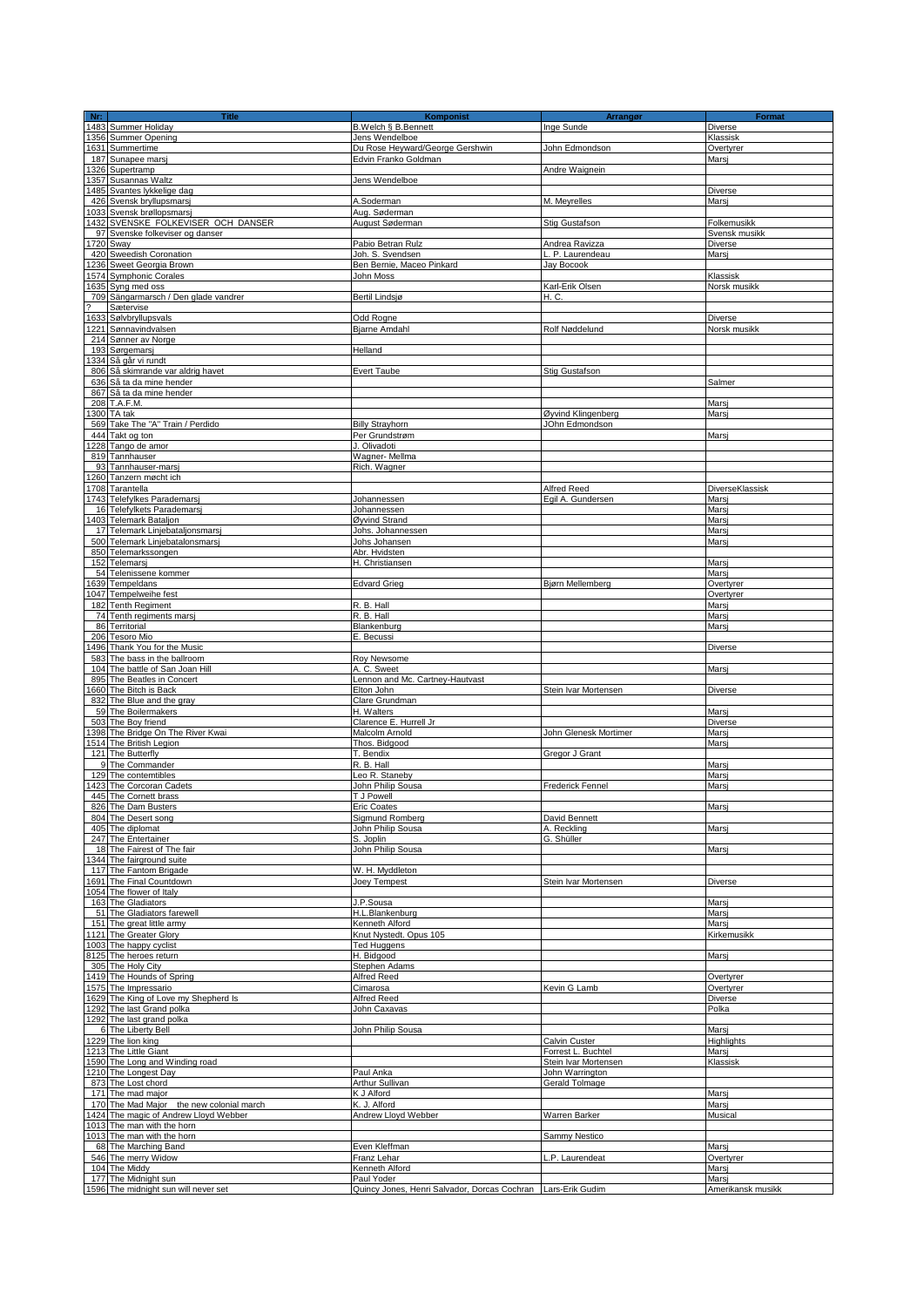| $Nr$ : | <b>Title</b>                                       | Komponist                                    | Arrangør                       | <b>Format</b>     |
|--------|----------------------------------------------------|----------------------------------------------|--------------------------------|-------------------|
|        | 1483 Summer Holiday                                | B.Welch § B.Bennett                          | Inge Sunde                     | Diverse           |
|        | 1356 Summer Opening                                | Jens Wendelboe                               |                                | Klassisk          |
|        | 1631 Summertime                                    | Du Rose Heyward/George Gershwin              | John Edmondson                 | Overtyrer         |
|        | 187 Sunapee marsj                                  | Edvin Franko Goldman                         |                                | Marsi             |
|        | 1326 Supertramp                                    |                                              | Andre Waignein                 |                   |
|        | 357 Susannas Waltz                                 | Jens Wendelboe                               |                                |                   |
|        | 1485 Svantes lykkelige dag                         |                                              |                                | <b>Diverse</b>    |
|        | 426 Svensk bryllupsmarsj                           | A.Soderman                                   | M. Meyrelles                   | Marsj             |
|        | 1033 Svensk brøllopsmarsj                          | Aug. Søderman                                |                                |                   |
|        | 432 SVENSKE FOLKEVISER OCH DANSER                  | August Søderman                              | Stig Gustafson                 | Folkemusikk       |
|        | 97 Svenske folkeviser og danser                    |                                              |                                | Svensk musikk     |
|        | 1720 Sway                                          | Pabio Betran Rulz                            | Andrea Ravizza                 | Diverse           |
|        | 420 Sweedish Coronation                            | Joh. S. Svendsen                             | L. P. Laurendeau<br>Jav Bocook | Marsi             |
|        | 1236 Sweet Georgia Brown<br>1574 Symphonic Corales | Ben Bernie, Maceo Pinkard<br>John Moss       |                                | Klassisk          |
|        | 1635 Syng med oss                                  |                                              | Karl-Erik Olsen                | Norsk musikk      |
|        | 709 Sängarmarsch / Den glade vandrer               | Bertil Lindsjø                               | H. C.                          |                   |
|        | Sætervise                                          |                                              |                                |                   |
|        | 1633 Sølvbryllupsvals                              | Odd Rogne                                    |                                | Diverse           |
|        | 1221 Sønnavindvalsen                               | <b>Biarne Amdahl</b>                         | Rolf Nøddelund                 | Norsk musikk      |
|        | 214 Sønner av Norge                                |                                              |                                |                   |
|        | 193 Sørgemarsj                                     | Helland                                      |                                |                   |
|        | 334 Så går vi rundt                                |                                              |                                |                   |
|        | 806 Så skimrande var aldrig havet                  | <b>Evert Taube</b>                           | Stig Gustafson                 |                   |
|        | 636 Så ta da mine hender                           |                                              |                                | Salmer            |
|        | 867 Så ta da mine hender                           |                                              |                                |                   |
|        | 208 T.A.F.M.                                       |                                              |                                | Mars              |
|        | 1300 TA tak                                        |                                              | Øyvind Klingenberg             | Mars              |
|        | 569 Take The "A" Train / Perdido                   | <b>Billy Strayhorn</b>                       | JOhn Edmondson                 |                   |
|        | 444 Takt og ton                                    | Per Grundstrøm                               |                                | Mars              |
|        | 228 Tango de amor                                  | J. Olivadoti                                 |                                |                   |
|        | 819 Tannhauser                                     | Wagner-Mellma                                |                                |                   |
|        | 93 Tannhauser-marsj                                | Rich. Wagner                                 |                                |                   |
|        | 1260 Tanzern møcht ich                             |                                              |                                |                   |
|        | 1708 Tarantella                                    |                                              | Alfred Reed                    | DiverseKlassisk   |
|        | 1743 Telefylkes Parademarsj                        | Johannessen                                  | Egil A. Gundersen              | Marsi             |
|        | 16 Telefylkets Parademarsj                         | Johannessen                                  |                                | Mars              |
|        | 403 Telemark Bataljon                              | Øyvind Strand                                |                                | Mars              |
|        | 17 Telemark Linjebataljonsmarsj                    | Johs. Johannessen                            |                                | Mars              |
|        | 500 Telemark Linjebatalonsmarsj                    | Johs Johansen                                |                                | Marsj             |
|        | 850 Telemarkssongen                                | Abr. Hvidsten                                |                                |                   |
|        | 152 Telemarsj<br>54 Telenissene kommer             | H. Christiansen                              |                                | Mars<br>Marsi     |
|        | 639 Tempeldans                                     | <b>Edvard Grieg</b>                          | Bjørn Mellemberg               | Overtyrer         |
|        | 1047 Tempelweihe fest                              |                                              |                                | Overtyrer         |
|        | 182 Tenth Regiment                                 | R. B. Hall                                   |                                | Mars              |
|        | 74 Tenth regiments marsj                           | R. B. Hall                                   |                                | Mars              |
|        | 86 Territorial                                     | Blankenburg                                  |                                | Mars              |
|        | 206 Tesoro Mio                                     | E. Becussi                                   |                                |                   |
|        | 496 Thank You for the Music                        |                                              |                                | Diverse           |
|        | 583 The bass in the ballroom                       | Roy Newsome                                  |                                |                   |
|        | 104 The battle of San Joan Hill                    | A. C. Sweet                                  |                                | Marsj             |
|        | 895 The Beatles in Concert                         | Lennon and Mc. Cartney-Hautvast              |                                |                   |
|        | 1660 The Bitch is Back                             | Elton John                                   | Stein Ivar Mortensen           | Diverse           |
|        | 832 The Blue and the gray                          | Clare Grundman                               |                                |                   |
|        | 59 The Boilermakers                                | H. Walters                                   |                                | Mars              |
|        | 503 The Boy friend                                 | Clarence E. Hurrell Jr.                      |                                | Diverse           |
|        | 398 The Bridge On The River Kwai                   | Malcolm Arnold                               | John Glenesk Mortimer          | Marsi             |
|        | 1514 The British Legion                            | Thos. Bidgood                                |                                | Marsj             |
|        | 121 The Butterfly                                  | T. Bendix                                    | Gregor J Grant                 |                   |
|        | 9 The Commander                                    | R. B. Hall                                   |                                | Marsi             |
|        | 129 The contemtibles                               | Leo R. Staneby                               |                                | Mars              |
|        | 423 The Corcoran Cadets                            | John Philip Sousa                            | Frederick Fennel               | Mars              |
|        | 445 The Cornett brass                              | T J Powell                                   |                                |                   |
|        | 826 The Dam Busters                                | <b>Eric Coates</b>                           |                                | Marsi             |
|        | 804 The Desert song                                | Sigmund Romberg                              | David Bennett                  |                   |
|        | 405 The diplomat<br>247 The Entertainer            | John Philip Sousa                            | A. Reckling                    | Marsj             |
|        | 18 The Fairest of The fair                         | S. Joplin<br>John Philip Sousa               | G. Shüller                     | Marsi             |
|        | 1344 The fairground suite                          |                                              |                                |                   |
|        | 117 The Fantom Brigade                             | W. H. Myddleton                              |                                |                   |
|        | 691 The Final Countdown                            | Joey Tempest                                 | Stein Ivar Mortensen           | Diverse           |
|        | 1054 The flower of Italy                           |                                              |                                |                   |
|        | 163 The Gladiators                                 | J.P.Sousa                                    |                                | Marsj             |
|        | 51 The Gladiators farewell                         | H.L.Blankenburg                              |                                | Marsi             |
|        | 151 The great little army                          | Kenneth Alford                               |                                | Marsj             |
|        | 1121 The Greater Glory                             | Knut Nystedt. Opus 105                       |                                | Kirkemusikk       |
|        | 1003 The happy cyclist                             | <b>Ted Huggens</b>                           |                                |                   |
|        | 8125 The heroes return                             | H. Bidgood                                   |                                | Marsj             |
|        | 305 The Holy City                                  | Stephen Adams                                |                                |                   |
|        | 1419 The Hounds of Spring                          | Alfred Reed                                  |                                | Overtyrer         |
|        | 1575 The Impressario                               | Cimarosa                                     | Kevin G Lamb                   | Overtyrer         |
|        | 1629 The King of Love my Shepherd Is               | Alfred Reed                                  |                                | Diverse           |
|        | 1292 The last Grand polka                          | John Caxavas                                 |                                | Polka             |
|        | 1292 The last grand polka                          |                                              |                                |                   |
|        | 6 The Liberty Bell                                 | John Philip Sousa                            |                                | Marsj             |
|        | 1229 The lion king                                 |                                              | Calvin Custer                  | Highlights        |
|        | 1213 The Little Giant                              |                                              | Forrest L. Buchtel             | Marsj             |
|        | 1590 The Long and Winding road                     |                                              | Stein Ivar Mortensen           | Klassisk          |
|        | 1210 The Longest Day                               | Paul Anka                                    | John Warrington                |                   |
|        | 873 The Lost chord                                 | Arthur Sullivan                              | Gerald Tolmage                 |                   |
|        | 171 The mad major                                  | K J Alford                                   |                                | Marsj             |
|        | 170 The Mad Major the new colonial march           | K. J. Alford                                 |                                | Marsi             |
|        | 1424 The magic of Andrew Lloyd Webber              | Andrew Lloyd Webber                          | Warren Barker                  | Musical           |
|        | 1013 The man with the horn                         |                                              |                                |                   |
|        | 1013 The man with the horn<br>68 The Marching Band | Even Kleffman                                | Sammy Nestico                  | Marsj             |
|        | 546 The merry Widow                                | Franz Lehar                                  | P. Laurendeat                  | Overtyrer         |
|        | 104 The Middy                                      | Kenneth Alford                               |                                | Mars              |
|        | 177 The Midnight sun                               | Paul Yoder                                   |                                | Marsi             |
|        | 1596 The midnight sun will never set               | Quincy Jones, Henri Salvador, Dorcas Cochran | Lars-Erik Gudim                | Amerikansk musikk |
|        |                                                    |                                              |                                |                   |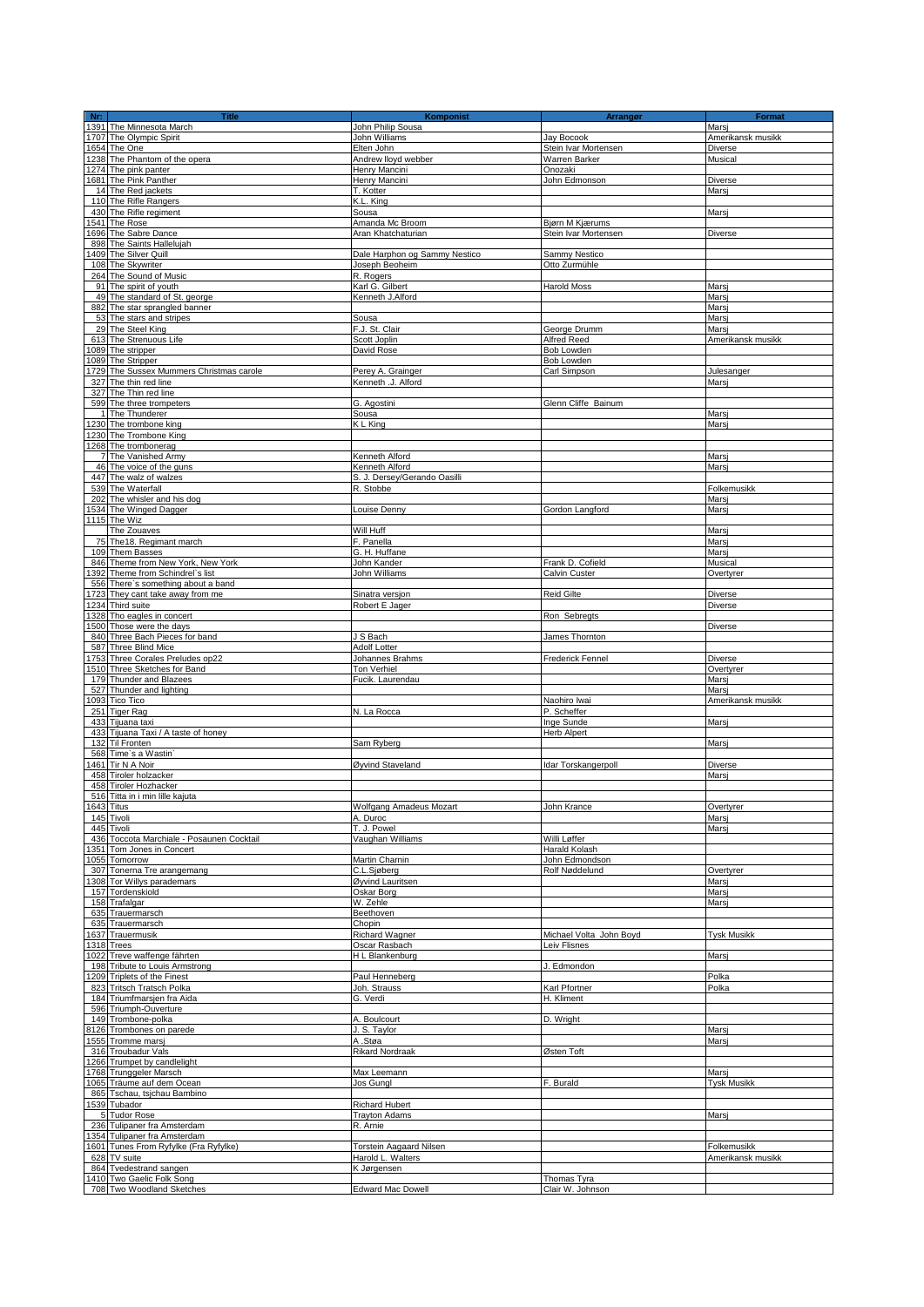| Nr: | <b>Title</b><br><b>Nr:</b><br>1391 The Minnesota March | <b>Komponist</b>               | Arrangør                | Format             |
|-----|--------------------------------------------------------|--------------------------------|-------------------------|--------------------|
|     |                                                        | John Philip Sousa              |                         | Marsi              |
|     | 1707 The Olympic Spirit                                | John Williams                  | Jay Bocook              | Amerikansk musikk  |
|     | 1654 The One                                           | Elten John                     | Stein Ivar Mortensen    | Diverse            |
|     | 1238 The Phantom of the opera                          | Andrew lloyd webber            | Warren Barker           | Musical            |
|     | 1274 The pink panter                                   | Henry Mancini                  | Onozaki                 |                    |
|     | 1681 The Pink Panther                                  | Henry Mancini                  | John Edmonson           | <b>Diverse</b>     |
|     |                                                        | T. Kotter                      |                         | Marsi              |
|     | 14 The Red jackets                                     |                                |                         |                    |
|     | 110 The Rifle Rangers                                  | K.L. King                      |                         |                    |
|     | 430 The Rifle regiment                                 | Sousa                          |                         | Marsj              |
|     | 1541 The Rose                                          | Amanda Mc Broom                | Bjørn M Kjærums         |                    |
|     | 1696 The Sabre Dance                                   | Aran Khatchaturian             | Stein Ivar Mortensen    | Diverse            |
|     | 898 The Saints Hallelujah                              |                                |                         |                    |
|     | 409 The Silver Quill                                   | Dale Harphon og Sammy Nestico  | Sammy Nestico           |                    |
|     | 108 The Skywriter                                      | Joseph Beoheim                 | Otto Zurmühle           |                    |
|     | 264 The Sound of Music                                 | R. Rogers                      |                         |                    |
|     |                                                        | Karl G. Gilbert                | <b>Harold Moss</b>      |                    |
|     | 91 The spirit of youth                                 |                                |                         | Marsi              |
|     | 49 The standard of St. george                          | Kenneth J.Alford               |                         | Marsi              |
|     | 882 The star sprangled banner                          |                                |                         | Mars               |
|     | 53 The stars and stripes                               | Sousa                          |                         | Mars               |
|     | 29 The Steel King                                      | F.J. St. Clair                 | George Drumm            | Mars               |
|     | 613 The Strenuous Life                                 | Scott Joplin                   | Alfred Reed             | Amerikansk musikk  |
|     | 089 The stripper                                       | David Rose                     | Bob Lowden              |                    |
|     | 089 The Stripper                                       |                                | Bob Lowden              |                    |
|     |                                                        |                                |                         |                    |
|     | 1729 The Sussex Mummers Christmas carole               | Perey A. Grainger              | Carl Simpson            | Julesanger         |
|     | 327 The thin red line                                  | Kenneth .J. Alford             |                         | Marsi              |
|     | 327 The Thin red line                                  |                                |                         |                    |
|     | 599 The three trompeters                               | G. Agostini                    | Glenn Cliffe Bainum     |                    |
|     | 1 The Thunderer                                        | Sousa                          |                         | Marsj              |
|     | 1230 The trombone king                                 | K L King                       |                         | Marsi              |
|     | 1230 The Trombone King                                 |                                |                         |                    |
|     | 1268 The trombonerag                                   |                                |                         |                    |
|     |                                                        |                                |                         |                    |
|     | 7 The Vanished Army                                    | Kenneth Alford                 |                         | Marsj              |
|     | 46 The voice of the guns                               | Kenneth Alford                 |                         | Marsi              |
|     | 447 The walz of walzes                                 | S. J. Dersey/Gerando Oasilli   |                         |                    |
|     | 539 The Waterfall                                      | R. Stobbe                      |                         | Folkemusikk        |
|     | 202 The whisler and his dog                            |                                |                         | Marsi              |
|     | 1534 The Winged Dagger                                 | Louise Denny                   | Gordon Langford         | Marsj              |
|     | 1115 The Wiz                                           |                                |                         |                    |
|     |                                                        |                                |                         |                    |
|     | The Zouaves                                            | Will Huff                      |                         | Marsj              |
|     | 75 The 18. Regimant march                              | F. Panella                     |                         | Mars               |
|     | 109 Them Basses                                        | G. H. Huffane                  |                         | Marsi              |
|     | 846 Theme from New York, New York                      | John Kander                    | Frank D. Cofield        | Musical            |
|     | 392 Theme from Schindrel's list                        | John Williams                  | Calvin Custer           | Overtyrer          |
|     | 556 There's something about a band                     |                                |                         |                    |
|     |                                                        |                                |                         |                    |
|     | 1723 They cant take away from me                       | Sinatra versjon                | Reid Gilte              | <b>Diverse</b>     |
|     | 1234 Third suite                                       | Robert E Jager                 |                         | Diverse            |
|     | 1328 Tho eagles in concert                             |                                | Ron Sebregts            |                    |
|     | 1500 Those were the days                               |                                |                         | Diverse            |
|     | 840 Three Bach Pieces for band                         | J S Bach                       | James Thornton          |                    |
|     | 587 Three Blind Mice                                   | Adolf Lotter                   |                         |                    |
|     | 1753 Three Corales Preludes op22                       | Johannes Brahms                | Frederick Fennel        | Diverse            |
|     | 1510 Three Sketches for Band                           | Ton Verhiel                    |                         | Overtyrer          |
|     |                                                        |                                |                         |                    |
|     | 179 Thunder and Blazees                                | Fucik. Laurendau               |                         | Marsi              |
|     | 527 Thunder and lighting                               |                                |                         | Marsi              |
|     | 1093 Tico Tico                                         |                                | Naohiro Iwai            | Amerikansk musikk  |
|     | 251 Tiger Rag                                          | N. La Rocca                    | P. Scheffer             |                    |
|     | 433 Tijuana taxi                                       |                                | Inge Sunde              | Marsi              |
|     | 433 Tijuana Taxi / A taste of honey                    |                                | <b>Herb Alpert</b>      |                    |
|     | 132 Til Fronten                                        | Sam Ryberg                     |                         | Marsj              |
|     |                                                        |                                |                         |                    |
|     | 568 Time's a Wastin'                                   |                                |                         |                    |
|     | 1461 Tir N A Noir                                      | Øyvind Staveland               | Idar Torskangerpoll     | <b>Diverse</b>     |
|     | 458 Tiroler holzacker                                  |                                |                         | Marsi              |
|     | 458 Tiroler Hozhacker                                  |                                |                         |                    |
|     | 516 Titta in i min lille kajuta                        |                                |                         |                    |
|     | 643 Titus                                              | Wolfgang Amadeus Mozart        | John Krance             | Overtvrer          |
|     | 145 Tivoli                                             | A. Duroc                       |                         | Marsj              |
|     | 445 Tivoli                                             | T. J. Powel                    |                         | Marsj              |
|     | 436 Toccota Marchiale - Posaunen Cocktail              | Vaughan Williams               | Willi Løffer            |                    |
|     |                                                        |                                |                         |                    |
|     | 1351 Tom Jones in Concert                              |                                | Harald Kolash           |                    |
|     | 1055 Tomorrow                                          | Martin Charnin                 | John Edmondson          |                    |
|     | 307 Tonerna Tre arangemang                             | C.L.Sjøberg                    | Rolf Nøddelund          | Overtyrer          |
|     | 308 Tor Willys parademars                              | Øyvind Lauritsen               |                         | Marsi              |
|     | 157 Tordenskiold                                       | Oskar Borg                     |                         | Marsi              |
|     | 158 Trafalgar                                          | W. Zehle                       |                         | Marsj              |
|     | 635 Trauermarsch                                       | Beethoven                      |                         |                    |
|     | 635 Trauermarsch                                       | Chopin                         |                         |                    |
|     |                                                        |                                |                         | <b>Tvsk Musikk</b> |
|     | 1637 Trauermusik                                       | <b>Richard Wagner</b>          | Michael Volta John Boyd |                    |
|     | 1318 Trees                                             | Oscar Rasbach                  | Leiv Flisnes            |                    |
|     | 1022 Treve waffenge fährten                            | H L Blankenburg                |                         | Marsi              |
|     | 198 Tribute to Louis Armstrong                         |                                | J. Edmondon             |                    |
|     | 1209 Triplets of the Finest                            | Paul Henneberg                 |                         | Polka              |
|     | 823 Tritsch Tratsch Polka                              | Joh. Strauss                   | Karl Pfortner           | Polka              |
|     | 184 Triumfmarsjen fra Aida                             | G. Verdi                       | H. Kliment              |                    |
|     | 596 Triumph-Ouverture                                  |                                |                         |                    |
|     |                                                        |                                |                         |                    |
|     | 149 Trombone-polka                                     | A. Boulcourt                   | D. Wright               |                    |
|     | 8126 Trombones on parede                               | J. S. Taylor                   |                         | Marsi              |
|     | 555 Tromme marsj                                       | A .Støa                        |                         | Marsj              |
|     | 316 Troubadur Vals                                     | <b>Rikard Nordraak</b>         | Østen Toft              |                    |
|     | 1266 Trumpet by candlelight                            |                                |                         |                    |
|     | 1768 Trunggeler Marsch                                 | Max Leemann                    |                         | Marsi              |
|     | 1065 Träume auf dem Ocean                              |                                | F. Burald               | <b>Tysk Musikk</b> |
|     |                                                        | Jos Gungl                      |                         |                    |
|     | 865 Tschau, tsjchau Bambino                            |                                |                         |                    |
|     | 1539 Tubador                                           | <b>Richard Hubert</b>          |                         |                    |
|     | 5 Tudor Rose                                           | <b>Trayton Adams</b>           |                         | Marsj              |
|     | 236 Tulipaner fra Amsterdam                            | R. Arnie                       |                         |                    |
|     | 354 Tulipaner fra Amsterdam                            |                                |                         |                    |
|     | 1601 Tunes From Ryfylke (Fra Ryfylke)                  | <b>Torstein Aagaard Nilsen</b> |                         | Folkemusikk        |
|     |                                                        |                                |                         |                    |
|     | 628 TV suite                                           | Harold L. Walters              |                         | Amerikansk musikk  |
|     | 864 Tvedestrand sangen                                 | K Jørgensen                    |                         |                    |
|     | 1410 Two Gaelic Folk Song                              |                                | Thomas Tyra             |                    |
|     | 708 Two Woodland Sketches                              | <b>Edward Mac Dowell</b>       | Clair W. Johnson        |                    |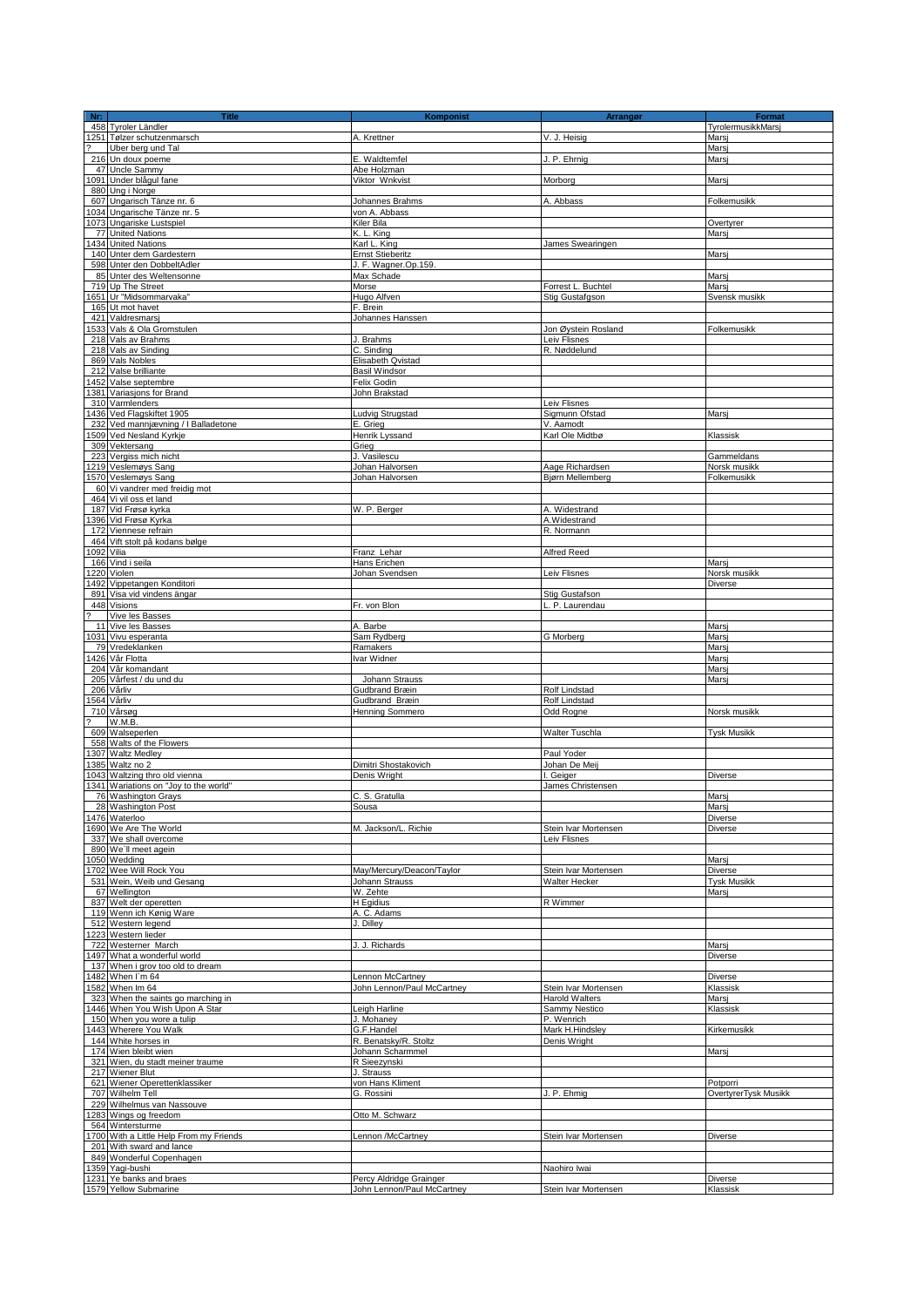| Nr: | <b>Title</b>                                                        | <b>Komponist</b>                                      | Arrangør                       | Format               |
|-----|---------------------------------------------------------------------|-------------------------------------------------------|--------------------------------|----------------------|
|     | 458 Tyroler Ländler<br>1251 Tølzer schutzenmarsch                   |                                                       |                                | TyrolermusikkMarsj   |
|     | Uber berg und Tal                                                   | A. Krettner                                           | V. J. Heisig                   | Marsi<br>Marsi       |
|     | 216 Un doux poeme                                                   | E. Waldtemfel                                         | J. P. Ehrnig                   | Mars                 |
|     | 47 Uncle Sammy                                                      | Abe Holzman                                           |                                |                      |
|     | 1091 Under blågul fane                                              | Viktor Wnkvist                                        | Morborg                        | Marsi                |
|     | 880 Ung i Norge                                                     |                                                       |                                |                      |
|     | 607 Ungarisch Tänze nr. 6                                           | Johannes Brahms                                       | A. Abbass                      | Folkemusikk          |
|     | 1034 Ungarische Tänze nr. 5                                         | von A. Abbass                                         |                                |                      |
|     | 1073 Ungariske Lustspiel<br>77 United Nations                       | Kiler Bila<br>K. L. King                              |                                | Overtyrer<br>Marsj   |
|     | 1434 United Nations                                                 | Karl L. King                                          | James Swearingen               |                      |
|     | 140 Unter dem Gardestern                                            | <b>Ernst Stieberitz</b>                               |                                | Marsj                |
|     | 598 Unter den DobbeltAdler                                          | J. F. Wagner.Op.159.                                  |                                |                      |
|     | 85 Unter des Weltensonne                                            | Max Schade                                            |                                | Mars                 |
|     | 719 Up The Street                                                   | Morse                                                 | Forrest L. Buchtel             | Marsi                |
|     | 1651 Ur "Midsommarvaka"                                             | Hugo Alfven                                           | Stig Gustafgson                | Svensk musikk        |
|     | 165 Ut mot havet<br>421 Valdresmarsj                                | F. Brein<br>Johannes Hanssen                          |                                |                      |
|     | 1533 Vals & Ola Gromstulen                                          |                                                       | Jon Øystein Rosland            | Folkemusikk          |
|     | 218 Vals av Brahms                                                  | J. Brahms                                             | Leiv Flisnes                   |                      |
|     | 218 Vals av Sinding                                                 | C. Sinding                                            | R. Nøddelund                   |                      |
|     | 869 Vals Nobles                                                     | Elisabeth Qvistad                                     |                                |                      |
|     | 212 Valse brilliante                                                | <b>Basil Windsor</b>                                  |                                |                      |
|     | 452 Valse septembre                                                 | Felix Godin                                           |                                |                      |
|     | 1381 Variasjons for Brand                                           | John Brakstad                                         |                                |                      |
|     | 310 Varmlenders<br>1436 Ved Flagskiftet 1905                        | Ludvig Strugstad                                      | Leiv Flisnes<br>Sigmunn Ofstad | Marsj                |
|     | 232 Ved mannjævning / I Balladetone                                 | E. Grieg                                              | V. Aamodt                      |                      |
|     | 509 Ved Nesland Kyrkje                                              | Henrik Lyssand                                        | Karl Ole Midtbø                | Klassisk             |
|     | 309 Vektersang                                                      | Grieg                                                 |                                |                      |
|     | 223 Vergiss mich nicht                                              | J. Vasilescu                                          |                                | Gammeldans           |
|     | 1219 Veslemøys Sang                                                 | Johan Halvorsen                                       | Aage Richardsen                | Norsk musikk         |
|     | 1570 Veslemøys Sang                                                 | Johan Halvorsen                                       | Bjørn Mellemberg               | Folkemusikk          |
|     | 60 Vi vandrer med freidig mot                                       |                                                       |                                |                      |
|     | 464 Vi vil oss et land<br>187 Vid Frøsø kyrka                       | W. P. Berger                                          | A. Widestrand                  |                      |
|     | 1396 Vid Frøsø Kyrka                                                |                                                       | A.Widestrand                   |                      |
|     | 172 Viennese refrain                                                |                                                       | R. Normann                     |                      |
|     | 464 Vift stolt på kodans bølge                                      |                                                       |                                |                      |
|     | 1092 Vilia                                                          | Franz Lehar                                           | Alfred Reed                    |                      |
|     | 166 Vind i seila                                                    | Hans Erichen                                          |                                | Marsj                |
|     | 1220 Violen                                                         | Johan Svendsen                                        | Leiv Flisnes                   | Norsk musikk         |
|     | 1492 Vippetangen Konditori<br>891 Visa vid vindens ängar            |                                                       |                                | Diverse              |
|     | 448 Visions                                                         | Fr. von Blon                                          | Stig Gustafson<br>P. Laurendau |                      |
|     | Vive les Basses                                                     |                                                       |                                |                      |
|     | 11 Vive les Basses                                                  | A. Barbe                                              |                                | Mars                 |
|     | 1031 Vivu esperanta                                                 | Sam Rydberg                                           | G Morberg                      | Marsi                |
|     | 79 Vredeklanken                                                     | Ramakers                                              |                                | Marsi                |
|     | 1426 Vår Flotta                                                     | Ivar Widner                                           |                                | Marsi                |
|     | 204 Vår komandant                                                   |                                                       |                                | Marsj                |
|     | 205 Vårfest / du und du<br>206 Vårliv                               | Johann Strauss<br>Gudbrand Bræin                      | Rolf Lindstad                  | Marsi                |
|     | 1564 Vårliv                                                         | Gudbrand Bræin                                        | Rolf Lindstad                  |                      |
|     | 710 Vårsøg                                                          | <b>Henning Sommero</b>                                | Odd Rogne                      | Norsk musikk         |
|     | W.M.B.                                                              |                                                       |                                |                      |
|     | 609 Walseperlen                                                     |                                                       | Walter Tuschla                 | <b>Tysk Musikk</b>   |
|     | 558 Walts of the Flowers                                            |                                                       |                                |                      |
|     | 1307 Waltz Medley                                                   |                                                       | Paul Yoder                     |                      |
|     | 1385 Waltz no 2<br>1043 Waltzing thro old vienna                    | Dimitri Shostakovich<br>Denis Wright                  | Johan De Meij<br>I. Geiger     | Diverse              |
|     | 1341 Wariations on "Joy to the world"                               |                                                       | James Christensen              |                      |
|     | 76 Washington Grays                                                 | C. S. Gratulla                                        |                                | Marsj                |
|     | 28 Washington Post                                                  | Sousa                                                 |                                | Marsi                |
|     | 1476 Waterloo                                                       |                                                       |                                | Diverse              |
|     | 1690 We Are The World                                               | M. Jackson/L. Richie                                  | Stein Ivar Mortensen           | Diverse              |
|     | 337 We shall overcome<br>890 We'll meet agein                       |                                                       | Leiv Flisnes                   |                      |
|     | 1050 Wedding                                                        |                                                       |                                | Marsi                |
|     | 1702 Wee Will Rock You                                              | May/Mercury/Deacon/Taylor                             | Stein Ivar Mortensen           | Diverse              |
|     | 531 Wein, Weib und Gesang                                           | Johann Strauss                                        | Walter Hecker                  | <b>Tysk Musikk</b>   |
|     | 67 Wellington                                                       | W. Zehte                                              |                                | Marsi                |
|     | 837 Welt der operetten                                              | H Egidius                                             | R Wimmer                       |                      |
|     | 119 Wenn ich Kønig Ware                                             | A. C. Adams<br>J. Dilley                              |                                |                      |
|     | 512 Western legend<br>1223 Western lieder                           |                                                       |                                |                      |
|     | 722 Westerner March                                                 | J. J. Richards                                        |                                | Marsj                |
|     | 1497 What a wonderful world                                         |                                                       |                                | Diverse              |
|     | 137 When i grov too old to dream                                    |                                                       |                                |                      |
|     | 1482 When I'm 64                                                    | Lennon McCartney                                      |                                | Diverse              |
|     | 1582 When Im 64                                                     | John Lennon/Paul McCartney                            | Stein Ivar Mortensen           | Klassisk             |
|     | 323 When the saints go marching in<br>446 When You Wish Upon A Star |                                                       | <b>Harold Walters</b>          | Marsi<br>Klassisk    |
|     | 150 When you wore a tulip                                           | Leigh Harline<br>J. Mohaney                           | Sammy Nestico<br>P. Wenrich    |                      |
|     | 443 Wherere You Walk                                                | G.F.Handel                                            | Mark H.Hindsley                | Kirkemusikk          |
|     | 144 White horses in                                                 | R. Benatsky/R. Stoltz                                 | Denis Wright                   |                      |
|     | 174 Wien bleibt wien                                                | Johann Scharmmel                                      |                                | Marsj                |
|     | 321 Wien, du stadt meiner traume                                    | R Sieezynski                                          |                                |                      |
|     | 217 Wiener Blut                                                     | J. Strauss                                            |                                |                      |
|     | 621 Wiener Operettenklassiker                                       | von Hans Kliment                                      |                                | Potporri             |
|     | 707 Wilhelm Tell<br>229 Wilhelmus van Nassouve                      | G. Rossini                                            | J. P. Ehmig                    | OvertyrerTysk Musikk |
|     | 283 Wings og freedom                                                | Otto M. Schwarz                                       |                                |                      |
|     | 564 Wintersturme                                                    |                                                       |                                |                      |
|     | 1700 With a Little Help From my Friends                             | Lennon /McCartney                                     | Stein Ivar Mortensen           | Diverse              |
|     | 201 With sward and lance                                            |                                                       |                                |                      |
|     | 849 Wonderful Copenhagen                                            |                                                       |                                |                      |
|     | 1359 Yagi-bushi                                                     |                                                       | Naohiro Iwai                   |                      |
|     | 1231 Ye banks and braes<br>1579 Yellow Submarine                    | Percy Aldridge Grainger<br>John Lennon/Paul McCartney | Stein Ivar Mortensen           | Diverse<br>Klassisk  |